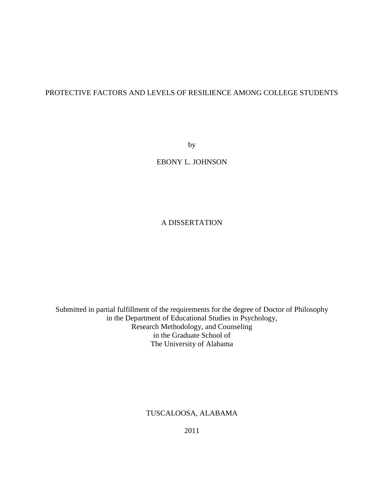# PROTECTIVE FACTORS AND LEVELS OF RESILIENCE AMONG COLLEGE STUDENTS

by

# EBONY L. JOHNSON

# A DISSERTATION

Submitted in partial fulfillment of the requirements for the degree of Doctor of Philosophy in the Department of Educational Studies in Psychology, Research Methodology, and Counseling in the Graduate School of The University of Alabama

TUSCALOOSA, ALABAMA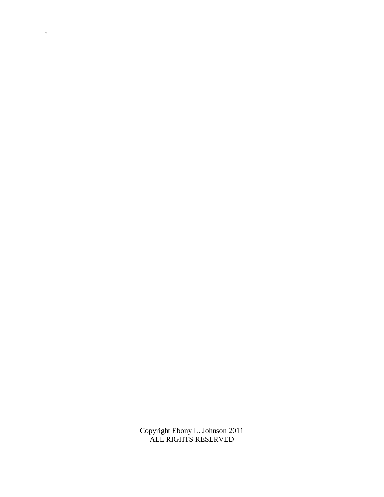Copyright Ebony L. Johnson 2011 ALL RIGHTS RESERVED

 $\hat{\mathbf{v}}$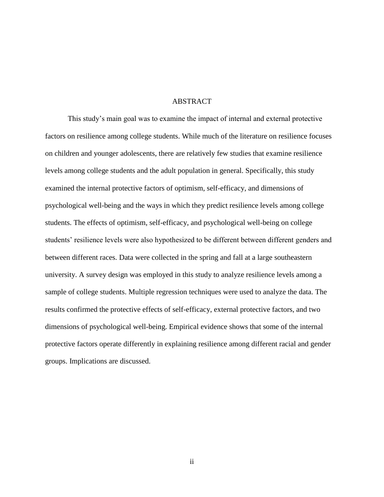### ABSTRACT

This study's main goal was to examine the impact of internal and external protective factors on resilience among college students. While much of the literature on resilience focuses on children and younger adolescents, there are relatively few studies that examine resilience levels among college students and the adult population in general. Specifically, this study examined the internal protective factors of optimism, self-efficacy, and dimensions of psychological well-being and the ways in which they predict resilience levels among college students. The effects of optimism, self-efficacy, and psychological well-being on college students' resilience levels were also hypothesized to be different between different genders and between different races. Data were collected in the spring and fall at a large southeastern university. A survey design was employed in this study to analyze resilience levels among a sample of college students. Multiple regression techniques were used to analyze the data. The results confirmed the protective effects of self-efficacy, external protective factors, and two dimensions of psychological well-being. Empirical evidence shows that some of the internal protective factors operate differently in explaining resilience among different racial and gender groups. Implications are discussed.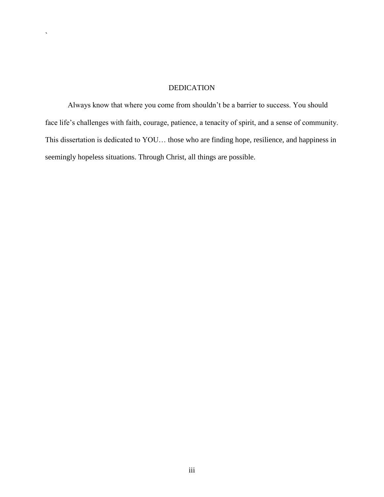# DEDICATION

 $\overline{\phantom{a}}$ 

Always know that where you come from shouldn't be a barrier to success. You should face life's challenges with faith, courage, patience, a tenacity of spirit, and a sense of community. This dissertation is dedicated to YOU… those who are finding hope, resilience, and happiness in seemingly hopeless situations. Through Christ, all things are possible.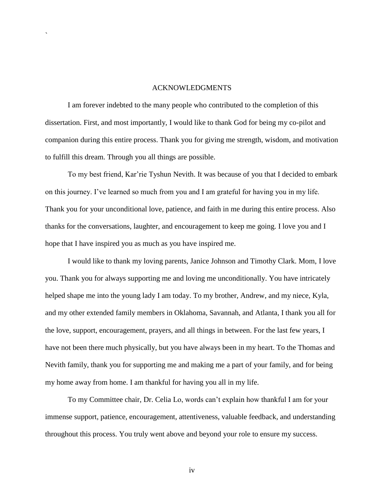## ACKNOWLEDGMENTS

`

I am forever indebted to the many people who contributed to the completion of this dissertation. First, and most importantly, I would like to thank God for being my co-pilot and companion during this entire process. Thank you for giving me strength, wisdom, and motivation to fulfill this dream. Through you all things are possible.

To my best friend, Kar'rie Tyshun Nevith. It was because of you that I decided to embark on this journey. I've learned so much from you and I am grateful for having you in my life. Thank you for your unconditional love, patience, and faith in me during this entire process. Also thanks for the conversations, laughter, and encouragement to keep me going. I love you and I hope that I have inspired you as much as you have inspired me.

I would like to thank my loving parents, Janice Johnson and Timothy Clark. Mom, I love you. Thank you for always supporting me and loving me unconditionally. You have intricately helped shape me into the young lady I am today. To my brother, Andrew, and my niece, Kyla, and my other extended family members in Oklahoma, Savannah, and Atlanta, I thank you all for the love, support, encouragement, prayers, and all things in between. For the last few years, I have not been there much physically, but you have always been in my heart. To the Thomas and Nevith family, thank you for supporting me and making me a part of your family, and for being my home away from home. I am thankful for having you all in my life.

To my Committee chair, Dr. Celia Lo, words can't explain how thankful I am for your immense support, patience, encouragement, attentiveness, valuable feedback, and understanding throughout this process. You truly went above and beyond your role to ensure my success.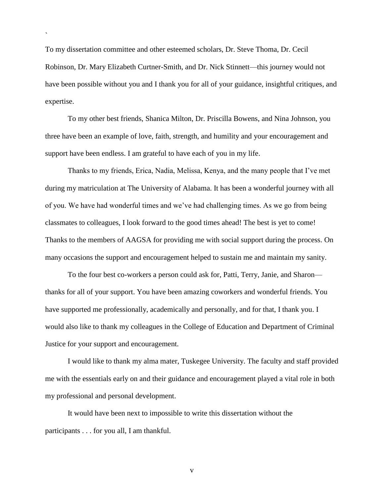To my dissertation committee and other esteemed scholars, Dr. Steve Thoma, Dr. Cecil Robinson, Dr. Mary Elizabeth Curtner-Smith, and Dr. Nick Stinnett—this journey would not have been possible without you and I thank you for all of your guidance, insightful critiques, and expertise.

`

To my other best friends, Shanica Milton, Dr. Priscilla Bowens, and Nina Johnson, you three have been an example of love, faith, strength, and humility and your encouragement and support have been endless. I am grateful to have each of you in my life.

Thanks to my friends, Erica, Nadia, Melissa, Kenya, and the many people that I've met during my matriculation at The University of Alabama. It has been a wonderful journey with all of you. We have had wonderful times and we've had challenging times. As we go from being classmates to colleagues, I look forward to the good times ahead! The best is yet to come! Thanks to the members of AAGSA for providing me with social support during the process. On many occasions the support and encouragement helped to sustain me and maintain my sanity.

To the four best co-workers a person could ask for, Patti, Terry, Janie, and Sharon thanks for all of your support. You have been amazing coworkers and wonderful friends. You have supported me professionally, academically and personally, and for that, I thank you. I would also like to thank my colleagues in the College of Education and Department of Criminal Justice for your support and encouragement.

I would like to thank my alma mater, Tuskegee University. The faculty and staff provided me with the essentials early on and their guidance and encouragement played a vital role in both my professional and personal development.

It would have been next to impossible to write this dissertation without the participants . . . for you all, I am thankful.

v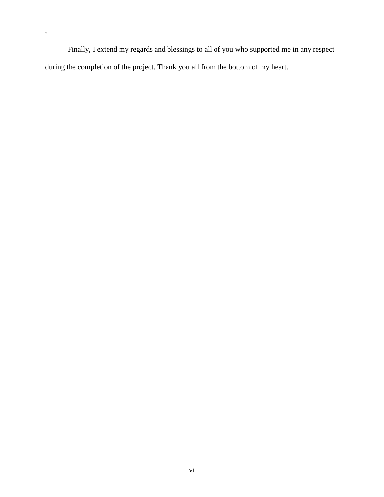Finally, I extend my regards and blessings to all of you who supported me in any respect during the completion of the project. Thank you all from the bottom of my heart.

 $\bar{\mathbf{v}}$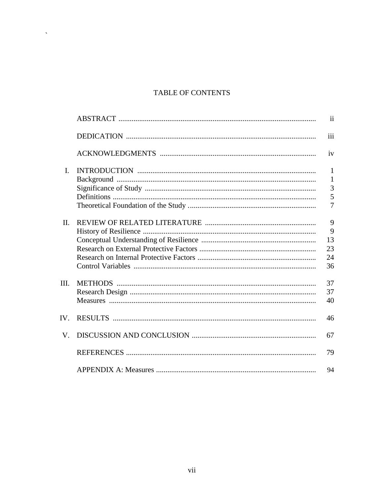# TABLE OF CONTENTS

 $\hat{\mathcal{S}}$ 

|                | $\mathbf{ii}$  |
|----------------|----------------|
|                | iii            |
|                | iv             |
| $\mathbf{I}$ . | $\mathbf{1}$   |
|                | $\mathbf{1}$   |
|                | 3              |
|                | 5              |
|                | $\overline{7}$ |
| $\Pi$          | 9              |
|                | 9              |
|                | 13             |
|                | 23             |
|                | 24             |
|                |                |
|                | 36             |
| III.           | 37             |
|                | 37             |
|                | 40             |
| $IV_{-}$       | 46             |
| V.             | 67             |
|                | 79             |
|                | 94             |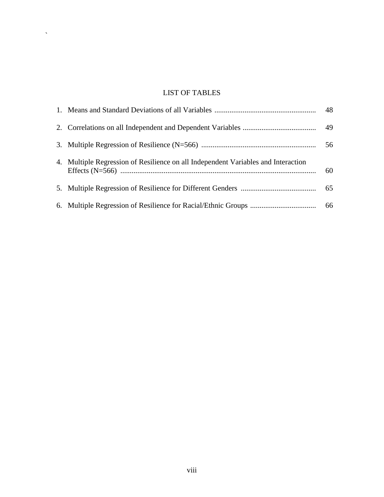# LIST OF TABLES

 $\hat{\mathbf{v}}$ 

|                                                                                   | 48 |
|-----------------------------------------------------------------------------------|----|
|                                                                                   |    |
|                                                                                   | 56 |
| 4. Multiple Regression of Resilience on all Independent Variables and Interaction | 60 |
|                                                                                   |    |
|                                                                                   |    |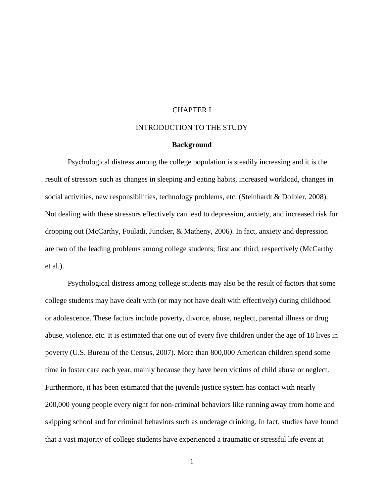## CHAPTER I

### INTRODUCTION TO THE STUDY

## **Background**

Psychological distress among the college population is steadily increasing and it is the result of stressors such as changes in sleeping and eating habits, increased workload, changes in social activities, new responsibilities, technology problems, etc. (Steinhardt & Dolbier, 2008). Not dealing with these stressors effectively can lead to depression, anxiety, and increased risk for dropping out (McCarthy, Fouladi, Juncker, & Matheny, 2006). In fact, anxiety and depression are two of the leading problems among college students; first and third, respectively (McCarthy et al.).

Psychological distress among college students may also be the result of factors that some college students may have dealt with (or may not have dealt with effectively) during childhood or adolescence. These factors include poverty, divorce, abuse, neglect, parental illness or drug abuse, violence, etc. It is estimated that one out of every five children under the age of 18 lives in poverty (U.S. Bureau of the Census, 2007). More than 800,000 American children spend some time in foster care each year, mainly because they have been victims of child abuse or neglect. Furthermore, it has been estimated that the juvenile justice system has contact with nearly 200,000 young people every night for non-criminal behaviors like running away from home and skipping school and for criminal behaviors such as underage drinking. In fact, studies have found that a vast majority of college students have experienced a traumatic or stressful life event at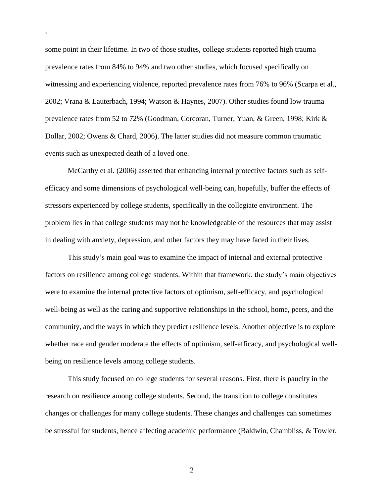some point in their lifetime. In two of those studies, college students reported high trauma prevalence rates from 84% to 94% and two other studies, which focused specifically on witnessing and experiencing violence, reported prevalence rates from 76% to 96% (Scarpa et al., 2002; Vrana & Lauterbach, 1994; Watson & Haynes, 2007). Other studies found low trauma prevalence rates from 52 to 72% (Goodman, Corcoran, Turner, Yuan, & Green, 1998; Kirk & Dollar, 2002; Owens & Chard, 2006). The latter studies did not measure common traumatic events such as unexpected death of a loved one.

`

McCarthy et al. (2006) asserted that enhancing internal protective factors such as selfefficacy and some dimensions of psychological well-being can, hopefully, buffer the effects of stressors experienced by college students, specifically in the collegiate environment. The problem lies in that college students may not be knowledgeable of the resources that may assist in dealing with anxiety, depression, and other factors they may have faced in their lives.

This study's main goal was to examine the impact of internal and external protective factors on resilience among college students. Within that framework, the study's main objectives were to examine the internal protective factors of optimism, self-efficacy, and psychological well-being as well as the caring and supportive relationships in the school, home, peers, and the community, and the ways in which they predict resilience levels. Another objective is to explore whether race and gender moderate the effects of optimism, self-efficacy, and psychological wellbeing on resilience levels among college students.

This study focused on college students for several reasons. First, there is paucity in the research on resilience among college students. Second, the transition to college constitutes changes or challenges for many college students. These changes and challenges can sometimes be stressful for students, hence affecting academic performance (Baldwin, Chambliss, & Towler,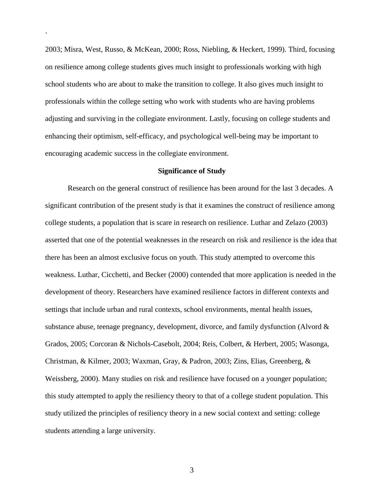2003; Misra, West, Russo, & McKean, 2000; Ross, Niebling, & Heckert, 1999). Third, focusing on resilience among college students gives much insight to professionals working with high school students who are about to make the transition to college. It also gives much insight to professionals within the college setting who work with students who are having problems adjusting and surviving in the collegiate environment. Lastly, focusing on college students and enhancing their optimism, self-efficacy, and psychological well-being may be important to encouraging academic success in the collegiate environment.

`

#### **Significance of Study**

Research on the general construct of resilience has been around for the last 3 decades. A significant contribution of the present study is that it examines the construct of resilience among college students, a population that is scare in research on resilience. Luthar and Zelazo (2003) asserted that one of the potential weaknesses in the research on risk and resilience is the idea that there has been an almost exclusive focus on youth. This study attempted to overcome this weakness. Luthar, Cicchetti, and Becker (2000) contended that more application is needed in the development of theory. Researchers have examined resilience factors in different contexts and settings that include urban and rural contexts, school environments, mental health issues, substance abuse, teenage pregnancy, development, divorce, and family dysfunction (Alvord & Grados, 2005; Corcoran & Nichols-Casebolt, 2004; Reis, Colbert, & Herbert, 2005; Wasonga, Christman, & Kilmer, 2003; Waxman, Gray, & Padron, 2003; Zins, Elias, Greenberg, & Weissberg, 2000). Many studies on risk and resilience have focused on a younger population; this study attempted to apply the resiliency theory to that of a college student population. This study utilized the principles of resiliency theory in a new social context and setting: college students attending a large university.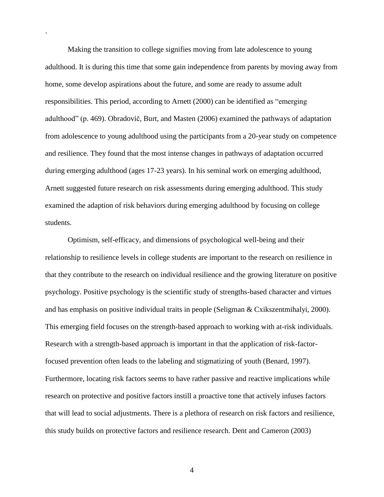Making the transition to college signifies moving from late adolescence to young adulthood. It is during this time that some gain independence from parents by moving away from home, some develop aspirations about the future, and some are ready to assume adult responsibilities. This period, according to Arnett (2000) can be identified as "emerging adulthood‖ (p. 469). Obradovič, Burt, and Masten (2006) examined the pathways of adaptation from adolescence to young adulthood using the participants from a 20-year study on competence and resilience. They found that the most intense changes in pathways of adaptation occurred during emerging adulthood (ages 17-23 years). In his seminal work on emerging adulthood, Arnett suggested future research on risk assessments during emerging adulthood. This study examined the adaption of risk behaviors during emerging adulthood by focusing on college students.

`

Optimism, self-efficacy, and dimensions of psychological well-being and their relationship to resilience levels in college students are important to the research on resilience in that they contribute to the research on individual resilience and the growing literature on positive psychology. Positive psychology is the scientific study of strengths-based character and virtues and has emphasis on positive individual traits in people (Seligman & Cxikszentmihalyi, 2000). This emerging field focuses on the strength-based approach to working with at-risk individuals. Research with a strength-based approach is important in that the application of risk-factorfocused prevention often leads to the labeling and stigmatizing of youth (Benard, 1997). Furthermore, locating risk factors seems to have rather passive and reactive implications while research on protective and positive factors instill a proactive tone that actively infuses factors that will lead to social adjustments. There is a plethora of research on risk factors and resilience, this study builds on protective factors and resilience research. Dent and Cameron (2003)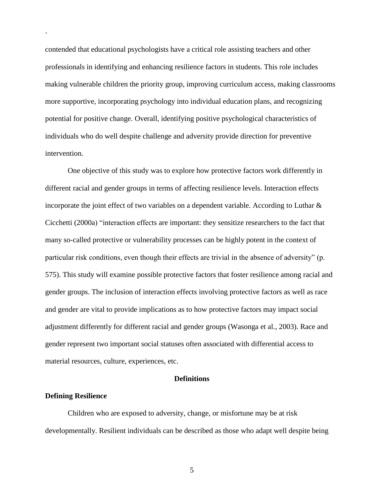contended that educational psychologists have a critical role assisting teachers and other professionals in identifying and enhancing resilience factors in students. This role includes making vulnerable children the priority group, improving curriculum access, making classrooms more supportive, incorporating psychology into individual education plans, and recognizing potential for positive change. Overall, identifying positive psychological characteristics of individuals who do well despite challenge and adversity provide direction for preventive intervention.

One objective of this study was to explore how protective factors work differently in different racial and gender groups in terms of affecting resilience levels. Interaction effects incorporate the joint effect of two variables on a dependent variable. According to Luthar  $\&$ Cicchetti (2000a) "interaction effects are important: they sensitize researchers to the fact that many so-called protective or vulnerability processes can be highly potent in the context of particular risk conditions, even though their effects are trivial in the absence of adversity" (p. 575). This study will examine possible protective factors that foster resilience among racial and gender groups. The inclusion of interaction effects involving protective factors as well as race and gender are vital to provide implications as to how protective factors may impact social adjustment differently for different racial and gender groups (Wasonga et al., 2003). Race and gender represent two important social statuses often associated with differential access to material resources, culture, experiences, etc.

## **Definitions**

#### **Defining Resilience**

`

Children who are exposed to adversity, change, or misfortune may be at risk developmentally. Resilient individuals can be described as those who adapt well despite being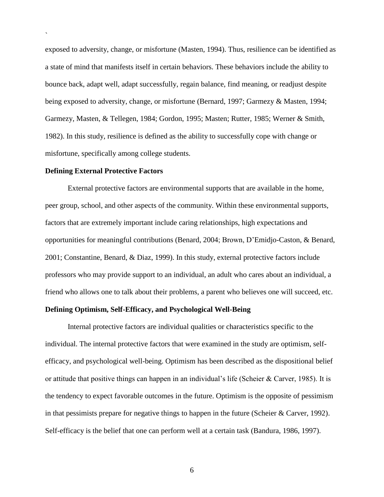exposed to adversity, change, or misfortune (Masten, 1994). Thus, resilience can be identified as a state of mind that manifests itself in certain behaviors. These behaviors include the ability to bounce back, adapt well, adapt successfully, regain balance, find meaning, or readjust despite being exposed to adversity, change, or misfortune (Bernard, 1997; Garmezy & Masten, 1994; Garmezy, Masten, & Tellegen, 1984; Gordon, 1995; Masten; Rutter, 1985; Werner & Smith, 1982). In this study, resilience is defined as the ability to successfully cope with change or misfortune, specifically among college students.

#### **Defining External Protective Factors**

`

External protective factors are environmental supports that are available in the home, peer group, school, and other aspects of the community. Within these environmental supports, factors that are extremely important include caring relationships, high expectations and opportunities for meaningful contributions (Benard, 2004; Brown, D'Emidjo-Caston, & Benard, 2001; Constantine, Benard, & Diaz, 1999). In this study, external protective factors include professors who may provide support to an individual, an adult who cares about an individual, a friend who allows one to talk about their problems, a parent who believes one will succeed, etc.

# **Defining Optimism, Self-Efficacy, and Psychological Well-Being**

Internal protective factors are individual qualities or characteristics specific to the individual. The internal protective factors that were examined in the study are optimism, selfefficacy, and psychological well-being. Optimism has been described as the dispositional belief or attitude that positive things can happen in an individual's life (Scheier & Carver, 1985). It is the tendency to expect favorable outcomes in the future. Optimism is the opposite of pessimism in that pessimists prepare for negative things to happen in the future (Scheier & Carver, 1992). Self-efficacy is the belief that one can perform well at a certain task (Bandura, 1986, 1997).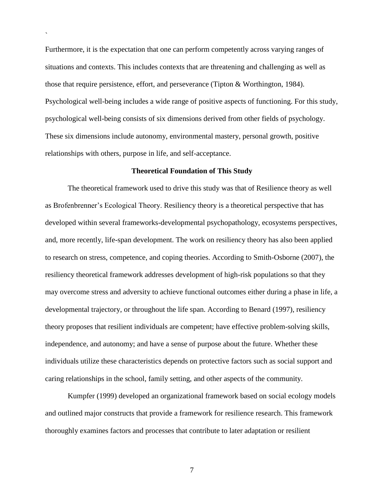Furthermore, it is the expectation that one can perform competently across varying ranges of situations and contexts. This includes contexts that are threatening and challenging as well as those that require persistence, effort, and perseverance (Tipton & Worthington, 1984). Psychological well-being includes a wide range of positive aspects of functioning. For this study, psychological well-being consists of six dimensions derived from other fields of psychology. These six dimensions include autonomy, environmental mastery, personal growth, positive relationships with others, purpose in life, and self-acceptance.

`

#### **Theoretical Foundation of This Study**

The theoretical framework used to drive this study was that of Resilience theory as well as Brofenbrenner's Ecological Theory. Resiliency theory is a theoretical perspective that has developed within several frameworks-developmental psychopathology, ecosystems perspectives, and, more recently, life-span development. The work on resiliency theory has also been applied to research on stress, competence, and coping theories. According to Smith-Osborne (2007), the resiliency theoretical framework addresses development of high-risk populations so that they may overcome stress and adversity to achieve functional outcomes either during a phase in life, a developmental trajectory, or throughout the life span. According to Benard (1997), resiliency theory proposes that resilient individuals are competent; have effective problem-solving skills, independence, and autonomy; and have a sense of purpose about the future. Whether these individuals utilize these characteristics depends on protective factors such as social support and caring relationships in the school, family setting, and other aspects of the community.

Kumpfer (1999) developed an organizational framework based on social ecology models and outlined major constructs that provide a framework for resilience research. This framework thoroughly examines factors and processes that contribute to later adaptation or resilient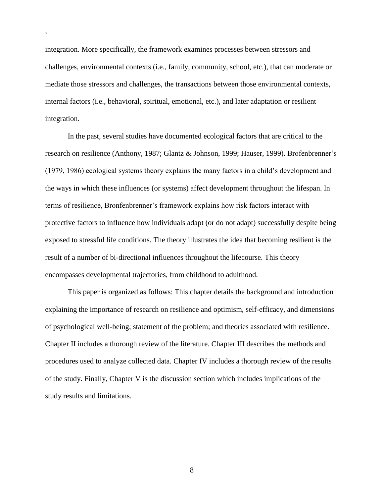integration. More specifically, the framework examines processes between stressors and challenges, environmental contexts (i.e., family, community, school, etc.), that can moderate or mediate those stressors and challenges, the transactions between those environmental contexts, internal factors (i.e., behavioral, spiritual, emotional, etc.), and later adaptation or resilient integration.

`

In the past, several studies have documented ecological factors that are critical to the research on resilience (Anthony, 1987; Glantz & Johnson, 1999; Hauser, 1999). Brofenbrenner's (1979, 1986) ecological systems theory explains the many factors in a child's development and the ways in which these influences (or systems) affect development throughout the lifespan. In terms of resilience, Bronfenbrenner's framework explains how risk factors interact with protective factors to influence how individuals adapt (or do not adapt) successfully despite being exposed to stressful life conditions. The theory illustrates the idea that becoming resilient is the result of a number of bi-directional influences throughout the lifecourse. This theory encompasses developmental trajectories, from childhood to adulthood.

This paper is organized as follows: This chapter details the background and introduction explaining the importance of research on resilience and optimism, self-efficacy, and dimensions of psychological well-being; statement of the problem; and theories associated with resilience. Chapter II includes a thorough review of the literature. Chapter III describes the methods and procedures used to analyze collected data. Chapter IV includes a thorough review of the results of the study. Finally, Chapter V is the discussion section which includes implications of the study results and limitations.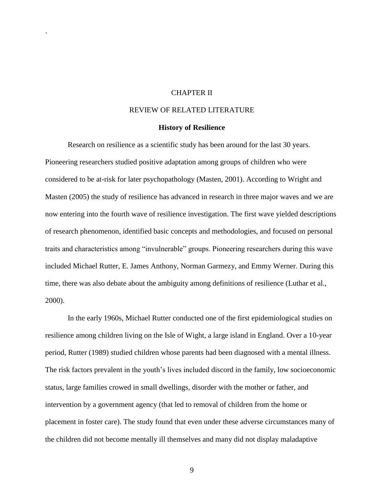# CHAPTER II

`

## REVIEW OF RELATED LITERATURE

#### **History of Resilience**

Research on resilience as a scientific study has been around for the last 30 years. Pioneering researchers studied positive adaptation among groups of children who were considered to be at-risk for later psychopathology (Masten, 2001). According to Wright and Masten (2005) the study of resilience has advanced in research in three major waves and we are now entering into the fourth wave of resilience investigation. The first wave yielded descriptions of research phenomenon, identified basic concepts and methodologies, and focused on personal traits and characteristics among "invulnerable" groups. Pioneering researchers during this wave included Michael Rutter, E. James Anthony, Norman Garmezy, and Emmy Werner. During this time, there was also debate about the ambiguity among definitions of resilience (Luthar et al., 2000).

In the early 1960s, Michael Rutter conducted one of the first epidemiological studies on resilience among children living on the Isle of Wight, a large island in England. Over a 10-year period, Rutter (1989) studied children whose parents had been diagnosed with a mental illness. The risk factors prevalent in the youth's lives included discord in the family, low socioeconomic status, large families crowed in small dwellings, disorder with the mother or father, and intervention by a government agency (that led to removal of children from the home or placement in foster care). The study found that even under these adverse circumstances many of the children did not become mentally ill themselves and many did not display maladaptive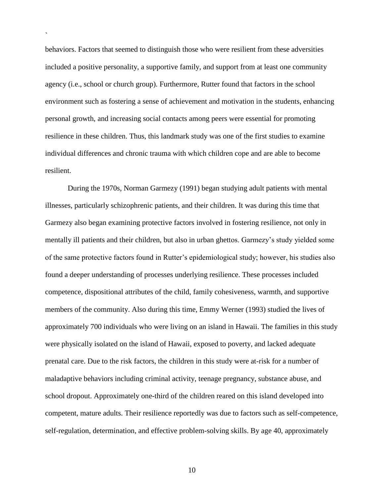behaviors. Factors that seemed to distinguish those who were resilient from these adversities included a positive personality, a supportive family, and support from at least one community agency (i.e., school or church group). Furthermore, Rutter found that factors in the school environment such as fostering a sense of achievement and motivation in the students, enhancing personal growth, and increasing social contacts among peers were essential for promoting resilience in these children. Thus, this landmark study was one of the first studies to examine individual differences and chronic trauma with which children cope and are able to become resilient.

`

During the 1970s, Norman Garmezy (1991) began studying adult patients with mental illnesses, particularly schizophrenic patients, and their children. It was during this time that Garmezy also began examining protective factors involved in fostering resilience, not only in mentally ill patients and their children, but also in urban ghettos. Garmezy's study yielded some of the same protective factors found in Rutter's epidemiological study; however, his studies also found a deeper understanding of processes underlying resilience. These processes included competence, dispositional attributes of the child, family cohesiveness, warmth, and supportive members of the community. Also during this time, Emmy Werner (1993) studied the lives of approximately 700 individuals who were living on an island in Hawaii. The families in this study were physically isolated on the island of Hawaii, exposed to poverty, and lacked adequate prenatal care. Due to the risk factors, the children in this study were at-risk for a number of maladaptive behaviors including criminal activity, teenage pregnancy, substance abuse, and school dropout. Approximately one-third of the children reared on this island developed into competent, mature adults. Their resilience reportedly was due to factors such as self-competence, self-regulation, determination, and effective problem-solving skills. By age 40, approximately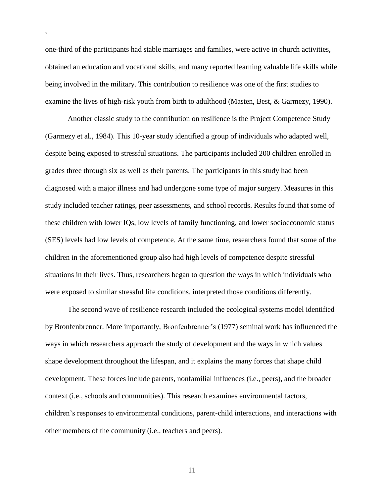one-third of the participants had stable marriages and families, were active in church activities, obtained an education and vocational skills, and many reported learning valuable life skills while being involved in the military. This contribution to resilience was one of the first studies to examine the lives of high-risk youth from birth to adulthood (Masten, Best, & Garmezy, 1990).

`

Another classic study to the contribution on resilience is the Project Competence Study (Garmezy et al., 1984). This 10-year study identified a group of individuals who adapted well, despite being exposed to stressful situations. The participants included 200 children enrolled in grades three through six as well as their parents. The participants in this study had been diagnosed with a major illness and had undergone some type of major surgery. Measures in this study included teacher ratings, peer assessments, and school records. Results found that some of these children with lower IQs, low levels of family functioning, and lower socioeconomic status (SES) levels had low levels of competence. At the same time, researchers found that some of the children in the aforementioned group also had high levels of competence despite stressful situations in their lives. Thus, researchers began to question the ways in which individuals who were exposed to similar stressful life conditions, interpreted those conditions differently.

The second wave of resilience research included the ecological systems model identified by Bronfenbrenner. More importantly, Bronfenbrenner's (1977) seminal work has influenced the ways in which researchers approach the study of development and the ways in which values shape development throughout the lifespan, and it explains the many forces that shape child development. These forces include parents, nonfamilial influences (i.e., peers), and the broader context (i.e., schools and communities). This research examines environmental factors, children's responses to environmental conditions, parent-child interactions, and interactions with other members of the community (i.e., teachers and peers).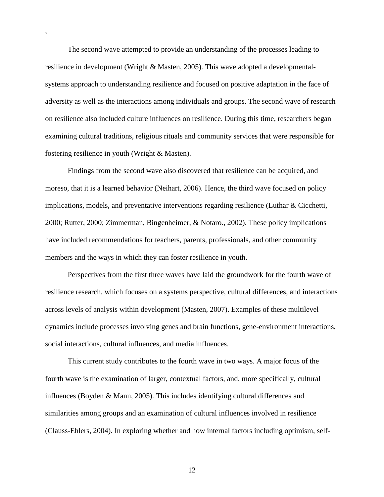The second wave attempted to provide an understanding of the processes leading to resilience in development (Wright & Masten, 2005). This wave adopted a developmentalsystems approach to understanding resilience and focused on positive adaptation in the face of adversity as well as the interactions among individuals and groups. The second wave of research on resilience also included culture influences on resilience. During this time, researchers began examining cultural traditions, religious rituals and community services that were responsible for fostering resilience in youth (Wright & Masten).

`

Findings from the second wave also discovered that resilience can be acquired, and moreso, that it is a learned behavior (Neihart, 2006). Hence, the third wave focused on policy implications, models, and preventative interventions regarding resilience (Luthar & Cicchetti, 2000; Rutter, 2000; Zimmerman, Bingenheimer, & Notaro., 2002). These policy implications have included recommendations for teachers, parents, professionals, and other community members and the ways in which they can foster resilience in youth.

Perspectives from the first three waves have laid the groundwork for the fourth wave of resilience research, which focuses on a systems perspective, cultural differences, and interactions across levels of analysis within development (Masten, 2007). Examples of these multilevel dynamics include processes involving genes and brain functions, gene-environment interactions, social interactions, cultural influences, and media influences.

This current study contributes to the fourth wave in two ways. A major focus of the fourth wave is the examination of larger, contextual factors, and, more specifically, cultural influences (Boyden & Mann, 2005). This includes identifying cultural differences and similarities among groups and an examination of cultural influences involved in resilience (Clauss-Ehlers, 2004). In exploring whether and how internal factors including optimism, self-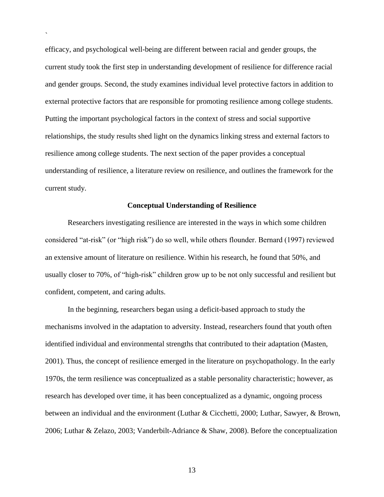efficacy, and psychological well-being are different between racial and gender groups, the current study took the first step in understanding development of resilience for difference racial and gender groups. Second, the study examines individual level protective factors in addition to external protective factors that are responsible for promoting resilience among college students. Putting the important psychological factors in the context of stress and social supportive relationships, the study results shed light on the dynamics linking stress and external factors to resilience among college students. The next section of the paper provides a conceptual understanding of resilience, a literature review on resilience, and outlines the framework for the current study.

`

## **Conceptual Understanding of Resilience**

Researchers investigating resilience are interested in the ways in which some children considered "at-risk" (or "high risk") do so well, while others flounder. Bernard (1997) reviewed an extensive amount of literature on resilience. Within his research, he found that 50%, and usually closer to 70%, of "high-risk" children grow up to be not only successful and resilient but confident, competent, and caring adults.

In the beginning, researchers began using a deficit-based approach to study the mechanisms involved in the adaptation to adversity. Instead, researchers found that youth often identified individual and environmental strengths that contributed to their adaptation (Masten, 2001). Thus, the concept of resilience emerged in the literature on psychopathology. In the early 1970s, the term resilience was conceptualized as a stable personality characteristic; however, as research has developed over time, it has been conceptualized as a dynamic, ongoing process between an individual and the environment (Luthar & Cicchetti, 2000; Luthar, Sawyer, & Brown, 2006; Luthar & Zelazo, 2003; Vanderbilt-Adriance & Shaw, 2008). Before the conceptualization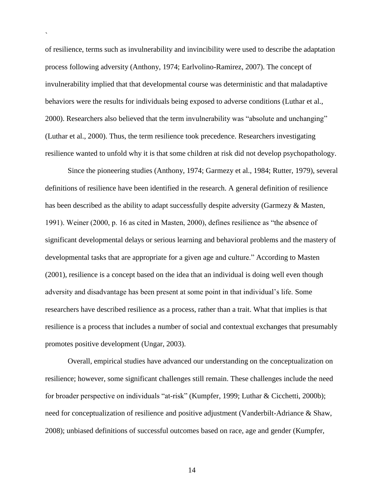of resilience, terms such as invulnerability and invincibility were used to describe the adaptation process following adversity (Anthony, 1974; Earlvolino-Ramirez, 2007). The concept of invulnerability implied that that developmental course was deterministic and that maladaptive behaviors were the results for individuals being exposed to adverse conditions (Luthar et al., 2000). Researchers also believed that the term invulnerability was "absolute and unchanging" (Luthar et al., 2000). Thus, the term resilience took precedence. Researchers investigating resilience wanted to unfold why it is that some children at risk did not develop psychopathology.

`

Since the pioneering studies (Anthony, 1974; Garmezy et al., 1984; Rutter, 1979), several definitions of resilience have been identified in the research. A general definition of resilience has been described as the ability to adapt successfully despite adversity (Garmezy & Masten, 1991). Weiner (2000, p. 16 as cited in Masten, 2000), defines resilience as "the absence of significant developmental delays or serious learning and behavioral problems and the mastery of developmental tasks that are appropriate for a given age and culture." According to Masten (2001), resilience is a concept based on the idea that an individual is doing well even though adversity and disadvantage has been present at some point in that individual's life. Some researchers have described resilience as a process, rather than a trait. What that implies is that resilience is a process that includes a number of social and contextual exchanges that presumably promotes positive development (Ungar, 2003).

Overall, empirical studies have advanced our understanding on the conceptualization on resilience; however, some significant challenges still remain. These challenges include the need for broader perspective on individuals "at-risk" (Kumpfer, 1999; Luthar & Cicchetti, 2000b); need for conceptualization of resilience and positive adjustment (Vanderbilt-Adriance & Shaw, 2008); unbiased definitions of successful outcomes based on race, age and gender (Kumpfer,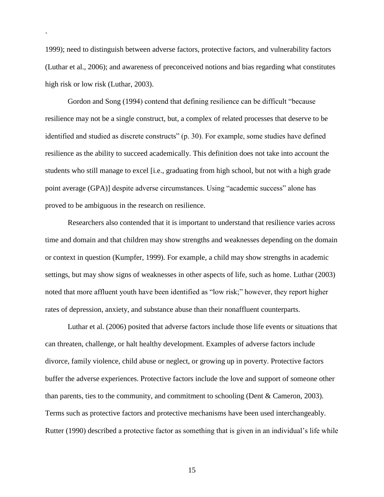1999); need to distinguish between adverse factors, protective factors, and vulnerability factors (Luthar et al., 2006); and awareness of preconceived notions and bias regarding what constitutes high risk or low risk (Luthar, 2003).

`

Gordon and Song (1994) contend that defining resilience can be difficult "because" resilience may not be a single construct, but, a complex of related processes that deserve to be identified and studied as discrete constructs" (p. 30). For example, some studies have defined resilience as the ability to succeed academically. This definition does not take into account the students who still manage to excel [i.e., graduating from high school, but not with a high grade point average (GPA)] despite adverse circumstances. Using "academic success" alone has proved to be ambiguous in the research on resilience.

Researchers also contended that it is important to understand that resilience varies across time and domain and that children may show strengths and weaknesses depending on the domain or context in question (Kumpfer, 1999). For example, a child may show strengths in academic settings, but may show signs of weaknesses in other aspects of life, such as home. Luthar (2003) noted that more affluent youth have been identified as "low risk;" however, they report higher rates of depression, anxiety, and substance abuse than their nonaffluent counterparts.

Luthar et al. (2006) posited that adverse factors include those life events or situations that can threaten, challenge, or halt healthy development. Examples of adverse factors include divorce, family violence, child abuse or neglect, or growing up in poverty. Protective factors buffer the adverse experiences. Protective factors include the love and support of someone other than parents, ties to the community, and commitment to schooling (Dent & Cameron, 2003). Terms such as protective factors and protective mechanisms have been used interchangeably. Rutter (1990) described a protective factor as something that is given in an individual's life while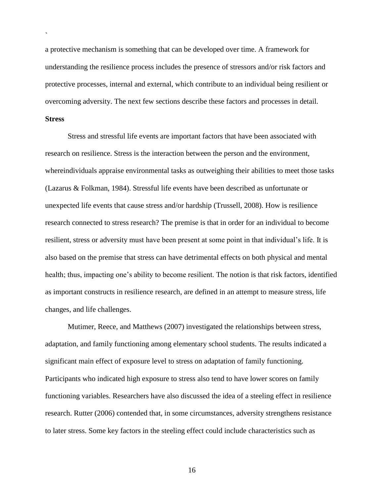a protective mechanism is something that can be developed over time. A framework for understanding the resilience process includes the presence of stressors and/or risk factors and protective processes, internal and external, which contribute to an individual being resilient or overcoming adversity. The next few sections describe these factors and processes in detail.

# **Stress**

`

Stress and stressful life events are important factors that have been associated with research on resilience. Stress is the interaction between the person and the environment, whereindividuals appraise environmental tasks as outweighing their abilities to meet those tasks (Lazarus & Folkman, 1984). Stressful life events have been described as unfortunate or unexpected life events that cause stress and/or hardship (Trussell, 2008). How is resilience research connected to stress research? The premise is that in order for an individual to become resilient, stress or adversity must have been present at some point in that individual's life. It is also based on the premise that stress can have detrimental effects on both physical and mental health; thus, impacting one's ability to become resilient. The notion is that risk factors, identified as important constructs in resilience research, are defined in an attempt to measure stress, life changes, and life challenges.

Mutimer, Reece, and Matthews (2007) investigated the relationships between stress, adaptation, and family functioning among elementary school students. The results indicated a significant main effect of exposure level to stress on adaptation of family functioning. Participants who indicated high exposure to stress also tend to have lower scores on family functioning variables. Researchers have also discussed the idea of a steeling effect in resilience research. Rutter (2006) contended that, in some circumstances, adversity strengthens resistance to later stress. Some key factors in the steeling effect could include characteristics such as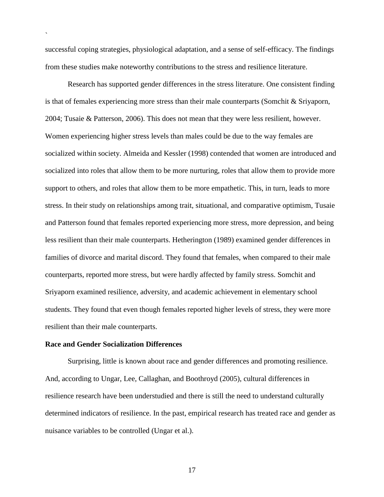successful coping strategies, physiological adaptation, and a sense of self-efficacy. The findings from these studies make noteworthy contributions to the stress and resilience literature.

Research has supported gender differences in the stress literature. One consistent finding is that of females experiencing more stress than their male counterparts (Somchit & Sriyaporn, 2004; Tusaie & Patterson, 2006). This does not mean that they were less resilient, however. Women experiencing higher stress levels than males could be due to the way females are socialized within society. Almeida and Kessler (1998) contended that women are introduced and socialized into roles that allow them to be more nurturing, roles that allow them to provide more support to others, and roles that allow them to be more empathetic. This, in turn, leads to more stress. In their study on relationships among trait, situational, and comparative optimism, Tusaie and Patterson found that females reported experiencing more stress, more depression, and being less resilient than their male counterparts. Hetherington (1989) examined gender differences in families of divorce and marital discord. They found that females, when compared to their male counterparts, reported more stress, but were hardly affected by family stress. Somchit and Sriyaporn examined resilience, adversity, and academic achievement in elementary school students. They found that even though females reported higher levels of stress, they were more resilient than their male counterparts.

#### **Race and Gender Socialization Differences**

`

Surprising, little is known about race and gender differences and promoting resilience. And, according to Ungar, Lee, Callaghan, and Boothroyd (2005), cultural differences in resilience research have been understudied and there is still the need to understand culturally determined indicators of resilience. In the past, empirical research has treated race and gender as nuisance variables to be controlled (Ungar et al.).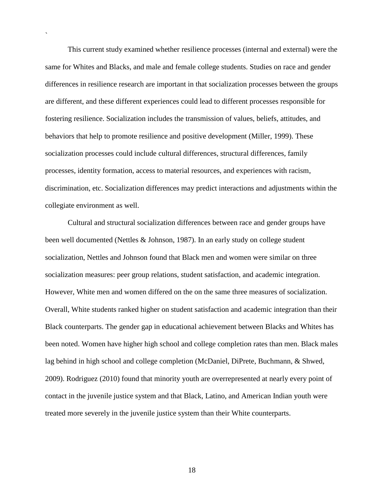This current study examined whether resilience processes (internal and external) were the same for Whites and Blacks, and male and female college students. Studies on race and gender differences in resilience research are important in that socialization processes between the groups are different, and these different experiences could lead to different processes responsible for fostering resilience. Socialization includes the transmission of values, beliefs, attitudes, and behaviors that help to promote resilience and positive development (Miller, 1999). These socialization processes could include cultural differences, structural differences, family processes, identity formation, access to material resources, and experiences with racism, discrimination, etc. Socialization differences may predict interactions and adjustments within the collegiate environment as well.

`

Cultural and structural socialization differences between race and gender groups have been well documented (Nettles & Johnson, 1987). In an early study on college student socialization, Nettles and Johnson found that Black men and women were similar on three socialization measures: peer group relations, student satisfaction, and academic integration. However, White men and women differed on the on the same three measures of socialization. Overall, White students ranked higher on student satisfaction and academic integration than their Black counterparts. The gender gap in educational achievement between Blacks and Whites has been noted. Women have higher high school and college completion rates than men. Black males lag behind in high school and college completion (McDaniel, DiPrete, Buchmann, & Shwed, 2009). Rodriguez (2010) found that minority youth are overrepresented at nearly every point of contact in the juvenile justice system and that Black, Latino, and American Indian youth were treated more severely in the juvenile justice system than their White counterparts.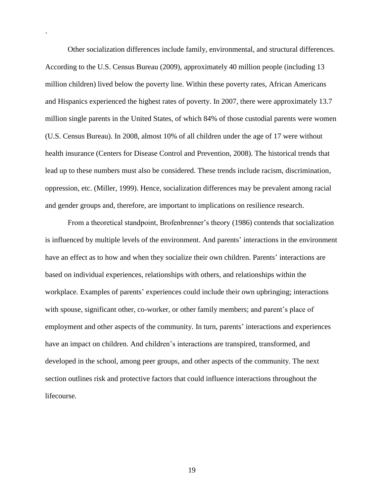Other socialization differences include family, environmental, and structural differences. According to the U.S. Census Bureau (2009), approximately 40 million people (including 13 million children) lived below the poverty line. Within these poverty rates, African Americans and Hispanics experienced the highest rates of poverty. In 2007, there were approximately 13.7 million single parents in the United States, of which 84% of those custodial parents were women (U.S. Census Bureau). In 2008, almost 10% of all children under the age of 17 were without health insurance (Centers for Disease Control and Prevention, 2008). The historical trends that lead up to these numbers must also be considered. These trends include racism, discrimination, oppression, etc. (Miller, 1999). Hence, socialization differences may be prevalent among racial and gender groups and, therefore, are important to implications on resilience research.

`

From a theoretical standpoint, Brofenbrenner's theory (1986) contends that socialization is influenced by multiple levels of the environment. And parents' interactions in the environment have an effect as to how and when they socialize their own children. Parents' interactions are based on individual experiences, relationships with others, and relationships within the workplace. Examples of parents' experiences could include their own upbringing; interactions with spouse, significant other, co-worker, or other family members; and parent's place of employment and other aspects of the community. In turn, parents' interactions and experiences have an impact on children. And children's interactions are transpired, transformed, and developed in the school, among peer groups, and other aspects of the community. The next section outlines risk and protective factors that could influence interactions throughout the lifecourse.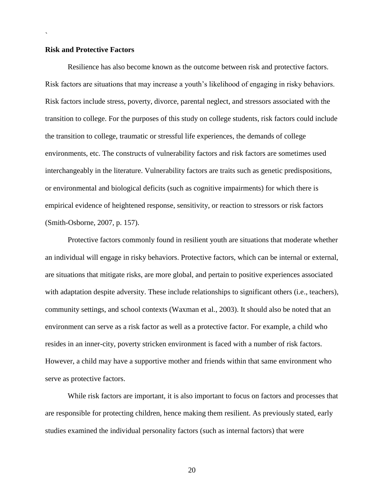### **Risk and Protective Factors**

`

Resilience has also become known as the outcome between risk and protective factors. Risk factors are situations that may increase a youth's likelihood of engaging in risky behaviors. Risk factors include stress, poverty, divorce, parental neglect, and stressors associated with the transition to college. For the purposes of this study on college students, risk factors could include the transition to college, traumatic or stressful life experiences, the demands of college environments, etc. The constructs of vulnerability factors and risk factors are sometimes used interchangeably in the literature. Vulnerability factors are traits such as genetic predispositions, or environmental and biological deficits (such as cognitive impairments) for which there is empirical evidence of heightened response, sensitivity, or reaction to stressors or risk factors (Smith-Osborne, 2007, p. 157).

Protective factors commonly found in resilient youth are situations that moderate whether an individual will engage in risky behaviors. Protective factors, which can be internal or external, are situations that mitigate risks, are more global, and pertain to positive experiences associated with adaptation despite adversity. These include relationships to significant others (i.e., teachers), community settings, and school contexts (Waxman et al., 2003). It should also be noted that an environment can serve as a risk factor as well as a protective factor. For example, a child who resides in an inner-city, poverty stricken environment is faced with a number of risk factors. However, a child may have a supportive mother and friends within that same environment who serve as protective factors.

While risk factors are important, it is also important to focus on factors and processes that are responsible for protecting children, hence making them resilient. As previously stated, early studies examined the individual personality factors (such as internal factors) that were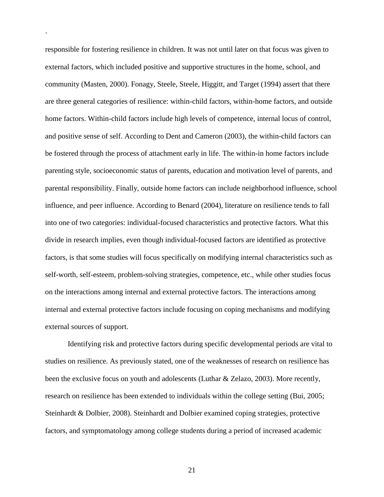responsible for fostering resilience in children. It was not until later on that focus was given to external factors, which included positive and supportive structures in the home, school, and community (Masten, 2000). Fonagy, Steele, Steele, Higgitt, and Target (1994) assert that there are three general categories of resilience: within-child factors, within-home factors, and outside home factors. Within-child factors include high levels of competence, internal locus of control, and positive sense of self. According to Dent and Cameron (2003), the within-child factors can be fostered through the process of attachment early in life. The within-in home factors include parenting style, socioeconomic status of parents, education and motivation level of parents, and parental responsibility. Finally, outside home factors can include neighborhood influence, school influence, and peer influence. According to Benard (2004), literature on resilience tends to fall into one of two categories: individual-focused characteristics and protective factors. What this divide in research implies, even though individual-focused factors are identified as protective factors, is that some studies will focus specifically on modifying internal characteristics such as self-worth, self-esteem, problem-solving strategies, competence, etc., while other studies focus on the interactions among internal and external protective factors. The interactions among internal and external protective factors include focusing on coping mechanisms and modifying external sources of support.

`

Identifying risk and protective factors during specific developmental periods are vital to studies on resilience. As previously stated, one of the weaknesses of research on resilience has been the exclusive focus on youth and adolescents (Luthar & Zelazo, 2003). More recently, research on resilience has been extended to individuals within the college setting (Bui, 2005; Steinhardt & Dolbier, 2008). Steinhardt and Dolbier examined coping strategies, protective factors, and symptomatology among college students during a period of increased academic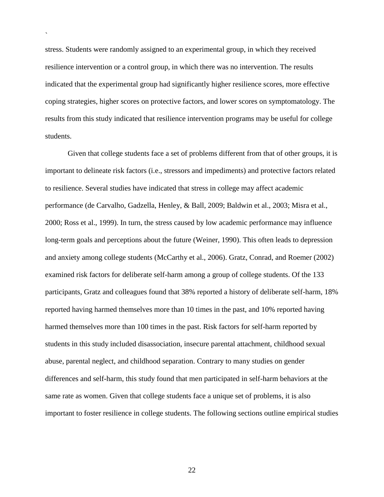stress. Students were randomly assigned to an experimental group, in which they received resilience intervention or a control group, in which there was no intervention. The results indicated that the experimental group had significantly higher resilience scores, more effective coping strategies, higher scores on protective factors, and lower scores on symptomatology. The results from this study indicated that resilience intervention programs may be useful for college students.

`

Given that college students face a set of problems different from that of other groups, it is important to delineate risk factors (i.e., stressors and impediments) and protective factors related to resilience. Several studies have indicated that stress in college may affect academic performance (de Carvalho, Gadzella, Henley, & Ball, 2009; Baldwin et al., 2003; Misra et al., 2000; Ross et al., 1999). In turn, the stress caused by low academic performance may influence long-term goals and perceptions about the future (Weiner, 1990). This often leads to depression and anxiety among college students (McCarthy et al., 2006). Gratz, Conrad, and Roemer (2002) examined risk factors for deliberate self-harm among a group of college students. Of the 133 participants, Gratz and colleagues found that 38% reported a history of deliberate self-harm, 18% reported having harmed themselves more than 10 times in the past, and 10% reported having harmed themselves more than 100 times in the past. Risk factors for self-harm reported by students in this study included disassociation, insecure parental attachment, childhood sexual abuse, parental neglect, and childhood separation. Contrary to many studies on gender differences and self-harm, this study found that men participated in self-harm behaviors at the same rate as women. Given that college students face a unique set of problems, it is also important to foster resilience in college students. The following sections outline empirical studies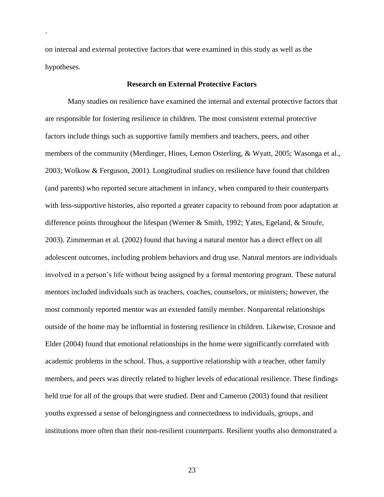on internal and external protective factors that were examined in this study as well as the hypotheses.

`

# **Research on External Protective Factors**

Many studies on resilience have examined the internal and external protective factors that are responsible for fostering resilience in children. The most consistent external protective factors include things such as supportive family members and teachers, peers, and other members of the community (Merdinger, Hines, Lemon Osterling, & Wyatt, 2005; Wasonga et al., 2003; Wolkow & Ferguson, 2001). Longitudinal studies on resilience have found that children (and parents) who reported secure attachment in infancy, when compared to their counterparts with less-supportive histories, also reported a greater capacity to rebound from poor adaptation at difference points throughout the lifespan (Werner & Smith, 1992; Yates, Egeland, & Sroufe, 2003). Zimmerman et al. (2002) found that having a natural mentor has a direct effect on all adolescent outcomes, including problem behaviors and drug use. Natural mentors are individuals involved in a person's life without being assigned by a formal mentoring program. These natural mentors included individuals such as teachers, coaches, counselors, or ministers; however, the most commonly reported mentor was an extended family member. Nonparental relationships outside of the home may be influential in fostering resilience in children. Likewise, Crosnoe and Elder (2004) found that emotional relationships in the home were significantly correlated with academic problems in the school. Thus, a supportive relationship with a teacher, other family members, and peers was directly related to higher levels of educational resilience. These findings held true for all of the groups that were studied. Dent and Cameron (2003) found that resilient youths expressed a sense of belongingness and connectedness to individuals, groups, and institutions more often than their non-resilient counterparts. Resilient youths also demonstrated a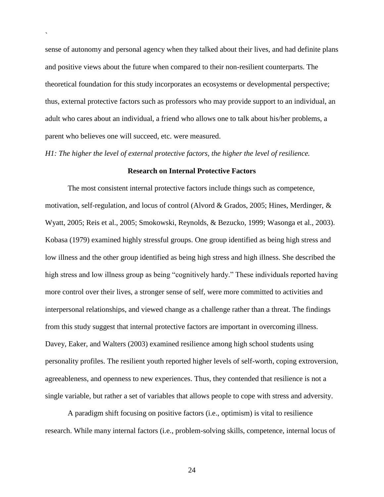sense of autonomy and personal agency when they talked about their lives, and had definite plans and positive views about the future when compared to their non-resilient counterparts. The theoretical foundation for this study incorporates an ecosystems or developmental perspective; thus, external protective factors such as professors who may provide support to an individual, an adult who cares about an individual, a friend who allows one to talk about his/her problems, a parent who believes one will succeed, etc. were measured.

*H1: The higher the level of external protective factors, the higher the level of resilience.* 

`

#### **Research on Internal Protective Factors**

The most consistent internal protective factors include things such as competence, motivation, self-regulation, and locus of control (Alvord & Grados, 2005; Hines, Merdinger, & Wyatt, 2005; Reis et al., 2005; Smokowski, Reynolds, & Bezucko, 1999; Wasonga et al., 2003). Kobasa (1979) examined highly stressful groups. One group identified as being high stress and low illness and the other group identified as being high stress and high illness. She described the high stress and low illness group as being "cognitively hardy." These individuals reported having more control over their lives, a stronger sense of self, were more committed to activities and interpersonal relationships, and viewed change as a challenge rather than a threat. The findings from this study suggest that internal protective factors are important in overcoming illness. Davey, Eaker, and Walters (2003) examined resilience among high school students using personality profiles. The resilient youth reported higher levels of self-worth, coping extroversion, agreeableness, and openness to new experiences. Thus, they contended that resilience is not a single variable, but rather a set of variables that allows people to cope with stress and adversity.

A paradigm shift focusing on positive factors (i.e., optimism) is vital to resilience research. While many internal factors (i.e., problem-solving skills, competence, internal locus of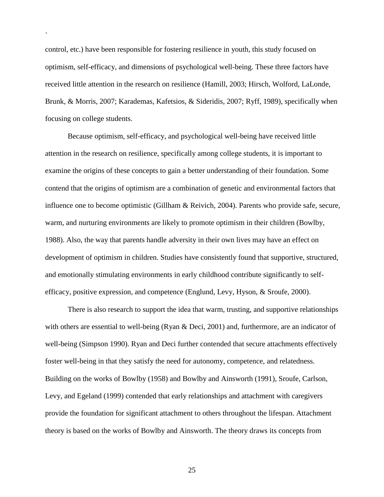control, etc.) have been responsible for fostering resilience in youth, this study focused on optimism, self-efficacy, and dimensions of psychological well-being. These three factors have received little attention in the research on resilience (Hamill, 2003; Hirsch, Wolford, LaLonde, Brunk, & Morris, 2007; Karademas, Kafetsios, & Sideridis, 2007; Ryff, 1989), specifically when focusing on college students.

`

Because optimism, self-efficacy, and psychological well-being have received little attention in the research on resilience, specifically among college students, it is important to examine the origins of these concepts to gain a better understanding of their foundation. Some contend that the origins of optimism are a combination of genetic and environmental factors that influence one to become optimistic (Gillham & Reivich, 2004). Parents who provide safe, secure, warm, and nurturing environments are likely to promote optimism in their children (Bowlby, 1988). Also, the way that parents handle adversity in their own lives may have an effect on development of optimism in children. Studies have consistently found that supportive, structured, and emotionally stimulating environments in early childhood contribute significantly to selfefficacy, positive expression, and competence (Englund, Levy, Hyson, & Sroufe, 2000).

There is also research to support the idea that warm, trusting, and supportive relationships with others are essential to well-being (Ryan & Deci, 2001) and, furthermore, are an indicator of well-being (Simpson 1990). Ryan and Deci further contended that secure attachments effectively foster well-being in that they satisfy the need for autonomy, competence, and relatedness. Building on the works of Bowlby (1958) and Bowlby and Ainsworth (1991), Sroufe, Carlson, Levy, and Egeland (1999) contended that early relationships and attachment with caregivers provide the foundation for significant attachment to others throughout the lifespan. Attachment theory is based on the works of Bowlby and Ainsworth. The theory draws its concepts from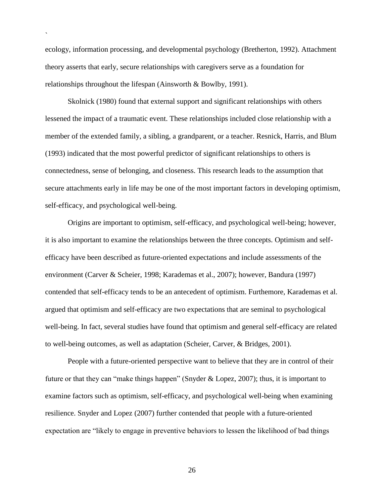ecology, information processing, and developmental psychology (Bretherton, 1992). Attachment theory asserts that early, secure relationships with caregivers serve as a foundation for relationships throughout the lifespan (Ainsworth & Bowlby, 1991).

`

Skolnick (1980) found that external support and significant relationships with others lessened the impact of a traumatic event. These relationships included close relationship with a member of the extended family, a sibling, a grandparent, or a teacher. Resnick, Harris, and Blum (1993) indicated that the most powerful predictor of significant relationships to others is connectedness, sense of belonging, and closeness. This research leads to the assumption that secure attachments early in life may be one of the most important factors in developing optimism, self-efficacy, and psychological well-being.

Origins are important to optimism, self-efficacy, and psychological well-being; however, it is also important to examine the relationships between the three concepts. Optimism and selfefficacy have been described as future-oriented expectations and include assessments of the environment (Carver & Scheier, 1998; Karademas et al., 2007); however, Bandura (1997) contended that self-efficacy tends to be an antecedent of optimism. Furthemore, Karademas et al. argued that optimism and self-efficacy are two expectations that are seminal to psychological well-being. In fact, several studies have found that optimism and general self-efficacy are related to well-being outcomes, as well as adaptation (Scheier, Carver, & Bridges, 2001).

People with a future-oriented perspective want to believe that they are in control of their future or that they can "make things happen" (Snyder  $& Lopez, 2007$ ); thus, it is important to examine factors such as optimism, self-efficacy, and psychological well-being when examining resilience. Snyder and Lopez (2007) further contended that people with a future-oriented expectation are "likely to engage in preventive behaviors to lessen the likelihood of bad things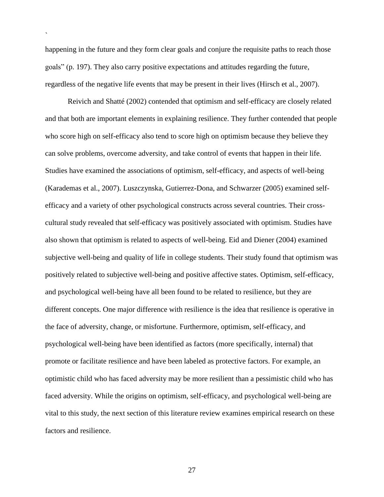happening in the future and they form clear goals and conjure the requisite paths to reach those goals" (p. 197). They also carry positive expectations and attitudes regarding the future, regardless of the negative life events that may be present in their lives (Hirsch et al., 2007).

`

Reivich and Shatté (2002) contended that optimism and self-efficacy are closely related and that both are important elements in explaining resilience. They further contended that people who score high on self-efficacy also tend to score high on optimism because they believe they can solve problems, overcome adversity, and take control of events that happen in their life. Studies have examined the associations of optimism, self-efficacy, and aspects of well-being (Karademas et al., 2007). Luszczynska, Gutierrez-Dona, and Schwarzer (2005) examined selfefficacy and a variety of other psychological constructs across several countries. Their crosscultural study revealed that self-efficacy was positively associated with optimism. Studies have also shown that optimism is related to aspects of well-being. Eid and Diener (2004) examined subjective well-being and quality of life in college students. Their study found that optimism was positively related to subjective well-being and positive affective states. Optimism, self-efficacy, and psychological well-being have all been found to be related to resilience, but they are different concepts. One major difference with resilience is the idea that resilience is operative in the face of adversity, change, or misfortune. Furthermore, optimism, self-efficacy, and psychological well-being have been identified as factors (more specifically, internal) that promote or facilitate resilience and have been labeled as protective factors. For example, an optimistic child who has faced adversity may be more resilient than a pessimistic child who has faced adversity. While the origins on optimism, self-efficacy, and psychological well-being are vital to this study, the next section of this literature review examines empirical research on these factors and resilience.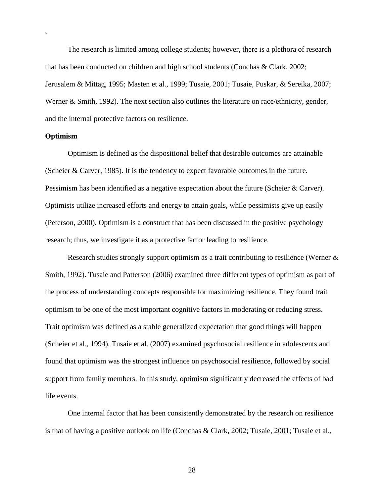The research is limited among college students; however, there is a plethora of research that has been conducted on children and high school students (Conchas & Clark, 2002; Jerusalem & Mittag, 1995; Masten et al., 1999; Tusaie, 2001; Tusaie, Puskar, & Sereika, 2007; Werner & Smith, 1992). The next section also outlines the literature on race/ethnicity, gender, and the internal protective factors on resilience.

#### **Optimism**

`

Optimism is defined as the dispositional belief that desirable outcomes are attainable (Scheier & Carver, 1985). It is the tendency to expect favorable outcomes in the future. Pessimism has been identified as a negative expectation about the future (Scheier & Carver). Optimists utilize increased efforts and energy to attain goals, while pessimists give up easily (Peterson, 2000). Optimism is a construct that has been discussed in the positive psychology research; thus, we investigate it as a protective factor leading to resilience.

Research studies strongly support optimism as a trait contributing to resilience (Werner & Smith, 1992). Tusaie and Patterson (2006) examined three different types of optimism as part of the process of understanding concepts responsible for maximizing resilience. They found trait optimism to be one of the most important cognitive factors in moderating or reducing stress. Trait optimism was defined as a stable generalized expectation that good things will happen (Scheier et al., 1994). Tusaie et al. (2007) examined psychosocial resilience in adolescents and found that optimism was the strongest influence on psychosocial resilience, followed by social support from family members. In this study, optimism significantly decreased the effects of bad life events.

One internal factor that has been consistently demonstrated by the research on resilience is that of having a positive outlook on life (Conchas & Clark, 2002; Tusaie, 2001; Tusaie et al.,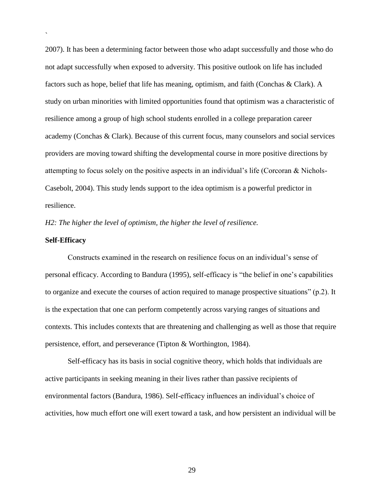2007). It has been a determining factor between those who adapt successfully and those who do not adapt successfully when exposed to adversity. This positive outlook on life has included factors such as hope, belief that life has meaning, optimism, and faith (Conchas & Clark). A study on urban minorities with limited opportunities found that optimism was a characteristic of resilience among a group of high school students enrolled in a college preparation career academy (Conchas & Clark). Because of this current focus, many counselors and social services providers are moving toward shifting the developmental course in more positive directions by attempting to focus solely on the positive aspects in an individual's life (Corcoran & Nichols-Casebolt, 2004). This study lends support to the idea optimism is a powerful predictor in resilience.

*H2: The higher the level of optimism, the higher the level of resilience.* 

#### **Self-Efficacy**

`

Constructs examined in the research on resilience focus on an individual's sense of personal efficacy. According to Bandura (1995), self-efficacy is "the belief in one's capabilities to organize and execute the courses of action required to manage prospective situations"  $(p.2)$ . It is the expectation that one can perform competently across varying ranges of situations and contexts. This includes contexts that are threatening and challenging as well as those that require persistence, effort, and perseverance (Tipton & Worthington, 1984).

Self-efficacy has its basis in social cognitive theory, which holds that individuals are active participants in seeking meaning in their lives rather than passive recipients of environmental factors (Bandura, 1986). Self-efficacy influences an individual's choice of activities, how much effort one will exert toward a task, and how persistent an individual will be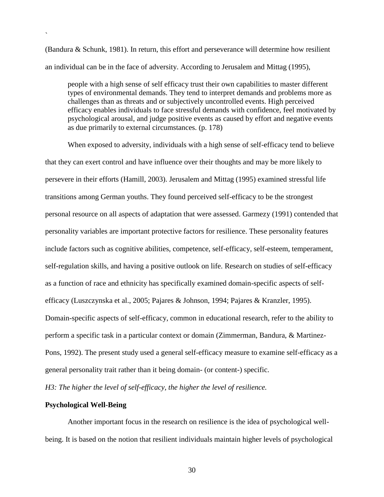(Bandura & Schunk, 1981). In return, this effort and perseverance will determine how resilient an individual can be in the face of adversity. According to Jerusalem and Mittag (1995),

people with a high sense of self efficacy trust their own capabilities to master different types of environmental demands. They tend to interpret demands and problems more as challenges than as threats and or subjectively uncontrolled events. High perceived efficacy enables individuals to face stressful demands with confidence, feel motivated by psychological arousal, and judge positive events as caused by effort and negative events as due primarily to external circumstances. (p. 178)

When exposed to adversity, individuals with a high sense of self-efficacy tend to believe that they can exert control and have influence over their thoughts and may be more likely to persevere in their efforts (Hamill, 2003). Jerusalem and Mittag (1995) examined stressful life transitions among German youths. They found perceived self-efficacy to be the strongest personal resource on all aspects of adaptation that were assessed. Garmezy (1991) contended that personality variables are important protective factors for resilience. These personality features include factors such as cognitive abilities, competence, self-efficacy, self-esteem, temperament, self-regulation skills, and having a positive outlook on life. Research on studies of self-efficacy as a function of race and ethnicity has specifically examined domain-specific aspects of selfefficacy (Luszczynska et al., 2005; Pajares & Johnson, 1994; Pajares & Kranzler, 1995). Domain-specific aspects of self-efficacy, common in educational research, refer to the ability to perform a specific task in a particular context or domain (Zimmerman, Bandura, & Martinez-Pons, 1992). The present study used a general self-efficacy measure to examine self-efficacy as a general personality trait rather than it being domain- (or content-) specific.

*H3: The higher the level of self-efficacy, the higher the level of resilience.* 

### **Psychological Well-Being**

`

Another important focus in the research on resilience is the idea of psychological wellbeing. It is based on the notion that resilient individuals maintain higher levels of psychological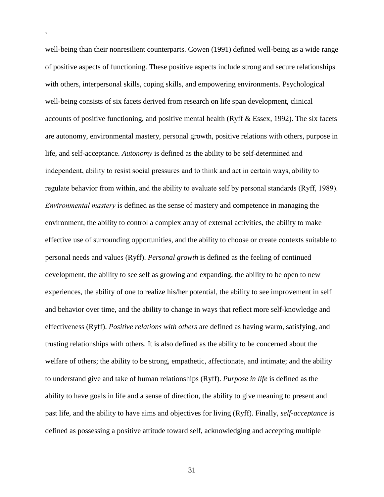well-being than their nonresilient counterparts. Cowen (1991) defined well-being as a wide range of positive aspects of functioning. These positive aspects include strong and secure relationships with others, interpersonal skills, coping skills, and empowering environments. Psychological well-being consists of six facets derived from research on life span development, clinical accounts of positive functioning, and positive mental health (Ryff & Essex, 1992). The six facets are autonomy, environmental mastery, personal growth, positive relations with others, purpose in life, and self-acceptance. *Autonomy* is defined as the ability to be self-determined and independent, ability to resist social pressures and to think and act in certain ways, ability to regulate behavior from within, and the ability to evaluate self by personal standards (Ryff, 1989). *Environmental mastery* is defined as the sense of mastery and competence in managing the environment, the ability to control a complex array of external activities, the ability to make effective use of surrounding opportunities, and the ability to choose or create contexts suitable to personal needs and values (Ryff). *Personal growth* is defined as the feeling of continued development, the ability to see self as growing and expanding, the ability to be open to new experiences, the ability of one to realize his/her potential, the ability to see improvement in self and behavior over time, and the ability to change in ways that reflect more self-knowledge and effectiveness (Ryff). *Positive relations with others* are defined as having warm, satisfying, and trusting relationships with others. It is also defined as the ability to be concerned about the welfare of others; the ability to be strong, empathetic, affectionate, and intimate; and the ability to understand give and take of human relationships (Ryff). *Purpose in life* is defined as the ability to have goals in life and a sense of direction, the ability to give meaning to present and past life, and the ability to have aims and objectives for living (Ryff). Finally, *self-acceptance* is defined as possessing a positive attitude toward self, acknowledging and accepting multiple

`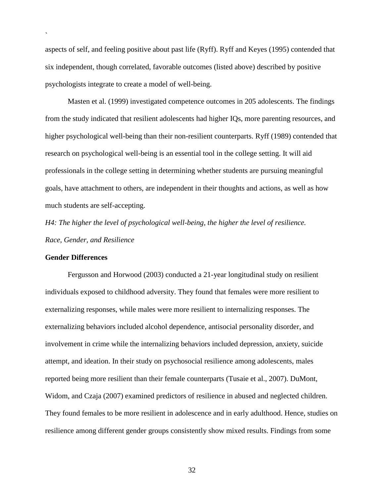aspects of self, and feeling positive about past life (Ryff). Ryff and Keyes (1995) contended that six independent, though correlated, favorable outcomes (listed above) described by positive psychologists integrate to create a model of well-being.

Masten et al. (1999) investigated competence outcomes in 205 adolescents. The findings from the study indicated that resilient adolescents had higher IQs, more parenting resources, and higher psychological well-being than their non-resilient counterparts. Ryff (1989) contended that research on psychological well-being is an essential tool in the college setting. It will aid professionals in the college setting in determining whether students are pursuing meaningful goals, have attachment to others, are independent in their thoughts and actions, as well as how much students are self-accepting.

*H4: The higher the level of psychological well-being, the higher the level of resilience. Race, Gender, and Resilience*

### **Gender Differences**

`

Fergusson and Horwood (2003) conducted a 21-year longitudinal study on resilient individuals exposed to childhood adversity. They found that females were more resilient to externalizing responses, while males were more resilient to internalizing responses. The externalizing behaviors included alcohol dependence, antisocial personality disorder, and involvement in crime while the internalizing behaviors included depression, anxiety, suicide attempt, and ideation. In their study on psychosocial resilience among adolescents, males reported being more resilient than their female counterparts (Tusaie et al., 2007). DuMont, Widom, and Czaja (2007) examined predictors of resilience in abused and neglected children. They found females to be more resilient in adolescence and in early adulthood. Hence, studies on resilience among different gender groups consistently show mixed results. Findings from some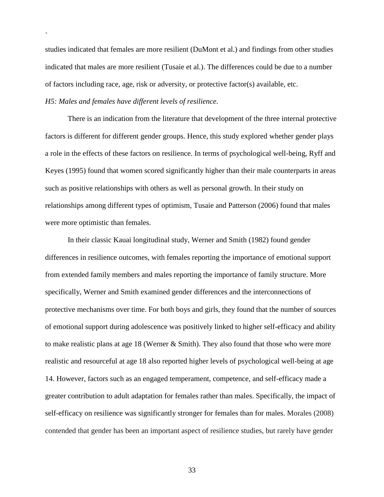studies indicated that females are more resilient (DuMont et al.) and findings from other studies indicated that males are more resilient (Tusaie et al.). The differences could be due to a number of factors including race, age, risk or adversity, or protective factor(s) available, etc.

### *H5: Males and females have different levels of resilience.*

`

There is an indication from the literature that development of the three internal protective factors is different for different gender groups. Hence, this study explored whether gender plays a role in the effects of these factors on resilience. In terms of psychological well-being, Ryff and Keyes (1995) found that women scored significantly higher than their male counterparts in areas such as positive relationships with others as well as personal growth. In their study on relationships among different types of optimism, Tusaie and Patterson (2006) found that males were more optimistic than females.

In their classic Kauai longitudinal study, Werner and Smith (1982) found gender differences in resilience outcomes, with females reporting the importance of emotional support from extended family members and males reporting the importance of family structure. More specifically, Werner and Smith examined gender differences and the interconnections of protective mechanisms over time. For both boys and girls, they found that the number of sources of emotional support during adolescence was positively linked to higher self-efficacy and ability to make realistic plans at age 18 (Werner & Smith). They also found that those who were more realistic and resourceful at age 18 also reported higher levels of psychological well-being at age 14. However, factors such as an engaged temperament, competence, and self-efficacy made a greater contribution to adult adaptation for females rather than males. Specifically, the impact of self-efficacy on resilience was significantly stronger for females than for males. Morales (2008) contended that gender has been an important aspect of resilience studies, but rarely have gender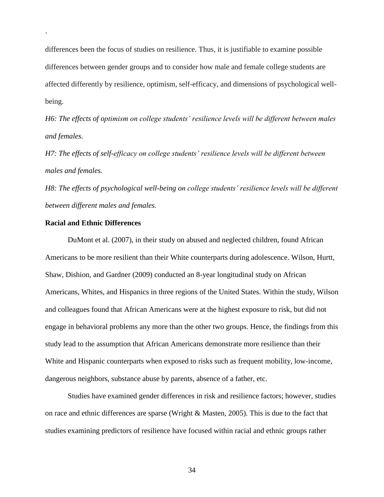differences been the focus of studies on resilience. Thus, it is justifiable to examine possible differences between gender groups and to consider how male and female college students are affected differently by resilience, optimism, self-efficacy, and dimensions of psychological wellbeing.

*H6: The effects of optimism on college students' resilience levels will be different between males and females.*

*H7: The effects of self-efficacy on college students' resilience levels will be different between males and females.*

*H8: The effects of psychological well-being on college students' resilience levels will be different between different males and females.*

### **Racial and Ethnic Differences**

`

DuMont et al. (2007), in their study on abused and neglected children, found African Americans to be more resilient than their White counterparts during adolescence. Wilson, Hurtt, Shaw, Dishion, and Gardner (2009) conducted an 8-year longitudinal study on African Americans, Whites, and Hispanics in three regions of the United States. Within the study, Wilson and colleagues found that African Americans were at the highest exposure to risk, but did not engage in behavioral problems any more than the other two groups. Hence, the findings from this study lead to the assumption that African Americans demonstrate more resilience than their White and Hispanic counterparts when exposed to risks such as frequent mobility, low-income, dangerous neighbors, substance abuse by parents, absence of a father, etc.

Studies have examined gender differences in risk and resilience factors; however, studies on race and ethnic differences are sparse (Wright & Masten, 2005). This is due to the fact that studies examining predictors of resilience have focused within racial and ethnic groups rather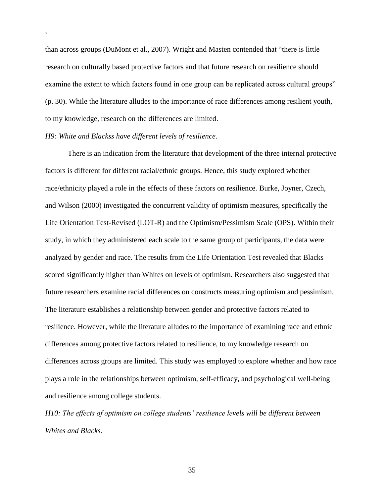than across groups (DuMont et al., 2007). Wright and Masten contended that "there is little research on culturally based protective factors and that future research on resilience should examine the extent to which factors found in one group can be replicated across cultural groups" (p. 30). While the literature alludes to the importance of race differences among resilient youth, to my knowledge, research on the differences are limited.

### *H9: White and Blackss have different levels of resilience.*

`

There is an indication from the literature that development of the three internal protective factors is different for different racial/ethnic groups. Hence, this study explored whether race/ethnicity played a role in the effects of these factors on resilience. Burke, Joyner, Czech, and Wilson (2000) investigated the concurrent validity of optimism measures, specifically the Life Orientation Test-Revised (LOT-R) and the Optimism/Pessimism Scale (OPS). Within their study, in which they administered each scale to the same group of participants, the data were analyzed by gender and race. The results from the Life Orientation Test revealed that Blacks scored significantly higher than Whites on levels of optimism. Researchers also suggested that future researchers examine racial differences on constructs measuring optimism and pessimism. The literature establishes a relationship between gender and protective factors related to resilience. However, while the literature alludes to the importance of examining race and ethnic differences among protective factors related to resilience, to my knowledge research on differences across groups are limited. This study was employed to explore whether and how race plays a role in the relationships between optimism, self-efficacy, and psychological well-being and resilience among college students.

*H10: The effects of optimism on college students' resilience levels will be different between Whites and Blacks.*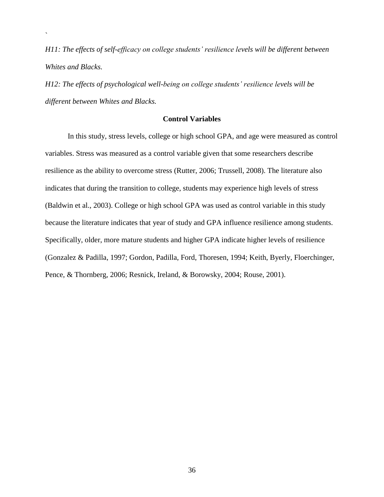*H11: The effects of self-efficacy on college students' resilience levels will be different between Whites and Blacks.* 

*H12: The effects of psychological well-being on college students' resilience levels will be different between Whites and Blacks.* 

`

## **Control Variables**

In this study, stress levels, college or high school GPA, and age were measured as control variables. Stress was measured as a control variable given that some researchers describe resilience as the ability to overcome stress (Rutter, 2006; Trussell, 2008). The literature also indicates that during the transition to college, students may experience high levels of stress (Baldwin et al., 2003). College or high school GPA was used as control variable in this study because the literature indicates that year of study and GPA influence resilience among students. Specifically, older, more mature students and higher GPA indicate higher levels of resilience (Gonzalez & Padilla, 1997; Gordon, Padilla, Ford, Thoresen, 1994; Keith, Byerly, Floerchinger, Pence, & Thornberg, 2006; Resnick, Ireland, & Borowsky, 2004; Rouse, 2001).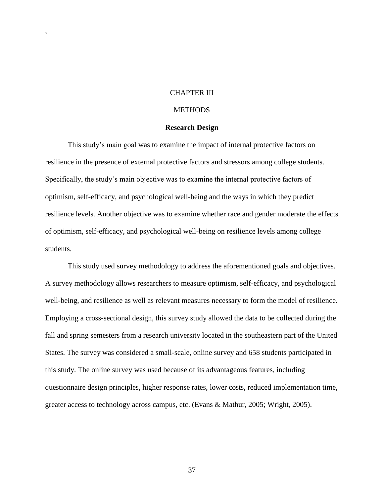### CHAPTER III

`

### **METHODS**

### **Research Design**

This study's main goal was to examine the impact of internal protective factors on resilience in the presence of external protective factors and stressors among college students. Specifically, the study's main objective was to examine the internal protective factors of optimism, self-efficacy, and psychological well-being and the ways in which they predict resilience levels. Another objective was to examine whether race and gender moderate the effects of optimism, self-efficacy, and psychological well-being on resilience levels among college students.

This study used survey methodology to address the aforementioned goals and objectives. A survey methodology allows researchers to measure optimism, self-efficacy, and psychological well-being, and resilience as well as relevant measures necessary to form the model of resilience. Employing a cross-sectional design, this survey study allowed the data to be collected during the fall and spring semesters from a research university located in the southeastern part of the United States. The survey was considered a small-scale, online survey and 658 students participated in this study. The online survey was used because of its advantageous features, including questionnaire design principles, higher response rates, lower costs, reduced implementation time, greater access to technology across campus, etc. (Evans & Mathur, 2005; Wright, 2005).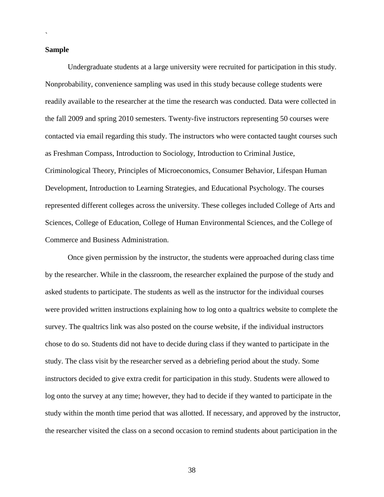#### **Sample**

`

Undergraduate students at a large university were recruited for participation in this study. Nonprobability, convenience sampling was used in this study because college students were readily available to the researcher at the time the research was conducted. Data were collected in the fall 2009 and spring 2010 semesters. Twenty-five instructors representing 50 courses were contacted via email regarding this study. The instructors who were contacted taught courses such as Freshman Compass, Introduction to Sociology, Introduction to Criminal Justice, Criminological Theory, Principles of Microeconomics, Consumer Behavior, Lifespan Human Development, Introduction to Learning Strategies, and Educational Psychology. The courses represented different colleges across the university. These colleges included College of Arts and Sciences, College of Education, College of Human Environmental Sciences, and the College of Commerce and Business Administration.

Once given permission by the instructor, the students were approached during class time by the researcher. While in the classroom, the researcher explained the purpose of the study and asked students to participate. The students as well as the instructor for the individual courses were provided written instructions explaining how to log onto a qualtrics website to complete the survey. The qualtrics link was also posted on the course website, if the individual instructors chose to do so. Students did not have to decide during class if they wanted to participate in the study. The class visit by the researcher served as a debriefing period about the study. Some instructors decided to give extra credit for participation in this study. Students were allowed to log onto the survey at any time; however, they had to decide if they wanted to participate in the study within the month time period that was allotted. If necessary, and approved by the instructor, the researcher visited the class on a second occasion to remind students about participation in the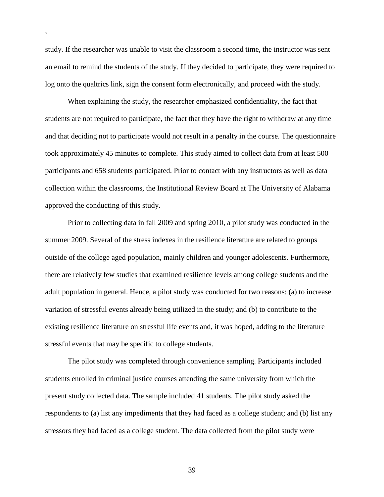study. If the researcher was unable to visit the classroom a second time, the instructor was sent an email to remind the students of the study. If they decided to participate, they were required to log onto the qualtrics link, sign the consent form electronically, and proceed with the study.

`

When explaining the study, the researcher emphasized confidentiality, the fact that students are not required to participate, the fact that they have the right to withdraw at any time and that deciding not to participate would not result in a penalty in the course. The questionnaire took approximately 45 minutes to complete. This study aimed to collect data from at least 500 participants and 658 students participated. Prior to contact with any instructors as well as data collection within the classrooms, the Institutional Review Board at The University of Alabama approved the conducting of this study.

Prior to collecting data in fall 2009 and spring 2010, a pilot study was conducted in the summer 2009. Several of the stress indexes in the resilience literature are related to groups outside of the college aged population, mainly children and younger adolescents. Furthermore, there are relatively few studies that examined resilience levels among college students and the adult population in general. Hence, a pilot study was conducted for two reasons: (a) to increase variation of stressful events already being utilized in the study; and (b) to contribute to the existing resilience literature on stressful life events and, it was hoped, adding to the literature stressful events that may be specific to college students.

The pilot study was completed through convenience sampling. Participants included students enrolled in criminal justice courses attending the same university from which the present study collected data. The sample included 41 students. The pilot study asked the respondents to (a) list any impediments that they had faced as a college student; and (b) list any stressors they had faced as a college student. The data collected from the pilot study were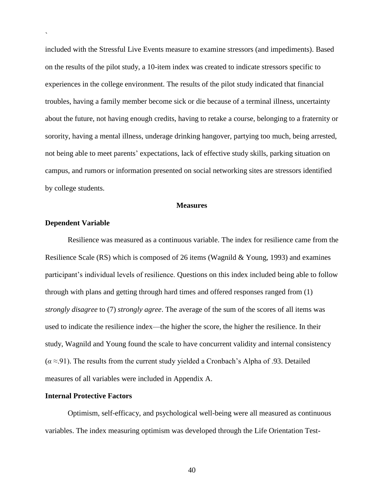included with the Stressful Live Events measure to examine stressors (and impediments). Based on the results of the pilot study, a 10-item index was created to indicate stressors specific to experiences in the college environment. The results of the pilot study indicated that financial troubles, having a family member become sick or die because of a terminal illness, uncertainty about the future, not having enough credits, having to retake a course, belonging to a fraternity or sorority, having a mental illness, underage drinking hangover, partying too much, being arrested, not being able to meet parents' expectations, lack of effective study skills, parking situation on campus, and rumors or information presented on social networking sites are stressors identified by college students.

#### **Measures**

#### **Dependent Variable**

`

Resilience was measured as a continuous variable. The index for resilience came from the Resilience Scale (RS) which is composed of 26 items (Wagnild & Young, 1993) and examines participant's individual levels of resilience. Questions on this index included being able to follow through with plans and getting through hard times and offered responses ranged from (1) *strongly disagree* to (7) *strongly agree*. The average of the sum of the scores of all items was used to indicate the resilience index—the higher the score, the higher the resilience. In their study, Wagnild and Young found the scale to have concurrent validity and internal consistency (*α* ≈.91). The results from the current study yielded a Cronbach's Alpha of .93. Detailed measures of all variables were included in Appendix A.

#### **Internal Protective Factors**

Optimism, self-efficacy, and psychological well-being were all measured as continuous variables. The index measuring optimism was developed through the Life Orientation Test-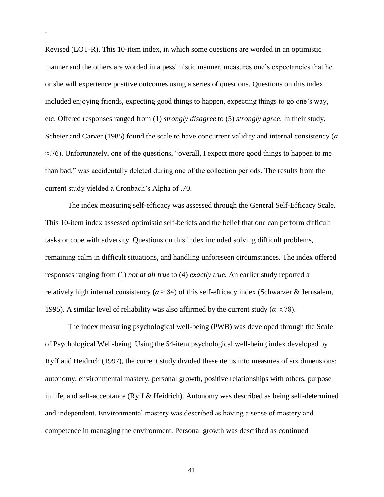Revised (LOT-R). This 10-item index, in which some questions are worded in an optimistic manner and the others are worded in a pessimistic manner, measures one's expectancies that he or she will experience positive outcomes using a series of questions. Questions on this index included enjoying friends, expecting good things to happen, expecting things to go one's way, etc. Offered responses ranged from (1) *strongly disagree* to (5) *strongly agree*. In their study, Scheier and Carver (1985) found the scale to have concurrent validity and internal consistency (*α*  $\approx$ .76). Unfortunately, one of the questions, "overall, I expect more good things to happen to me than bad," was accidentally deleted during one of the collection periods. The results from the current study yielded a Cronbach's Alpha of .70.

`

The index measuring self-efficacy was assessed through the General Self-Efficacy Scale. This 10-item index assessed optimistic self-beliefs and the belief that one can perform difficult tasks or cope with adversity. Questions on this index included solving difficult problems, remaining calm in difficult situations, and handling unforeseen circumstances. The index offered responses ranging from (1) *not at all true* to (4) *exactly true.* An earlier study reported a relatively high internal consistency ( $\alpha \approx 84$ ) of this self-efficacy index (Schwarzer & Jerusalem, 1995). A similar level of reliability was also affirmed by the current study ( $\alpha \approx 78$ ).

The index measuring psychological well-being (PWB) was developed through the Scale of Psychological Well-being. Using the 54-item psychological well-being index developed by Ryff and Heidrich (1997), the current study divided these items into measures of six dimensions: autonomy, environmental mastery, personal growth, positive relationships with others, purpose in life, and self-acceptance (Ryff & Heidrich). Autonomy was described as being self-determined and independent. Environmental mastery was described as having a sense of mastery and competence in managing the environment. Personal growth was described as continued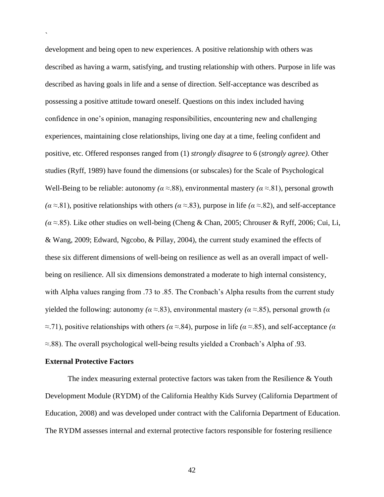development and being open to new experiences. A positive relationship with others was described as having a warm, satisfying, and trusting relationship with others. Purpose in life was described as having goals in life and a sense of direction. Self-acceptance was described as possessing a positive attitude toward oneself. Questions on this index included having confidence in one's opinion, managing responsibilities, encountering new and challenging experiences, maintaining close relationships, living one day at a time, feeling confident and positive, etc. Offered responses ranged from (1) *strongly disagree* to 6 (*strongly agree)*. Other studies (Ryff, 1989) have found the dimensions (or subscales) for the Scale of Psychological Well-Being to be reliable: autonomy  $(a \approx 88)$ , environmental mastery  $(a \approx 81)$ , personal growth *(α* ≈.81), positive relationships with others *(α* ≈.83), purpose in life *(α* ≈.82), and self-acceptance  $(a \approx 85)$ . Like other studies on well-being (Cheng & Chan, 2005; Chrouser & Ryff, 2006; Cui, Li, & Wang, 2009; Edward, Ngcobo, & Pillay, 2004), the current study examined the effects of these six different dimensions of well-being on resilience as well as an overall impact of wellbeing on resilience. All six dimensions demonstrated a moderate to high internal consistency, with Alpha values ranging from .73 to .85. The Cronbach's Alpha results from the current study yielded the following: autonomy  $(a \approx 83)$ , environmental mastery  $(a \approx 85)$ , personal growth  $(a \approx 85)$  $\approx$ .71), positive relationships with others *(α* $\approx$ .84), purpose in life *(α* $\approx$ .85), and self-acceptance *(α* ≈.88). The overall psychological well-being results yielded a Cronbach's Alpha of .93.

#### **External Protective Factors**

`

The index measuring external protective factors was taken from the Resilience & Youth Development Module (RYDM) of the California Healthy Kids Survey (California Department of Education, 2008) and was developed under contract with the California Department of Education. The RYDM assesses internal and external protective factors responsible for fostering resilience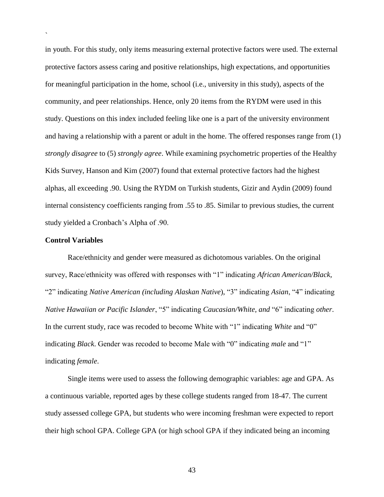in youth. For this study, only items measuring external protective factors were used. The external protective factors assess caring and positive relationships, high expectations, and opportunities for meaningful participation in the home, school (i.e., university in this study), aspects of the community, and peer relationships. Hence, only 20 items from the RYDM were used in this study. Questions on this index included feeling like one is a part of the university environment and having a relationship with a parent or adult in the home. The offered responses range from (1) *strongly disagree* to (5) *strongly agree*. While examining psychometric properties of the Healthy Kids Survey, Hanson and Kim (2007) found that external protective factors had the highest alphas, all exceeding .90. Using the RYDM on Turkish students, Gizir and Aydin (2009) found internal consistency coefficients ranging from .55 to .85. Similar to previous studies, the current study yielded a Cronbach's Alpha of .90.

#### **Control Variables**

`

Race/ethnicity and gender were measured as dichotomous variables. On the original survey, Race/ethnicity was offered with responses with "1" indicating *African American/Black*, ―2‖ indicating *Native American (including Alaskan Native*), ―3‖ indicating *Asian*, ―4‖ indicating *Native Hawaiian or Pacific Islander*, "5" indicating *Caucasian/White, and* "6" indicating *other*. In the current study, race was recoded to become White with "1" indicating *White* and "0" indicating *Black*. Gender was recoded to become Male with "0" indicating *male* and "1" indicating *female*.

Single items were used to assess the following demographic variables: age and GPA. As a continuous variable, reported ages by these college students ranged from 18-47. The current study assessed college GPA, but students who were incoming freshman were expected to report their high school GPA. College GPA (or high school GPA if they indicated being an incoming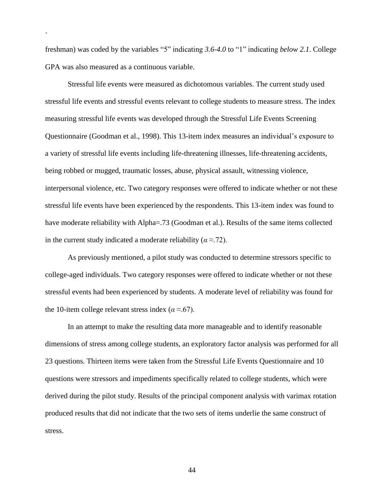freshman) was coded by the variables "5" indicating 3.6-4.0 to "1" indicating *below 2.1*. College GPA was also measured as a continuous variable.

`

Stressful life events were measured as dichotomous variables. The current study used stressful life events and stressful events relevant to college students to measure stress. The index measuring stressful life events was developed through the Stressful Life Events Screening Questionnaire (Goodman et al., 1998). This 13-item index measures an individual's exposure to a variety of stressful life events including life-threatening illnesses, life-threatening accidents, being robbed or mugged, traumatic losses, abuse, physical assault, witnessing violence, interpersonal violence, etc. Two category responses were offered to indicate whether or not these stressful life events have been experienced by the respondents. This 13-item index was found to have moderate reliability with Alpha=.73 (Goodman et al.). Results of the same items collected in the current study indicated a moderate reliability ( $\alpha \approx$ .72).

As previously mentioned, a pilot study was conducted to determine stressors specific to college-aged individuals. Two category responses were offered to indicate whether or not these stressful events had been experienced by students. A moderate level of reliability was found for the 10-item college relevant stress index ( $\alpha \approx 67$ ).

In an attempt to make the resulting data more manageable and to identify reasonable dimensions of stress among college students, an exploratory factor analysis was performed for all 23 questions. Thirteen items were taken from the Stressful Life Events Questionnaire and 10 questions were stressors and impediments specifically related to college students, which were derived during the pilot study. Results of the principal component analysis with varimax rotation produced results that did not indicate that the two sets of items underlie the same construct of stress.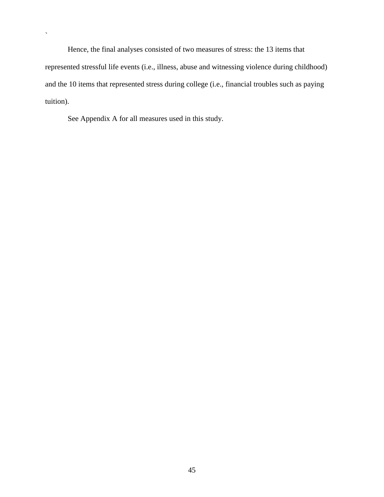Hence, the final analyses consisted of two measures of stress: the 13 items that represented stressful life events (i.e., illness, abuse and witnessing violence during childhood) and the 10 items that represented stress during college (i.e., financial troubles such as paying tuition).

See Appendix A for all measures used in this study.

 $\ddot{\phantom{0}}$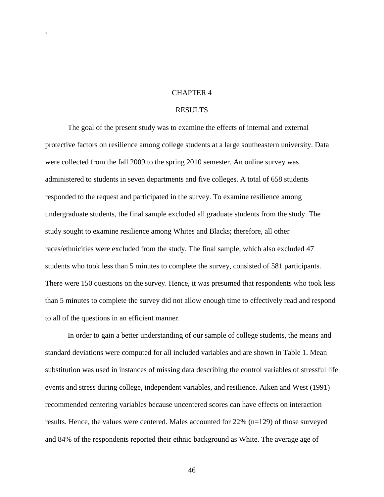#### CHAPTER 4

`

### RESULTS

The goal of the present study was to examine the effects of internal and external protective factors on resilience among college students at a large southeastern university. Data were collected from the fall 2009 to the spring 2010 semester. An online survey was administered to students in seven departments and five colleges. A total of 658 students responded to the request and participated in the survey. To examine resilience among undergraduate students, the final sample excluded all graduate students from the study. The study sought to examine resilience among Whites and Blacks; therefore, all other races/ethnicities were excluded from the study. The final sample, which also excluded 47 students who took less than 5 minutes to complete the survey, consisted of 581 participants. There were 150 questions on the survey. Hence, it was presumed that respondents who took less than 5 minutes to complete the survey did not allow enough time to effectively read and respond to all of the questions in an efficient manner.

In order to gain a better understanding of our sample of college students, the means and standard deviations were computed for all included variables and are shown in Table 1. Mean substitution was used in instances of missing data describing the control variables of stressful life events and stress during college, independent variables, and resilience. Aiken and West (1991) recommended centering variables because uncentered scores can have effects on interaction results. Hence, the values were centered. Males accounted for 22% (n=129) of those surveyed and 84% of the respondents reported their ethnic background as White. The average age of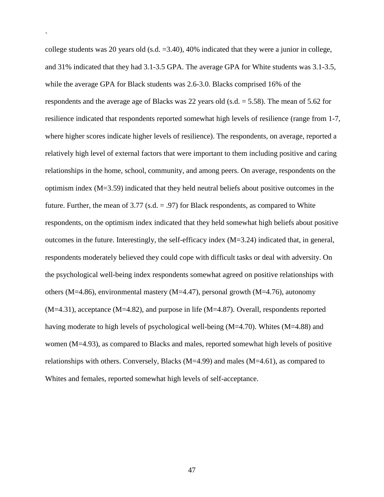college students was 20 years old (s.d.  $=3.40$ ), 40% indicated that they were a junior in college, and 31% indicated that they had 3.1-3.5 GPA. The average GPA for White students was 3.1-3.5, while the average GPA for Black students was 2.6-3.0. Blacks comprised 16% of the respondents and the average age of Blacks was 22 years old (s.d.  $=$  5.58). The mean of 5.62 for resilience indicated that respondents reported somewhat high levels of resilience (range from 1-7, where higher scores indicate higher levels of resilience). The respondents, on average, reported a relatively high level of external factors that were important to them including positive and caring relationships in the home, school, community, and among peers. On average, respondents on the optimism index (M=3.59) indicated that they held neutral beliefs about positive outcomes in the future. Further, the mean of  $3.77$  (s.d. = .97) for Black respondents, as compared to White respondents, on the optimism index indicated that they held somewhat high beliefs about positive outcomes in the future. Interestingly, the self-efficacy index  $(M=3.24)$  indicated that, in general, respondents moderately believed they could cope with difficult tasks or deal with adversity. On the psychological well-being index respondents somewhat agreed on positive relationships with others (M=4.86), environmental mastery (M=4.47), personal growth (M=4.76), autonomy (M=4.31), acceptance (M=4.82), and purpose in life (M=4.87). Overall, respondents reported having moderate to high levels of psychological well-being (M=4.70). Whites (M=4.88) and women (M=4.93), as compared to Blacks and males, reported somewhat high levels of positive relationships with others. Conversely, Blacks ( $M=4.99$ ) and males ( $M=4.61$ ), as compared to Whites and females, reported somewhat high levels of self-acceptance.

`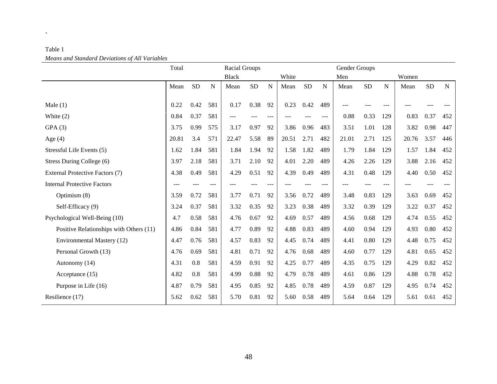| $\ldots$                                | Total |           |     | Racial Groups |            |     |       |      |             | Gender Groups |           |           |       |           |           |
|-----------------------------------------|-------|-----------|-----|---------------|------------|-----|-------|------|-------------|---------------|-----------|-----------|-------|-----------|-----------|
|                                         |       |           |     | <b>Black</b>  |            |     | White |      |             | Men           |           |           | Women |           |           |
|                                         | Mean  | <b>SD</b> | N   | Mean          | ${\rm SD}$ | N   | Mean  | SD   | $\mathbf N$ | Mean          | <b>SD</b> | ${\bf N}$ | Mean  | <b>SD</b> | ${\bf N}$ |
| Male $(1)$                              | 0.22  | 0.42      | 581 | 0.17          | 0.38       | 92  | 0.23  | 0.42 | 489         |               |           |           |       |           |           |
| White $(2)$                             | 0.84  | 0.37      | 581 | ---           |            | --- |       |      |             | 0.88          | 0.33      | 129       | 0.83  | 0.37      | 452       |
| GPA(3)                                  | 3.75  | 0.99      | 575 | 3.17          | 0.97       | 92  | 3.86  | 0.96 | 483         | 3.51          | 1.01      | 128       | 3.82  | 0.98      | 447       |
| Age $(4)$                               | 20.81 | 3.4       | 571 | 22.47         | 5.58       | 89  | 20.51 | 2.71 | 482         | 21.01         | 2.71      | 125       | 20.76 | 3.57      | 446       |
| Stressful Life Events (5)               | 1.62  | 1.84      | 581 | 1.84          | 1.94       | 92  | 1.58  | 1.82 | 489         | 1.79          | 1.84      | 129       | 1.57  | 1.84      | 452       |
| Stress During College (6)               | 3.97  | 2.18      | 581 | 3.71          | 2.10       | 92  | 4.01  | 2.20 | 489         | 4.26          | 2.26      | 129       | 3.88  | 2.16      | 452       |
| External Protective Factors (7)         | 4.38  | 0.49      | 581 | 4.29          | 0.51       | 92  | 4.39  | 0.49 | 489         | 4.31          | 0.48      | 129       | 4.40  | 0.50      | 452       |
| <b>Internal Protective Factors</b>      |       |           |     |               |            |     |       |      |             |               |           |           |       |           |           |
| Optimism (8)                            | 3.59  | 0.72      | 581 | 3.77          | 0.71       | 92  | 3.56  | 0.72 | 489         | 3.48          | 0.83      | 129       | 3.63  | 0.69      | 452       |
| Self-Efficacy (9)                       | 3.24  | 0.37      | 581 | 3.32          | 0.35       | 92  | 3.23  | 0.38 | 489         | 3.32          | 0.39      | 129       | 3.22  | 0.37      | 452       |
| Psychological Well-Being (10)           | 4.7   | 0.58      | 581 | 4.76          | 0.67       | 92  | 4.69  | 0.57 | 489         | 4.56          | 0.68      | 129       | 4.74  | 0.55      | 452       |
| Positive Relationships with Others (11) | 4.86  | 0.84      | 581 | 4.77          | 0.89       | 92  | 4.88  | 0.83 | 489         | 4.60          | 0.94      | 129       | 4.93  | 0.80      | 452       |
| Environmental Mastery (12)              | 4.47  | 0.76      | 581 | 4.57          | 0.83       | 92  | 4.45  | 0.74 | 489         | 4.41          | 0.80      | 129       | 4.48  | 0.75      | 452       |
| Personal Growth (13)                    | 4.76  | 0.69      | 581 | 4.81          | 0.71       | 92  | 4.76  | 0.68 | 489         | 4.60          | 0.77      | 129       | 4.81  | 0.65      | 452       |
| Autonomy (14)                           | 4.31  | 0.8       | 581 | 4.59          | 0.91       | 92  | 4.25  | 0.77 | 489         | 4.35          | 0.75      | 129       | 4.29  | 0.82      | 452       |
| Acceptance (15)                         | 4.82  | 0.8       | 581 | 4.99          | 0.88       | 92  | 4.79  | 0.78 | 489         | 4.61          | 0.86      | 129       | 4.88  | 0.78      | 452       |
| Purpose in Life (16)                    | 4.87  | 0.79      | 581 | 4.95          | 0.85       | 92  | 4.85  | 0.78 | 489         | 4.59          | 0.87      | 129       | 4.95  | 0.74      | 452       |
| Resilience (17)                         | 5.62  | 0.62      | 581 | 5.70          | 0.81       | 92  | 5.60  | 0.58 | 489         | 5.64          | 0.64      | 129       | 5.61  | 0.61      | 452       |

# Table 1 *Means and Standard Deviations of All Variables*

 $\mathbf{x}^{(i)}$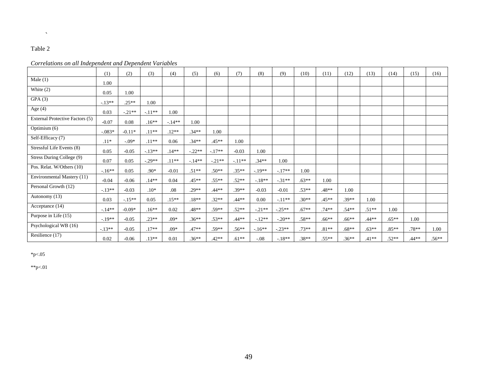## Table 2

 $\mathcal{O}(\mathbb{R}^d)$ 

### *Correlations on all Independent and Dependent Variables*

|                                 | (1)      | (2)      | (3)      | (4)     | (5)      | (6)      | (7)      | (8)      | (9)      | (10)    | (11)     | (12)    | (13)    | (14)     | (15)    | (16)    |
|---------------------------------|----------|----------|----------|---------|----------|----------|----------|----------|----------|---------|----------|---------|---------|----------|---------|---------|
| Male $(1)$                      | 1.00     |          |          |         |          |          |          |          |          |         |          |         |         |          |         |         |
| White $(2)$                     | 0.05     | 1.00     |          |         |          |          |          |          |          |         |          |         |         |          |         |         |
| GPA(3)                          | $-13**$  | $.25**$  | 1.00     |         |          |          |          |          |          |         |          |         |         |          |         |         |
| Age $(4)$                       | 0.03     | $-.21**$ | $-.11**$ | 1.00    |          |          |          |          |          |         |          |         |         |          |         |         |
| External Protective Factors (5) | $-0.07$  | 0.08     | $.16**$  | $-14**$ | 1.00     |          |          |          |          |         |          |         |         |          |         |         |
| Optimism $(6)$                  | $-.083*$ | $-0.11*$ | $.11**$  | $.12**$ | $.34**$  | 1.00     |          |          |          |         |          |         |         |          |         |         |
| Self-Efficacy (7)               | $.11*$   | $-.09*$  | $.11**$  | 0.06    | $.34**$  | $.45**$  | 1.00     |          |          |         |          |         |         |          |         |         |
| Stressful Life Events (8)       | 0.05     | $-0.05$  | $-.13**$ | $.14**$ | $-.22**$ | $-.17**$ | $-0.03$  | 1.00     |          |         |          |         |         |          |         |         |
| Stress During College (9)       | 0.07     | 0.05     | $-.29**$ | $.11**$ | $-.14**$ | $-.21**$ | $-.11**$ | $.34**$  | 1.00     |         |          |         |         |          |         |         |
| Pos. Relat. W/Others (10)       | $-16**$  | 0.05     | $.90*$   | $-0.01$ | $.51**$  | $.50**$  | $.35**$  | $-.19**$ | $-17**$  | 1.00    |          |         |         |          |         |         |
| Environmental Mastery (11)      | $-0.04$  | $-0.06$  | $.14**$  | 0.04    | $.45**$  | $.55***$ | $.52**$  | $-.18**$ | $-31**$  | $.63**$ | 1.00     |         |         |          |         |         |
| Personal Growth (12)            | $-.13**$ | $-0.03$  | $.10*$   | .08     | $.29**$  | $.44**$  | $.39**$  | $-0.03$  | $-0.01$  | $.53**$ | $.48**$  | 1.00    |         |          |         |         |
| Autonomy (13)                   | 0.03     | $-.15**$ | 0.05     | $.15**$ | $.18**$  | $.32**$  | $.44**$  | 0.00     | $-11**$  | $.30**$ | $.45**$  | .39**   | 1.00    |          |         |         |
| Acceptance (14)                 | $-.14**$ | $-0.09*$ | $.16**$  | 0.02    | $.48**$  | $.59**$  | $.52**$  | $-.21**$ | $-.25**$ | $.67**$ | $.74**$  | $.54**$ | $.51**$ | 1.00     |         |         |
| Purpose in Life (15)            | $-.19**$ | $-0.05$  | $.23**$  | $.09*$  | $.36**$  | $.53**$  | $.44**$  | $-.12**$ | $-.20**$ | $.58**$ | $.66***$ | $.66**$ | $.44**$ | $.65***$ | 1.00    |         |
| Psychological WB (16)           | $-13**$  | $-0.05$  | $.17**$  | $.09*$  | $.47**$  | $.59**$  | $.56**$  | $-16**$  | $-.23**$ | $.73**$ | $.81**$  | $.68**$ | $.63**$ | $.85**$  | $.78**$ | 1.00    |
| Resilience (17)                 | 0.02     | $-0.06$  | $.13**$  | 0.01    | $.36**$  | $.42**$  | $.61**$  | $-0.08$  | $-18**$  | $.38**$ | $.55**$  | $.36**$ | $.41**$ | $.52**$  | $.44**$ | $.56**$ |

 $*_{p<.05}$ 

 $*p<.01$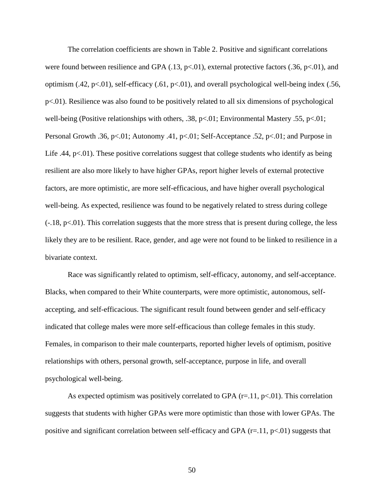The correlation coefficients are shown in Table 2. Positive and significant correlations were found between resilience and GPA  $(.13, p<.01)$ , external protective factors  $(.36, p<.01)$ , and optimism (.42,  $p<01$ ), self-efficacy (.61,  $p<01$ ), and overall psychological well-being index (.56, p<.01). Resilience was also found to be positively related to all six dimensions of psychological well-being (Positive relationships with others, .38,  $p<.01$ ; Environmental Mastery .55,  $p<.01$ ; Personal Growth .36, p<.01; Autonomy .41, p<.01; Self-Acceptance .52, p<.01; and Purpose in Life .44,  $p<.01$ ). These positive correlations suggest that college students who identify as being resilient are also more likely to have higher GPAs, report higher levels of external protective factors, are more optimistic, are more self-efficacious, and have higher overall psychological well-being. As expected, resilience was found to be negatively related to stress during college  $(-.18, p<.01)$ . This correlation suggests that the more stress that is present during college, the less likely they are to be resilient. Race, gender, and age were not found to be linked to resilience in a bivariate context.

Race was significantly related to optimism, self-efficacy, autonomy, and self-acceptance. Blacks, when compared to their White counterparts, were more optimistic, autonomous, selfaccepting, and self-efficacious. The significant result found between gender and self-efficacy indicated that college males were more self-efficacious than college females in this study. Females, in comparison to their male counterparts, reported higher levels of optimism, positive relationships with others, personal growth, self-acceptance, purpose in life, and overall psychological well-being.

As expected optimism was positively correlated to GPA  $(r=11, p<0.01)$ . This correlation suggests that students with higher GPAs were more optimistic than those with lower GPAs. The positive and significant correlation between self-efficacy and GPA  $(r=11, p<0.01)$  suggests that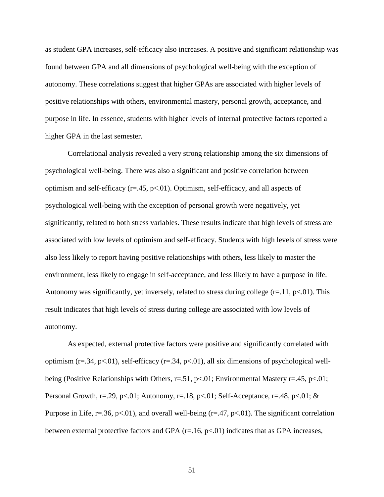as student GPA increases, self-efficacy also increases. A positive and significant relationship was found between GPA and all dimensions of psychological well-being with the exception of autonomy. These correlations suggest that higher GPAs are associated with higher levels of positive relationships with others, environmental mastery, personal growth, acceptance, and purpose in life. In essence, students with higher levels of internal protective factors reported a higher GPA in the last semester.

Correlational analysis revealed a very strong relationship among the six dimensions of psychological well-being. There was also a significant and positive correlation between optimism and self-efficacy  $(r=.45, p<.01)$ . Optimism, self-efficacy, and all aspects of psychological well-being with the exception of personal growth were negatively, yet significantly, related to both stress variables. These results indicate that high levels of stress are associated with low levels of optimism and self-efficacy. Students with high levels of stress were also less likely to report having positive relationships with others, less likely to master the environment, less likely to engage in self-acceptance, and less likely to have a purpose in life. Autonomy was significantly, yet inversely, related to stress during college  $(r=11, p<01)$ . This result indicates that high levels of stress during college are associated with low levels of autonomy.

As expected, external protective factors were positive and significantly correlated with optimism ( $r=.34$ ,  $p<.01$ ), self-efficacy ( $r=.34$ ,  $p<.01$ ), all six dimensions of psychological wellbeing (Positive Relationships with Others, r=.51, p<.01; Environmental Mastery r=.45, p<.01; Personal Growth, r=.29, p<.01; Autonomy, r=.18, p<.01; Self-Acceptance, r=.48, p<.01; & Purpose in Life, r=.36, p<.01), and overall well-being (r=.47, p<.01). The significant correlation between external protective factors and GPA  $(r=16, p<0.01)$  indicates that as GPA increases,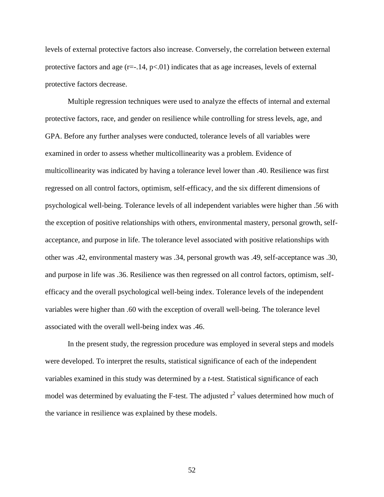levels of external protective factors also increase. Conversely, the correlation between external protective factors and age  $(r=-.14, p<.01)$  indicates that as age increases, levels of external protective factors decrease.

Multiple regression techniques were used to analyze the effects of internal and external protective factors, race, and gender on resilience while controlling for stress levels, age, and GPA. Before any further analyses were conducted, tolerance levels of all variables were examined in order to assess whether multicollinearity was a problem. Evidence of multicollinearity was indicated by having a tolerance level lower than .40. Resilience was first regressed on all control factors, optimism, self-efficacy, and the six different dimensions of psychological well-being. Tolerance levels of all independent variables were higher than .56 with the exception of positive relationships with others, environmental mastery, personal growth, selfacceptance, and purpose in life. The tolerance level associated with positive relationships with other was .42, environmental mastery was .34, personal growth was .49, self-acceptance was .30, and purpose in life was .36. Resilience was then regressed on all control factors, optimism, selfefficacy and the overall psychological well-being index. Tolerance levels of the independent variables were higher than .60 with the exception of overall well-being. The tolerance level associated with the overall well-being index was .46.

In the present study, the regression procedure was employed in several steps and models were developed. To interpret the results, statistical significance of each of the independent variables examined in this study was determined by a *t*-test. Statistical significance of each model was determined by evaluating the F-test. The adjusted  $r^2$  values determined how much of the variance in resilience was explained by these models.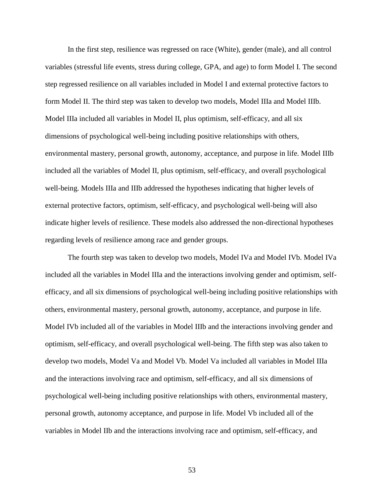In the first step, resilience was regressed on race (White), gender (male), and all control variables (stressful life events, stress during college, GPA, and age) to form Model I. The second step regressed resilience on all variables included in Model I and external protective factors to form Model II. The third step was taken to develop two models, Model IIIa and Model IIIb. Model IIIa included all variables in Model II, plus optimism, self-efficacy, and all six dimensions of psychological well-being including positive relationships with others, environmental mastery, personal growth, autonomy, acceptance, and purpose in life. Model IIIb included all the variables of Model II, plus optimism, self-efficacy, and overall psychological well-being. Models IIIa and IIIb addressed the hypotheses indicating that higher levels of external protective factors, optimism, self-efficacy, and psychological well-being will also indicate higher levels of resilience. These models also addressed the non-directional hypotheses regarding levels of resilience among race and gender groups.

The fourth step was taken to develop two models, Model IVa and Model IVb. Model IVa included all the variables in Model IIIa and the interactions involving gender and optimism, selfefficacy, and all six dimensions of psychological well-being including positive relationships with others, environmental mastery, personal growth, autonomy, acceptance, and purpose in life. Model IVb included all of the variables in Model IIIb and the interactions involving gender and optimism, self-efficacy, and overall psychological well-being. The fifth step was also taken to develop two models, Model Va and Model Vb. Model Va included all variables in Model IIIa and the interactions involving race and optimism, self-efficacy, and all six dimensions of psychological well-being including positive relationships with others, environmental mastery, personal growth, autonomy acceptance, and purpose in life. Model Vb included all of the variables in Model IIb and the interactions involving race and optimism, self-efficacy, and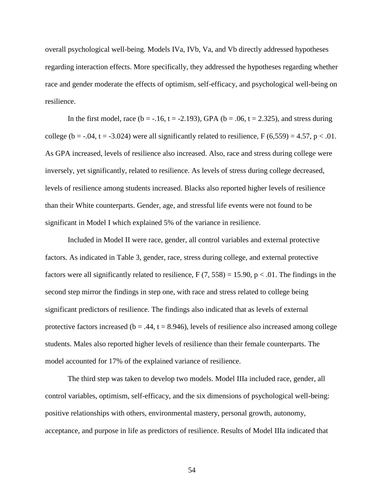overall psychological well-being. Models IVa, IVb, Va, and Vb directly addressed hypotheses regarding interaction effects. More specifically, they addressed the hypotheses regarding whether race and gender moderate the effects of optimism, self-efficacy, and psychological well-being on resilience.

In the first model, race (b = -.16, t = -2.193), GPA (b = .06, t = 2.325), and stress during college (b = -.04, t = -3.024) were all significantly related to resilience, F (6,559) = 4.57, p < .01. As GPA increased, levels of resilience also increased. Also, race and stress during college were inversely, yet significantly, related to resilience. As levels of stress during college decreased, levels of resilience among students increased. Blacks also reported higher levels of resilience than their White counterparts. Gender, age, and stressful life events were not found to be significant in Model I which explained 5% of the variance in resilience.

Included in Model II were race, gender, all control variables and external protective factors. As indicated in Table 3, gender, race, stress during college, and external protective factors were all significantly related to resilience, F  $(7, 558) = 15.90$ , p  $< .01$ . The findings in the second step mirror the findings in step one, with race and stress related to college being significant predictors of resilience. The findings also indicated that as levels of external protective factors increased ( $b = .44$ ,  $t = 8.946$ ), levels of resilience also increased among college students. Males also reported higher levels of resilience than their female counterparts. The model accounted for 17% of the explained variance of resilience.

The third step was taken to develop two models. Model IIIa included race, gender, all control variables, optimism, self-efficacy, and the six dimensions of psychological well-being: positive relationships with others, environmental mastery, personal growth, autonomy, acceptance, and purpose in life as predictors of resilience. Results of Model IIIa indicated that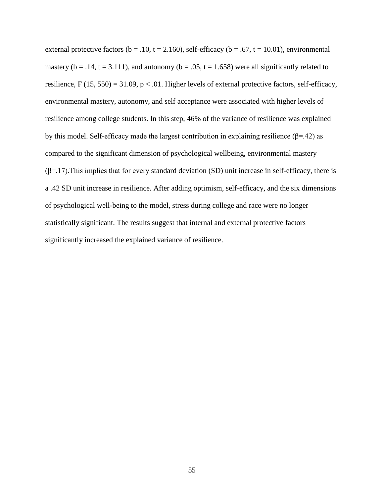external protective factors ( $b = .10$ ,  $t = 2.160$ ), self-efficacy ( $b = .67$ ,  $t = 10.01$ ), environmental mastery ( $b = .14$ ,  $t = 3.111$ ), and autonomy ( $b = .05$ ,  $t = 1.658$ ) were all significantly related to resilience, F (15, 550) = 31.09,  $p < 0.01$ . Higher levels of external protective factors, self-efficacy, environmental mastery, autonomy, and self acceptance were associated with higher levels of resilience among college students. In this step, 46% of the variance of resilience was explained by this model. Self-efficacy made the largest contribution in explaining resilience ( $\beta$ =.42) as compared to the significant dimension of psychological wellbeing, environmental mastery  $(\beta=17)$ . This implies that for every standard deviation (SD) unit increase in self-efficacy, there is a .42 SD unit increase in resilience. After adding optimism, self-efficacy, and the six dimensions of psychological well-being to the model, stress during college and race were no longer statistically significant. The results suggest that internal and external protective factors significantly increased the explained variance of resilience.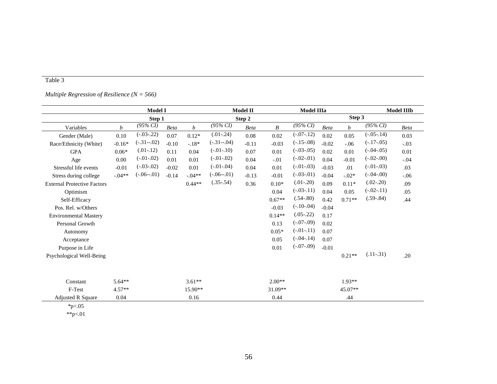## Table 3

### *Multiple Regression of Resilience (N = 566)*

|                                    | <b>Model I</b> |                |             |           | Model II       | Model IIIa  |                  |                  | <b>Model IIIb</b> |          |                |             |
|------------------------------------|----------------|----------------|-------------|-----------|----------------|-------------|------------------|------------------|-------------------|----------|----------------|-------------|
|                                    |                | Step 1         |             |           | Step 2         |             |                  | Step 3           |                   |          |                |             |
| Variables                          | b              | $(95\% CI)$    | <b>Beta</b> | b         | $(95\% CI)$    | <b>Beta</b> | $\boldsymbol{B}$ | $(95\% CI)$      | <b>Beta</b>       | b        | $(95\% CI)$    | <b>Beta</b> |
| Gender (Male)                      | 0.10           | $(-.03 - .22)$ | 0.07        | $0.12*$   | $(.01-.24)$    | 0.08        | 0.02             | $(-.07 - .12)$   | 0.02              | 0.05     | $(-.05 - .14)$ | 0.03        |
| Race/Ethnicity (White)             | $-0.16*$       | $(-.31 - .02)$ | $-0.10$     | $-.18*$   | $(-.31 - .04)$ | $-0.11$     | $-0.03$          | $(-.15 - .08)$   | $-0.02$           | $-.06$   | $(-.17-0.05)$  | $-.03$      |
| <b>GPA</b>                         | $0.06*$        | $(.01-.12)$    | 0.11        | 0.04      | $(-.01 - .10)$ | 0.07        | 0.01             | $(-.03 - .05)$   | 0.02              | $0.01\,$ | $(-.04 - .05)$ | $0.01\,$    |
| Age                                | 0.00           | $(-.01 - .02)$ | 0.01        | 0.01      | $(-.01-.02)$   | 0.04        | $-.01$           | $(-.02 - .01)$   | 0.04              | $-0.01$  | $(-.02-.00)$   | $-.04$      |
| Stressful life events              | $-0.01$        | $(-.03 - .02)$ | $-0.02$     | 0.01      | $(-.01-.04)$   | 0.04        | 0.01             | $(-.01 - .03)$   | $-0.03$           | .01      | $(-.01-.03)$   | .03         |
| Stress during college              | $-.04**$       | $(-.06 - .01)$ | $-0.14$     | $-.04**$  | $(-.06 - .01)$ | $-0.13$     | $-0.01$          | $(-0.03 - 0.01)$ | $-0.04$           | $-.02*$  | $(-.04-.00)$   | $-.06$      |
| <b>External Protective Factors</b> |                |                |             | $0.44**$  | $(.35-.54)$    | 0.36        | $0.10*$          | $(.01-.20)$      | 0.09              | $0.11*$  | $(.02-.20)$    | .09         |
| Optimism                           |                |                |             |           |                |             | 0.04             | $(-.03 - .11)$   | 0.04              | 0.05     | $(-.02 - .11)$ | .05         |
| Self-Efficacy                      |                |                |             |           |                |             | $0.67**$         | $(.54-.80)$      | 0.42              | $0.71**$ | $(.59-.84)$    | .44         |
| Pos. Rel. w/Others                 |                |                |             |           |                |             | $-0.03$          | $(-.10 - .04)$   | $-0.04$           |          |                |             |
| <b>Environmental Mastery</b>       |                |                |             |           |                |             | $0.14**$         | $(.05-.22)$      | 0.17              |          |                |             |
| Personal Growth                    |                |                |             |           |                |             | 0.13             | $(-.07-0.09)$    | 0.02              |          |                |             |
| Autonomy                           |                |                |             |           |                |             | $0.05*$          | $(-.01 - .11)$   | 0.07              |          |                |             |
| Acceptance                         |                |                |             |           |                |             | 0.05             | $(-.04 - .14)$   | 0.07              |          |                |             |
| Purpose in Life                    |                |                |             |           |                |             | 0.01             | $(-.07-.09)$     | $-0.01$           |          |                |             |
| Psychological Well-Being           |                |                |             |           |                |             |                  |                  |                   | $0.21**$ | $(.11-.31)$    | .20         |
|                                    |                |                |             |           |                |             |                  |                  |                   |          |                |             |
| Constant                           | $5.64**$       |                |             | $3.61**$  |                |             | $2.00**$         |                  |                   | $1.93**$ |                |             |
| F-Test                             | $4.57**$       |                |             | $15.90**$ |                |             | $31.09**$        |                  |                   | 45.07**  |                |             |
| <b>Adjusted R Square</b>           | 0.04           |                |             | 0.16      |                |             | 0.44             |                  |                   | .44      |                |             |

 $*_{p<.05}$ 

 $*^*p<.01$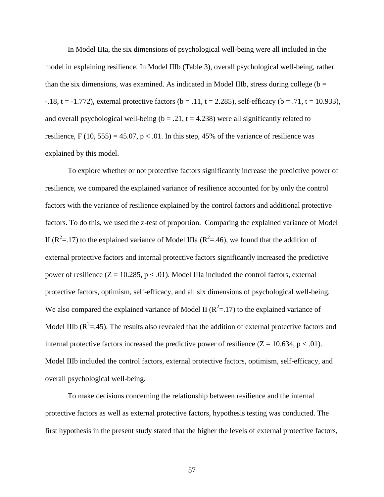In Model IIIa, the six dimensions of psychological well-being were all included in the model in explaining resilience. In Model IIIb (Table 3), overall psychological well-being, rather than the six dimensions, was examined. As indicated in Model IIIb, stress during college ( $b =$  $-18$ , t =  $-1.772$ ), external protective factors (b = .11, t = 2.285), self-efficacy (b = .71, t = 10.933), and overall psychological well-being ( $b = .21$ ,  $t = 4.238$ ) were all significantly related to resilience, F (10, 555) = 45.07, p < .01. In this step, 45% of the variance of resilience was explained by this model.

To explore whether or not protective factors significantly increase the predictive power of resilience, we compared the explained variance of resilience accounted for by only the control factors with the variance of resilience explained by the control factors and additional protective factors. To do this, we used the z-test of proportion. Comparing the explained variance of Model II ( $R^2$ =.17) to the explained variance of Model IIIa ( $R^2$ =.46), we found that the addition of external protective factors and internal protective factors significantly increased the predictive power of resilience  $(Z = 10.285, p < .01)$ . Model IIIa included the control factors, external protective factors, optimism, self-efficacy, and all six dimensions of psychological well-being. We also compared the explained variance of Model II ( $R^2 = 17$ ) to the explained variance of Model IIIb ( $R^2 = .45$ ). The results also revealed that the addition of external protective factors and internal protective factors increased the predictive power of resilience  $(Z = 10.634, p < .01)$ . Model IIIb included the control factors, external protective factors, optimism, self-efficacy, and overall psychological well-being.

To make decisions concerning the relationship between resilience and the internal protective factors as well as external protective factors, hypothesis testing was conducted. The first hypothesis in the present study stated that the higher the levels of external protective factors,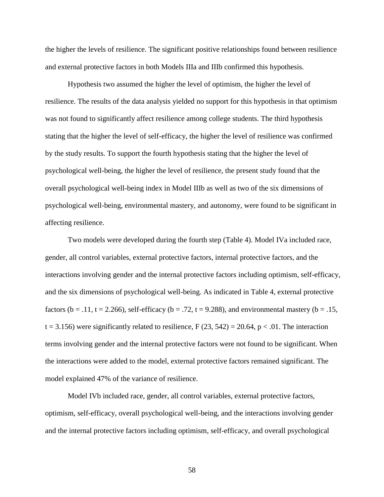the higher the levels of resilience. The significant positive relationships found between resilience and external protective factors in both Models IIIa and IIIb confirmed this hypothesis.

Hypothesis two assumed the higher the level of optimism, the higher the level of resilience. The results of the data analysis yielded no support for this hypothesis in that optimism was not found to significantly affect resilience among college students. The third hypothesis stating that the higher the level of self-efficacy, the higher the level of resilience was confirmed by the study results. To support the fourth hypothesis stating that the higher the level of psychological well-being, the higher the level of resilience, the present study found that the overall psychological well-being index in Model IIIb as well as two of the six dimensions of psychological well-being, environmental mastery, and autonomy, were found to be significant in affecting resilience.

Two models were developed during the fourth step (Table 4). Model IVa included race, gender, all control variables, external protective factors, internal protective factors, and the interactions involving gender and the internal protective factors including optimism, self-efficacy, and the six dimensions of psychological well-being. As indicated in Table 4, external protective factors (b = .11, t = 2.266), self-efficacy (b = .72, t = 9.288), and environmental mastery (b = .15,  $t = 3.156$ ) were significantly related to resilience, F (23, 542) = 20.64, p < .01. The interaction terms involving gender and the internal protective factors were not found to be significant. When the interactions were added to the model, external protective factors remained significant. The model explained 47% of the variance of resilience.

Model IVb included race, gender, all control variables, external protective factors, optimism, self-efficacy, overall psychological well-being, and the interactions involving gender and the internal protective factors including optimism, self-efficacy, and overall psychological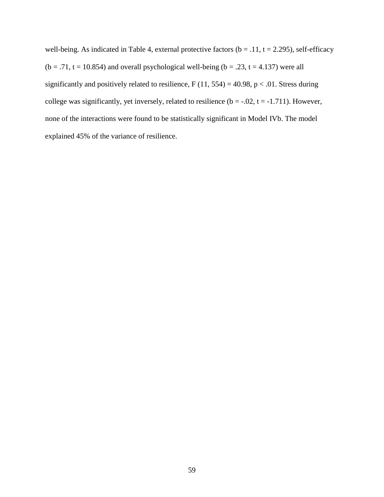well-being. As indicated in Table 4, external protective factors ( $b = .11$ ,  $t = 2.295$ ), self-efficacy  $(b = .71, t = 10.854)$  and overall psychological well-being  $(b = .23, t = 4.137)$  were all significantly and positively related to resilience,  $F(11, 554) = 40.98$ ,  $p < .01$ . Stress during college was significantly, yet inversely, related to resilience  $(b = -.02, t = -1.711)$ . However, none of the interactions were found to be statistically significant in Model IVb. The model explained 45% of the variance of resilience.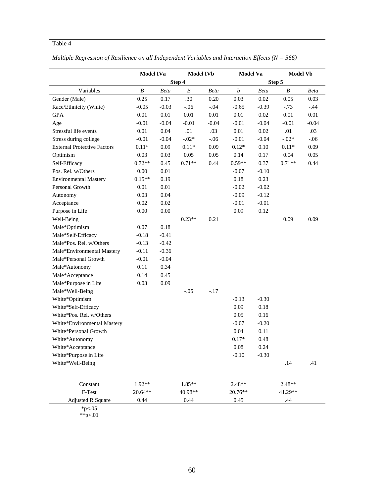# Table 4

|                                    | <b>Model IVa</b> |             | <b>Model IVb</b> |             | <b>Model Va</b>  |             | <b>Model Vb</b> |             |
|------------------------------------|------------------|-------------|------------------|-------------|------------------|-------------|-----------------|-------------|
|                                    |                  |             | Step 4           |             |                  |             | Step 5          |             |
| Variables                          | B                | <b>Beta</b> | B                | <b>Beta</b> | $\boldsymbol{b}$ | <b>Beta</b> | B               | <b>Beta</b> |
| Gender (Male)                      | 0.25             | 0.17        | .30              | 0.20        | 0.03             | 0.02        | 0.05            | 0.03        |
| Race/Ethnicity (White)             | $-0.05$          | $-0.03$     | $-.06$           | $-.04$      | $-0.65$          | $-0.39$     | $-.73$          | $-.44$      |
| <b>GPA</b>                         | 0.01             | $0.01\,$    | $0.01\,$         | 0.01        | 0.01             | 0.02        | 0.01            | $0.01\,$    |
| Age                                | $-0.01$          | $-0.04$     | $-0.01$          | $-0.04$     | $-0.01$          | $-0.04$     | $-0.01$         | $-0.04$     |
| Stressful life events              | 0.01             | 0.04        | .01              | .03         | $0.01\,$         | $0.02\,$    | .01             | .03         |
| Stress during college              | $-0.01$          | $-0.04$     | $-.02*$          | $-.06$      | $-0.01$          | $-0.04$     | $-.02*$         | $-.06$      |
| <b>External Protective Factors</b> | $0.11*$          | 0.09        | $0.11*$          | 0.09        | $0.12*$          | 0.10        | $0.11*$         | 0.09        |
| Optimism                           | 0.03             | 0.03        | 0.05             | 0.05        | 0.14             | 0.17        | 0.04            | 0.05        |
| Self-Efficacy                      | $0.72**$         | 0.45        | $0.71**$         | 0.44        | $0.59**$         | 0.37        | $0.71**$        | 0.44        |
| Pos. Rel. w/Others                 | 0.00             | $0.01\,$    |                  |             | $-0.07$          | $-0.10$     |                 |             |
| <b>Environmental Mastery</b>       | $0.15**$         | 0.19        |                  |             | 0.18             | 0.23        |                 |             |
| Personal Growth                    | 0.01             | 0.01        |                  |             | $-0.02$          | $-0.02$     |                 |             |
| Autonomy                           | 0.03             | 0.04        |                  |             | $-0.09$          | $-0.12$     |                 |             |
| Acceptance                         | $0.02\,$         | 0.02        |                  |             | $-0.01$          | $-0.01$     |                 |             |
| Purpose in Life                    | 0.00             | $0.00\,$    |                  |             | 0.09             | 0.12        |                 |             |
| Well-Being                         |                  |             | $0.23**$         | 0.21        |                  |             | 0.09            | 0.09        |
| Male*Optimism                      | 0.07             | 0.18        |                  |             |                  |             |                 |             |
| Male*Self-Efficacy                 | $-0.18$          | $-0.41$     |                  |             |                  |             |                 |             |
| Male*Pos. Rel. w/Others            | $-0.13$          | $-0.42$     |                  |             |                  |             |                 |             |
| Male*Environmental Mastery         | $-0.11$          | $-0.36$     |                  |             |                  |             |                 |             |
| Male*Personal Growth               | $-0.01$          | $-0.04$     |                  |             |                  |             |                 |             |
| Male*Autonomy                      | 0.11             | 0.34        |                  |             |                  |             |                 |             |
| Male*Acceptance                    | 0.14             | 0.45        |                  |             |                  |             |                 |             |
| Male*Purpose in Life               | 0.03             | 0.09        |                  |             |                  |             |                 |             |
| Male*Well-Being                    |                  |             | $-.05$           | $-.17$      |                  |             |                 |             |
| White*Optimism                     |                  |             |                  |             | $-0.13$          | $-0.30$     |                 |             |
| White*Self-Efficacy                |                  |             |                  |             | 0.09             | 0.18        |                 |             |
| White*Pos. Rel. w/Others           |                  |             |                  |             | 0.05             | 0.16        |                 |             |
| White*Environmental Mastery        |                  |             |                  |             | $-0.07$          | $-0.20$     |                 |             |
| White*Personal Growth              |                  |             |                  |             | 0.04             | 0.11        |                 |             |
| White*Autonomy                     |                  |             |                  |             | $0.17*$          | 0.48        |                 |             |
| White*Acceptance                   |                  |             |                  |             | 0.08             | 0.24        |                 |             |
| White*Purpose in Life              |                  |             |                  |             | $-0.10$          | $-0.30$     |                 |             |
| White*Well-Being                   |                  |             |                  |             |                  |             | .14             | .41         |
|                                    |                  |             |                  |             |                  |             |                 |             |
| Constant                           | $1.92**$         |             | 1.85**           |             | $2.48**$         |             | $2.48**$        |             |
| F-Test                             | 20.64**          |             | 40.98**          |             | 20.76**          |             | 41.29**         |             |
| <b>Adjusted R Square</b>           | 0.44             |             | 0.44             |             | 0.45             |             | .44             |             |

| Multiple Regression of Resilience on all Independent Variables and Interaction Effects ( $N = 566$ ) |  |
|------------------------------------------------------------------------------------------------------|--|
|------------------------------------------------------------------------------------------------------|--|

 $*p<.05$ 

\*\*p<.01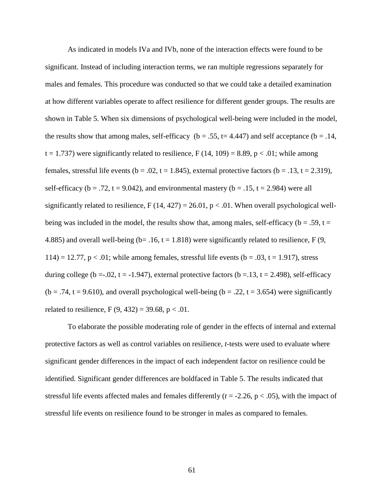As indicated in models IVa and IVb, none of the interaction effects were found to be significant. Instead of including interaction terms, we ran multiple regressions separately for males and females. This procedure was conducted so that we could take a detailed examination at how different variables operate to affect resilience for different gender groups. The results are shown in Table 5. When six dimensions of psychological well-being were included in the model, the results show that among males, self-efficacy ( $b = .55$ ,  $t = 4.447$ ) and self acceptance ( $b = .14$ ,  $t = 1.737$ ) were significantly related to resilience, F (14, 109) = 8.89, p < .01; while among females, stressful life events (b = .02, t = 1.845), external protective factors (b = .13, t = 2.319), self-efficacy ( $b = .72$ ,  $t = 9.042$ ), and environmental mastery ( $b = .15$ ,  $t = 2.984$ ) were all significantly related to resilience,  $F(14, 427) = 26.01$ ,  $p < .01$ . When overall psychological wellbeing was included in the model, the results show that, among males, self-efficacy ( $b = .59$ ,  $t =$ 4.885) and overall well-being ( $b = .16$ ,  $t = 1.818$ ) were significantly related to resilience, F (9, 114) = 12.77,  $p < 0.01$ ; while among females, stressful life events ( $b = 0.03$ ,  $t = 1.917$ ), stress during college (b = -.02, t = -1.947), external protective factors (b = .13, t = 2.498), self-efficacy  $(b = .74, t = 9.610)$ , and overall psychological well-being  $(b = .22, t = 3.654)$  were significantly related to resilience,  $F(9, 432) = 39.68$ ,  $p < .01$ .

To elaborate the possible moderating role of gender in the effects of internal and external protective factors as well as control variables on resilience, *t*-tests were used to evaluate where significant gender differences in the impact of each independent factor on resilience could be identified. Significant gender differences are boldfaced in Table 5. The results indicated that stressful life events affected males and females differently  $(t = -2.26, p < .05)$ , with the impact of stressful life events on resilience found to be stronger in males as compared to females.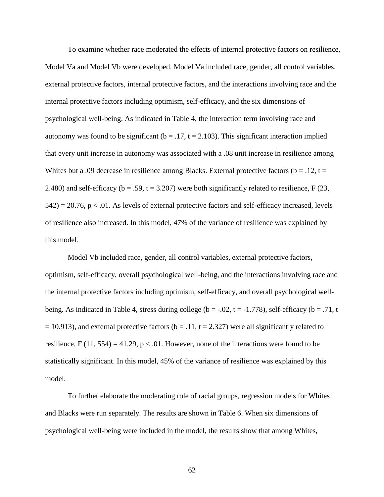To examine whether race moderated the effects of internal protective factors on resilience, Model Va and Model Vb were developed. Model Va included race, gender, all control variables, external protective factors, internal protective factors, and the interactions involving race and the internal protective factors including optimism, self-efficacy, and the six dimensions of psychological well-being. As indicated in Table 4, the interaction term involving race and autonomy was found to be significant ( $b = .17$ ,  $t = 2.103$ ). This significant interaction implied that every unit increase in autonomy was associated with a .08 unit increase in resilience among Whites but a .09 decrease in resilience among Blacks. External protective factors ( $b = .12$ ,  $t =$ 2.480) and self-efficacy ( $b = .59$ ,  $t = 3.207$ ) were both significantly related to resilience, F (23,  $542$ ) = 20.76, p < .01. As levels of external protective factors and self-efficacy increased, levels of resilience also increased. In this model, 47% of the variance of resilience was explained by this model.

Model Vb included race, gender, all control variables, external protective factors, optimism, self-efficacy, overall psychological well-being, and the interactions involving race and the internal protective factors including optimism, self-efficacy, and overall psychological wellbeing. As indicated in Table 4, stress during college ( $b = -0.02$ ,  $t = -1.778$ ), self-efficacy ( $b = .71$ , t  $= 10.913$ ), and external protective factors (b = .11, t = 2.327) were all significantly related to resilience, F (11, 554) = 41.29,  $p < .01$ . However, none of the interactions were found to be statistically significant. In this model, 45% of the variance of resilience was explained by this model.

To further elaborate the moderating role of racial groups, regression models for Whites and Blacks were run separately. The results are shown in Table 6. When six dimensions of psychological well-being were included in the model, the results show that among Whites,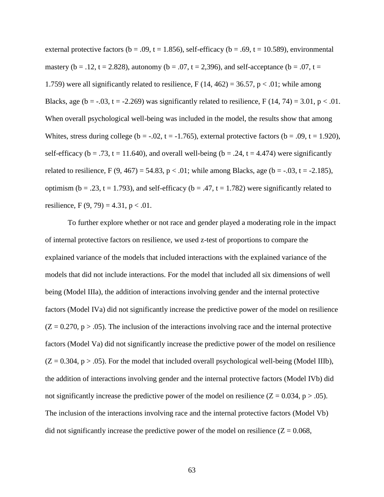external protective factors ( $b = .09$ ,  $t = 1.856$ ), self-efficacy ( $b = .69$ ,  $t = 10.589$ ), environmental mastery ( $b = .12$ ,  $t = 2.828$ ), autonomy ( $b = .07$ ,  $t = 2.396$ ), and self-acceptance ( $b = .07$ ,  $t =$ 1.759) were all significantly related to resilience,  $F(14, 462) = 36.57$ ,  $p < .01$ ; while among Blacks, age (b = -.03, t = -2.269) was significantly related to resilience,  $F(14, 74) = 3.01$ , p < .01. When overall psychological well-being was included in the model, the results show that among Whites, stress during college ( $b = -0.02$ ,  $t = -1.765$ ), external protective factors ( $b = 0.09$ ,  $t = 1.920$ ), self-efficacy ( $b = .73$ ,  $t = 11.640$ ), and overall well-being ( $b = .24$ ,  $t = 4.474$ ) were significantly related to resilience, F  $(9, 467) = 54.83$ , p < .01; while among Blacks, age  $(b = -.03, t = -2.185)$ , optimism ( $b = .23$ ,  $t = 1.793$ ), and self-efficacy ( $b = .47$ ,  $t = 1.782$ ) were significantly related to resilience, F  $(9, 79) = 4.31$ , p < .01.

To further explore whether or not race and gender played a moderating role in the impact of internal protective factors on resilience, we used z-test of proportions to compare the explained variance of the models that included interactions with the explained variance of the models that did not include interactions. For the model that included all six dimensions of well being (Model IIIa), the addition of interactions involving gender and the internal protective factors (Model IVa) did not significantly increase the predictive power of the model on resilience  $(Z = 0.270, p > .05)$ . The inclusion of the interactions involving race and the internal protective factors (Model Va) did not significantly increase the predictive power of the model on resilience  $(Z = 0.304, p > .05)$ . For the model that included overall psychological well-being (Model IIIb), the addition of interactions involving gender and the internal protective factors (Model IVb) did not significantly increase the predictive power of the model on resilience  $(Z = 0.034, p > .05)$ . The inclusion of the interactions involving race and the internal protective factors (Model Vb) did not significantly increase the predictive power of the model on resilience ( $Z = 0.068$ ,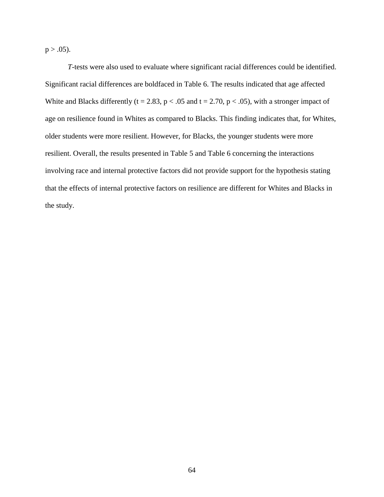$p > .05$ ).

*T*-tests were also used to evaluate where significant racial differences could be identified. Significant racial differences are boldfaced in Table 6. The results indicated that age affected White and Blacks differently (t = 2.83, p < .05 and t = 2.70, p < .05), with a stronger impact of age on resilience found in Whites as compared to Blacks. This finding indicates that, for Whites, older students were more resilient. However, for Blacks, the younger students were more resilient. Overall, the results presented in Table 5 and Table 6 concerning the interactions involving race and internal protective factors did not provide support for the hypothesis stating that the effects of internal protective factors on resilience are different for Whites and Blacks in the study.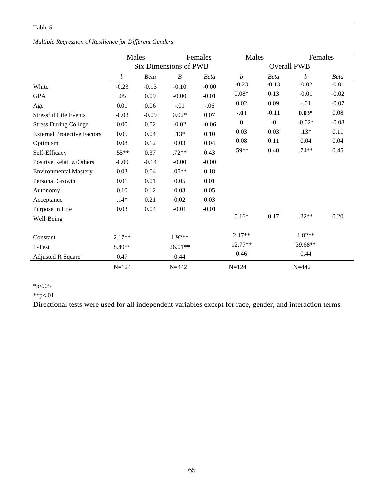## Table 5

## *Multiple Regression of Resilience for Different Genders*

|                                    | Males                 |             | Females          |                    | Males            |             | Females          |         |
|------------------------------------|-----------------------|-------------|------------------|--------------------|------------------|-------------|------------------|---------|
|                                    | Six Dimensions of PWB |             |                  | <b>Overall PWB</b> |                  |             |                  |         |
|                                    | $\boldsymbol{b}$      | <b>Beta</b> | $\boldsymbol{B}$ | <b>Beta</b>        | $\boldsymbol{b}$ | <b>Beta</b> | $\boldsymbol{b}$ | Beta    |
| White                              | $-0.23$               | $-0.13$     | $-0.10$          | $-0.00$            | $-0.23$          | $-0.13$     | $-0.02$          | $-0.01$ |
| <b>GPA</b>                         | .05                   | 0.09        | $-0.00$          | $-0.01$            | $0.08*$          | 0.13        | $-0.01$          | $-0.02$ |
| Age                                | 0.01                  | 0.06        | $-.01$           | $-.06$             | 0.02             | 0.09        | $-.01$           | $-0.07$ |
| <b>Stressful Life Events</b>       | $-0.03$               | $-0.09$     | $0.02*$          | 0.07               | $-.03$           | $-0.11$     | $0.03*$          | 0.08    |
| <b>Stress During College</b>       | 0.00                  | 0.02        | $-0.02$          | $-0.06$            | $\boldsymbol{0}$ | $-0$        | $-0.02*$         | $-0.08$ |
| <b>External Protective Factors</b> | 0.05                  | 0.04        | $.13*$           | 0.10               | 0.03             | 0.03        | $.13*$           | 0.11    |
| Optimism                           | 0.08                  | 0.12        | 0.03             | 0.04               | 0.08             | 0.11        | 0.04             | 0.04    |
| Self-Efficacy                      | $.55**$               | 0.37        | $.72**$          | 0.43               | $.59**$          | 0.40        | $.74**$          | 0.45    |
| Positive Relat. w/Others           | $-0.09$               | $-0.14$     | $-0.00$          | $-0.00$            |                  |             |                  |         |
| <b>Environmental Mastery</b>       | 0.03                  | 0.04        | $.05**$          | 0.18               |                  |             |                  |         |
| Personal Growth                    | 0.01                  | 0.01        | 0.05             | 0.01               |                  |             |                  |         |
| Autonomy                           | 0.10                  | 0.12        | 0.03             | 0.05               |                  |             |                  |         |
| Acceptance                         | $.14*$                | 0.21        | 0.02             | 0.03               |                  |             |                  |         |
| Purpose in Life                    | 0.03                  | 0.04        | $-0.01$          | $-0.01$            |                  |             |                  |         |
| Well-Being                         |                       |             |                  |                    | $0.16*$          | 0.17        | $.22**$          | 0.20    |
|                                    |                       |             |                  |                    |                  |             |                  |         |
| Constant                           | $2.17**$              |             | $1.92**$         |                    | $2.17**$         |             | 1.82**           |         |
| F-Test                             | $8.89**$              |             | 26.01**          |                    | 12.77**          |             | 39.68**          |         |
| <b>Adjusted R Square</b>           | 0.47                  |             | 0.44             |                    | 0.46             |             | 0.44             |         |
|                                    | $N = 124$             |             | $N = 442$        |                    | $N = 124$        |             | $N = 442$        |         |

## $*_{p<.05}$

\*\*p<.01

Directional tests were used for all independent variables except for race, gender, and interaction terms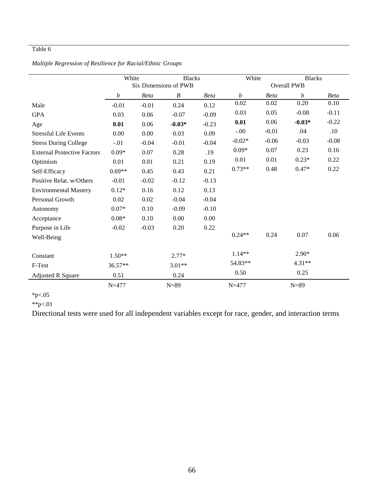### Table 6

|                                    | White                        |             | <b>Blacks</b> |                    | White     |             | <b>Blacks</b>    |             |
|------------------------------------|------------------------------|-------------|---------------|--------------------|-----------|-------------|------------------|-------------|
|                                    | <b>Six Dimensions of PWB</b> |             |               | <b>Overall PWB</b> |           |             |                  |             |
|                                    | b                            | <b>Beta</b> | B             | <b>Beta</b>        | b         | <b>Beta</b> | $\boldsymbol{b}$ | <b>Beta</b> |
| Male                               | $-0.01$                      | $-0.01$     | 0.24          | 0.12               | 0.02      | 0.02        | 0.20             | 0.10        |
| <b>GPA</b>                         | 0.03                         | 0.06        | $-0.07$       | $-0.09$            | 0.03      | 0.05        | $-0.08$          | $-0.11$     |
| Age                                | 0.01                         | 0.06        | $-0.03*$      | $-0.23$            | 0.01      | 0.06        | $-0.03*$         | $-0.22$     |
| <b>Stressful Life Events</b>       | 0.00                         | 0.00        | 0.03          | 0.09               | $-.00$    | $-0.01$     | .04              | .10         |
| <b>Stress During College</b>       | $-.01$                       | $-0.04$     | $-0.01$       | $-0.04$            | $-0.02*$  | $-0.06$     | $-0.03$          | $-0.08$     |
| <b>External Protective Factors</b> | $0.09*$                      | 0.07        | 0.28          | .19                | $0.09*$   | 0.07        | 0.23             | 0.16        |
| Optimism                           | 0.01                         | 0.01        | 0.21          | 0.19               | 0.01      | 0.01        | $0.23*$          | 0.22        |
| Self-Efficacy                      | $0.69**$                     | 0.45        | 0.43          | 0.21               | $0.73**$  | 0.48        | $0.47*$          | 0.22        |
| Positive Relat. w/Others           | $-0.01$                      | $-0.02$     | $-0.12$       | $-0.13$            |           |             |                  |             |
| <b>Environmental Mastery</b>       | $0.12*$                      | 0.16        | 0.12          | 0.13               |           |             |                  |             |
| Personal Growth                    | 0.02                         | 0.02        | $-0.04$       | $-0.04$            |           |             |                  |             |
| Autonomy                           | $0.07*$                      | 0.10        | $-0.09$       | $-0.10$            |           |             |                  |             |
| Acceptance                         | $0.08*$                      | 0.10        | 0.00          | 0.00               |           |             |                  |             |
| Purpose in Life                    | $-0.02$                      | $-0.03$     | 0.20          | 0.22               |           |             |                  |             |
| Well-Being                         |                              |             |               |                    | $0.24**$  | 0.24        | 0.07             | 0.06        |
|                                    |                              |             |               |                    |           |             |                  |             |
| Constant                           | $1.50**$                     |             | $2.77*$       |                    | $1.14**$  |             | $2.90*$          |             |
| F-Test                             | $36.57**$                    |             | $3.01**$      |                    | 54.83**   |             | $4.31**$         |             |
| <b>Adjusted R Square</b>           | 0.51                         |             | 0.24          |                    | 0.50      |             | 0.25             |             |
|                                    | $N = 477$                    |             | $N=89$        |                    | $N = 477$ |             | $N=89$           |             |

# *Multiple Regression of Resilience for Racial/Ethnic Groups*

 $*_{p<.05}$ \*\*p<.01

Directional tests were used for all independent variables except for race, gender, and interaction terms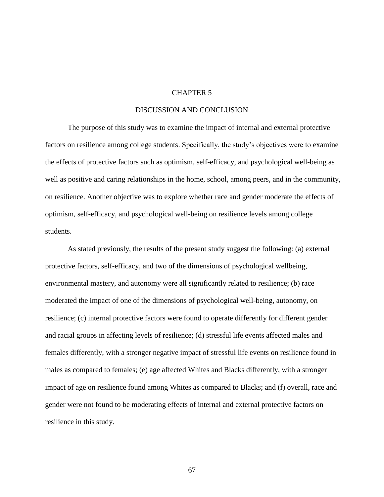#### CHAPTER 5

#### DISCUSSION AND CONCLUSION

The purpose of this study was to examine the impact of internal and external protective factors on resilience among college students. Specifically, the study's objectives were to examine the effects of protective factors such as optimism, self-efficacy, and psychological well-being as well as positive and caring relationships in the home, school, among peers, and in the community, on resilience. Another objective was to explore whether race and gender moderate the effects of optimism, self-efficacy, and psychological well-being on resilience levels among college students.

As stated previously, the results of the present study suggest the following: (a) external protective factors, self-efficacy, and two of the dimensions of psychological wellbeing, environmental mastery, and autonomy were all significantly related to resilience; (b) race moderated the impact of one of the dimensions of psychological well-being, autonomy, on resilience; (c) internal protective factors were found to operate differently for different gender and racial groups in affecting levels of resilience; (d) stressful life events affected males and females differently, with a stronger negative impact of stressful life events on resilience found in males as compared to females; (e) age affected Whites and Blacks differently, with a stronger impact of age on resilience found among Whites as compared to Blacks; and (f) overall, race and gender were not found to be moderating effects of internal and external protective factors on resilience in this study.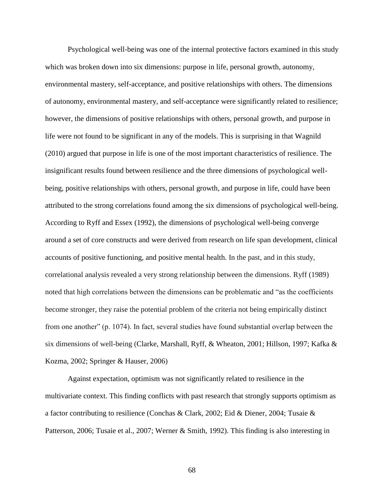Psychological well-being was one of the internal protective factors examined in this study which was broken down into six dimensions: purpose in life, personal growth, autonomy, environmental mastery, self-acceptance, and positive relationships with others. The dimensions of autonomy, environmental mastery, and self-acceptance were significantly related to resilience; however, the dimensions of positive relationships with others, personal growth, and purpose in life were not found to be significant in any of the models. This is surprising in that Wagnild (2010) argued that purpose in life is one of the most important characteristics of resilience. The insignificant results found between resilience and the three dimensions of psychological wellbeing, positive relationships with others, personal growth, and purpose in life, could have been attributed to the strong correlations found among the six dimensions of psychological well-being. According to Ryff and Essex (1992), the dimensions of psychological well-being converge around a set of core constructs and were derived from research on life span development, clinical accounts of positive functioning, and positive mental health. In the past, and in this study, correlational analysis revealed a very strong relationship between the dimensions. Ryff (1989) noted that high correlations between the dimensions can be problematic and "as the coefficients" become stronger, they raise the potential problem of the criteria not being empirically distinct from one another" (p. 1074). In fact, several studies have found substantial overlap between the six dimensions of well-being (Clarke, Marshall, Ryff, & Wheaton, 2001; Hillson, 1997; Kafka & Kozma, 2002; Springer & Hauser, 2006)

Against expectation, optimism was not significantly related to resilience in the multivariate context. This finding conflicts with past research that strongly supports optimism as a factor contributing to resilience (Conchas & Clark, 2002; Eid & Diener, 2004; Tusaie & Patterson, 2006; Tusaie et al., 2007; Werner & Smith, 1992). This finding is also interesting in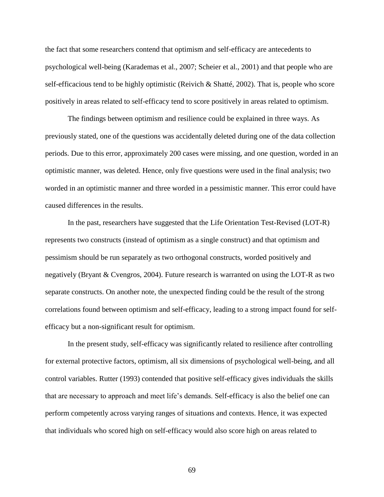the fact that some researchers contend that optimism and self-efficacy are antecedents to psychological well-being (Karademas et al., 2007; Scheier et al., 2001) and that people who are self-efficacious tend to be highly optimistic (Reivich & Shatté, 2002). That is, people who score positively in areas related to self-efficacy tend to score positively in areas related to optimism.

The findings between optimism and resilience could be explained in three ways. As previously stated, one of the questions was accidentally deleted during one of the data collection periods. Due to this error, approximately 200 cases were missing, and one question, worded in an optimistic manner, was deleted. Hence, only five questions were used in the final analysis; two worded in an optimistic manner and three worded in a pessimistic manner. This error could have caused differences in the results.

In the past, researchers have suggested that the Life Orientation Test-Revised (LOT-R) represents two constructs (instead of optimism as a single construct) and that optimism and pessimism should be run separately as two orthogonal constructs, worded positively and negatively (Bryant & Cvengros, 2004). Future research is warranted on using the LOT-R as two separate constructs. On another note, the unexpected finding could be the result of the strong correlations found between optimism and self-efficacy, leading to a strong impact found for selfefficacy but a non-significant result for optimism.

In the present study, self-efficacy was significantly related to resilience after controlling for external protective factors, optimism, all six dimensions of psychological well-being, and all control variables. Rutter (1993) contended that positive self-efficacy gives individuals the skills that are necessary to approach and meet life's demands. Self-efficacy is also the belief one can perform competently across varying ranges of situations and contexts. Hence, it was expected that individuals who scored high on self-efficacy would also score high on areas related to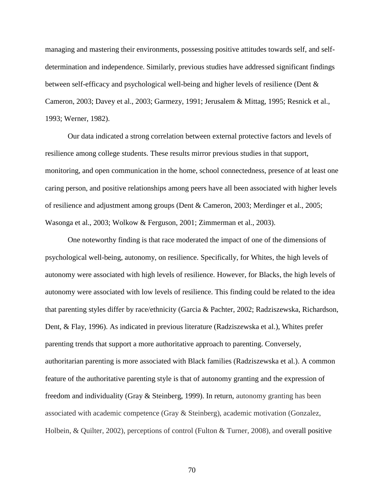managing and mastering their environments, possessing positive attitudes towards self, and selfdetermination and independence. Similarly, previous studies have addressed significant findings between self-efficacy and psychological well-being and higher levels of resilience (Dent & Cameron, 2003; Davey et al., 2003; Garmezy, 1991; Jerusalem & Mittag, 1995; Resnick et al., 1993; Werner, 1982).

Our data indicated a strong correlation between external protective factors and levels of resilience among college students. These results mirror previous studies in that support, monitoring, and open communication in the home, school connectedness, presence of at least one caring person, and positive relationships among peers have all been associated with higher levels of resilience and adjustment among groups (Dent & Cameron, 2003; Merdinger et al., 2005; Wasonga et al., 2003; Wolkow & Ferguson, 2001; Zimmerman et al., 2003).

One noteworthy finding is that race moderated the impact of one of the dimensions of psychological well-being, autonomy, on resilience. Specifically, for Whites, the high levels of autonomy were associated with high levels of resilience. However, for Blacks, the high levels of autonomy were associated with low levels of resilience. This finding could be related to the idea that parenting styles differ by race/ethnicity (Garcia & Pachter, 2002; Radziszewska, Richardson, Dent, & Flay, 1996). As indicated in previous literature (Radziszewska et al.), Whites prefer parenting trends that support a more authoritative approach to parenting. Conversely, authoritarian parenting is more associated with Black families (Radziszewska et al.). A common feature of the authoritative parenting style is that of autonomy granting and the expression of freedom and individuality (Gray & Steinberg, 1999). In return, autonomy granting has been associated with academic competence (Gray & Steinberg), academic motivation (Gonzalez, Holbein, & Quilter, 2002), perceptions of control (Fulton & Turner, 2008), and overall positive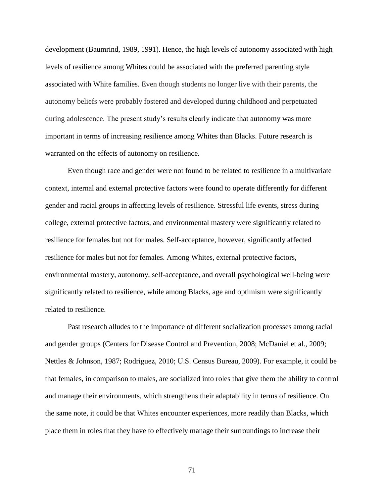development (Baumrind, 1989, 1991). Hence, the high levels of autonomy associated with high levels of resilience among Whites could be associated with the preferred parenting style associated with White families. Even though students no longer live with their parents, the autonomy beliefs were probably fostered and developed during childhood and perpetuated during adolescence. The present study's results clearly indicate that autonomy was more important in terms of increasing resilience among Whites than Blacks. Future research is warranted on the effects of autonomy on resilience.

Even though race and gender were not found to be related to resilience in a multivariate context, internal and external protective factors were found to operate differently for different gender and racial groups in affecting levels of resilience. Stressful life events, stress during college, external protective factors, and environmental mastery were significantly related to resilience for females but not for males. Self-acceptance, however, significantly affected resilience for males but not for females. Among Whites, external protective factors, environmental mastery, autonomy, self-acceptance, and overall psychological well-being were significantly related to resilience, while among Blacks, age and optimism were significantly related to resilience.

Past research alludes to the importance of different socialization processes among racial and gender groups (Centers for Disease Control and Prevention, 2008; McDaniel et al., 2009; Nettles & Johnson, 1987; Rodriguez, 2010; U.S. Census Bureau, 2009). For example, it could be that females, in comparison to males, are socialized into roles that give them the ability to control and manage their environments, which strengthens their adaptability in terms of resilience. On the same note, it could be that Whites encounter experiences, more readily than Blacks, which place them in roles that they have to effectively manage their surroundings to increase their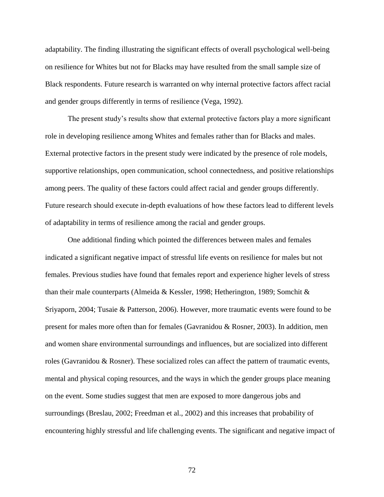adaptability. The finding illustrating the significant effects of overall psychological well-being on resilience for Whites but not for Blacks may have resulted from the small sample size of Black respondents. Future research is warranted on why internal protective factors affect racial and gender groups differently in terms of resilience (Vega, 1992).

The present study's results show that external protective factors play a more significant role in developing resilience among Whites and females rather than for Blacks and males. External protective factors in the present study were indicated by the presence of role models, supportive relationships, open communication, school connectedness, and positive relationships among peers. The quality of these factors could affect racial and gender groups differently. Future research should execute in-depth evaluations of how these factors lead to different levels of adaptability in terms of resilience among the racial and gender groups.

One additional finding which pointed the differences between males and females indicated a significant negative impact of stressful life events on resilience for males but not females. Previous studies have found that females report and experience higher levels of stress than their male counterparts (Almeida & Kessler, 1998; Hetherington, 1989; Somchit & Sriyaporn, 2004; Tusaie & Patterson, 2006). However, more traumatic events were found to be present for males more often than for females (Gavranidou & Rosner, 2003). In addition, men and women share environmental surroundings and influences, but are socialized into different roles (Gavranidou & Rosner). These socialized roles can affect the pattern of traumatic events, mental and physical coping resources, and the ways in which the gender groups place meaning on the event. Some studies suggest that men are exposed to more dangerous jobs and surroundings (Breslau, 2002; Freedman et al., 2002) and this increases that probability of encountering highly stressful and life challenging events. The significant and negative impact of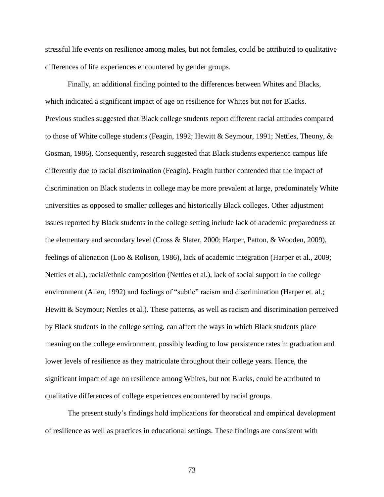stressful life events on resilience among males, but not females, could be attributed to qualitative differences of life experiences encountered by gender groups.

Finally, an additional finding pointed to the differences between Whites and Blacks, which indicated a significant impact of age on resilience for Whites but not for Blacks. Previous studies suggested that Black college students report different racial attitudes compared to those of White college students (Feagin, 1992; Hewitt & Seymour, 1991; Nettles, Theony, & Gosman, 1986). Consequently, research suggested that Black students experience campus life differently due to racial discrimination (Feagin). Feagin further contended that the impact of discrimination on Black students in college may be more prevalent at large, predominately White universities as opposed to smaller colleges and historically Black colleges. Other adjustment issues reported by Black students in the college setting include lack of academic preparedness at the elementary and secondary level (Cross & Slater, 2000; Harper, Patton, & Wooden, 2009), feelings of alienation (Loo & Rolison, 1986), lack of academic integration (Harper et al., 2009; Nettles et al.), racial/ethnic composition (Nettles et al.), lack of social support in the college environment (Allen, 1992) and feelings of "subtle" racism and discrimination (Harper et. al.; Hewitt & Seymour; Nettles et al.). These patterns, as well as racism and discrimination perceived by Black students in the college setting, can affect the ways in which Black students place meaning on the college environment, possibly leading to low persistence rates in graduation and lower levels of resilience as they matriculate throughout their college years. Hence, the significant impact of age on resilience among Whites, but not Blacks, could be attributed to qualitative differences of college experiences encountered by racial groups.

The present study's findings hold implications for theoretical and empirical development of resilience as well as practices in educational settings. These findings are consistent with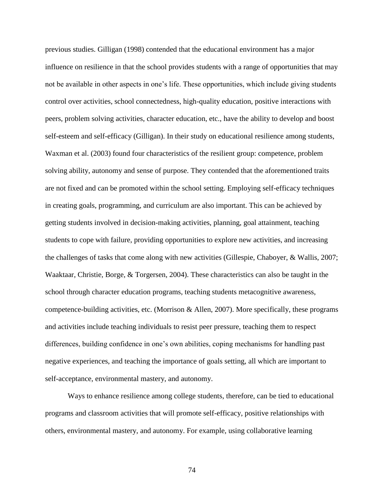previous studies. Gilligan (1998) contended that the educational environment has a major influence on resilience in that the school provides students with a range of opportunities that may not be available in other aspects in one's life. These opportunities, which include giving students control over activities, school connectedness, high-quality education, positive interactions with peers, problem solving activities, character education, etc., have the ability to develop and boost self-esteem and self-efficacy (Gilligan). In their study on educational resilience among students, Waxman et al. (2003) found four characteristics of the resilient group: competence, problem solving ability, autonomy and sense of purpose. They contended that the aforementioned traits are not fixed and can be promoted within the school setting. Employing self-efficacy techniques in creating goals, programming, and curriculum are also important. This can be achieved by getting students involved in decision-making activities, planning, goal attainment, teaching students to cope with failure, providing opportunities to explore new activities, and increasing the challenges of tasks that come along with new activities (Gillespie, Chaboyer, & Wallis, 2007; Waaktaar, Christie, Borge, & Torgersen, 2004). These characteristics can also be taught in the school through character education programs, teaching students metacognitive awareness, competence-building activities, etc. (Morrison & Allen, 2007). More specifically, these programs and activities include teaching individuals to resist peer pressure, teaching them to respect differences, building confidence in one's own abilities, coping mechanisms for handling past negative experiences, and teaching the importance of goals setting, all which are important to self-acceptance, environmental mastery, and autonomy.

Ways to enhance resilience among college students, therefore, can be tied to educational programs and classroom activities that will promote self-efficacy, positive relationships with others, environmental mastery, and autonomy. For example, using collaborative learning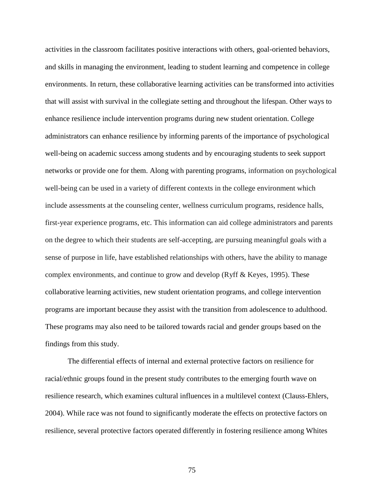activities in the classroom facilitates positive interactions with others, goal-oriented behaviors, and skills in managing the environment, leading to student learning and competence in college environments. In return, these collaborative learning activities can be transformed into activities that will assist with survival in the collegiate setting and throughout the lifespan. Other ways to enhance resilience include intervention programs during new student orientation. College administrators can enhance resilience by informing parents of the importance of psychological well-being on academic success among students and by encouraging students to seek support networks or provide one for them. Along with parenting programs, information on psychological well-being can be used in a variety of different contexts in the college environment which include assessments at the counseling center, wellness curriculum programs, residence halls, first-year experience programs, etc. This information can aid college administrators and parents on the degree to which their students are self-accepting, are pursuing meaningful goals with a sense of purpose in life, have established relationships with others, have the ability to manage complex environments, and continue to grow and develop (Ryff & Keyes, 1995). These collaborative learning activities, new student orientation programs, and college intervention programs are important because they assist with the transition from adolescence to adulthood. These programs may also need to be tailored towards racial and gender groups based on the findings from this study.

The differential effects of internal and external protective factors on resilience for racial/ethnic groups found in the present study contributes to the emerging fourth wave on resilience research, which examines cultural influences in a multilevel context (Clauss-Ehlers, 2004). While race was not found to significantly moderate the effects on protective factors on resilience, several protective factors operated differently in fostering resilience among Whites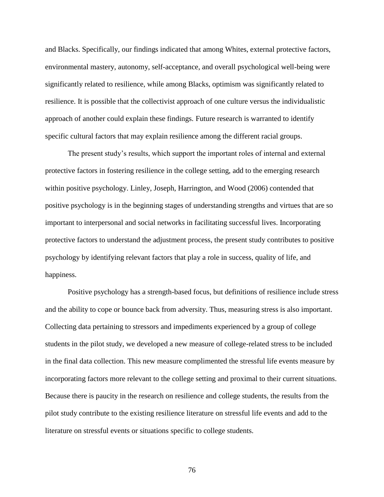and Blacks. Specifically, our findings indicated that among Whites, external protective factors, environmental mastery, autonomy, self-acceptance, and overall psychological well-being were significantly related to resilience, while among Blacks, optimism was significantly related to resilience. It is possible that the collectivist approach of one culture versus the individualistic approach of another could explain these findings. Future research is warranted to identify specific cultural factors that may explain resilience among the different racial groups.

The present study's results, which support the important roles of internal and external protective factors in fostering resilience in the college setting, add to the emerging research within positive psychology. Linley, Joseph, Harrington, and Wood (2006) contended that positive psychology is in the beginning stages of understanding strengths and virtues that are so important to interpersonal and social networks in facilitating successful lives. Incorporating protective factors to understand the adjustment process, the present study contributes to positive psychology by identifying relevant factors that play a role in success, quality of life, and happiness.

Positive psychology has a strength-based focus, but definitions of resilience include stress and the ability to cope or bounce back from adversity. Thus, measuring stress is also important. Collecting data pertaining to stressors and impediments experienced by a group of college students in the pilot study, we developed a new measure of college-related stress to be included in the final data collection. This new measure complimented the stressful life events measure by incorporating factors more relevant to the college setting and proximal to their current situations. Because there is paucity in the research on resilience and college students, the results from the pilot study contribute to the existing resilience literature on stressful life events and add to the literature on stressful events or situations specific to college students.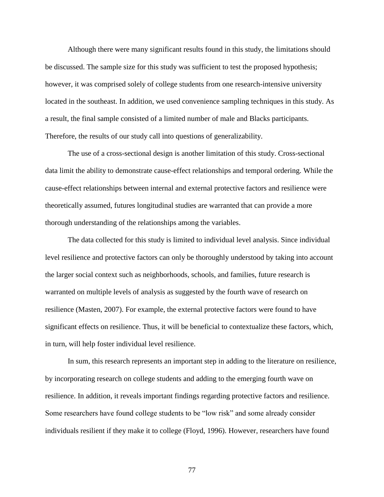Although there were many significant results found in this study, the limitations should be discussed. The sample size for this study was sufficient to test the proposed hypothesis; however, it was comprised solely of college students from one research-intensive university located in the southeast. In addition, we used convenience sampling techniques in this study. As a result, the final sample consisted of a limited number of male and Blacks participants. Therefore, the results of our study call into questions of generalizability.

The use of a cross-sectional design is another limitation of this study. Cross-sectional data limit the ability to demonstrate cause-effect relationships and temporal ordering. While the cause-effect relationships between internal and external protective factors and resilience were theoretically assumed, futures longitudinal studies are warranted that can provide a more thorough understanding of the relationships among the variables.

The data collected for this study is limited to individual level analysis. Since individual level resilience and protective factors can only be thoroughly understood by taking into account the larger social context such as neighborhoods, schools, and families, future research is warranted on multiple levels of analysis as suggested by the fourth wave of research on resilience (Masten, 2007). For example, the external protective factors were found to have significant effects on resilience. Thus, it will be beneficial to contextualize these factors, which, in turn, will help foster individual level resilience.

In sum, this research represents an important step in adding to the literature on resilience, by incorporating research on college students and adding to the emerging fourth wave on resilience. In addition, it reveals important findings regarding protective factors and resilience. Some researchers have found college students to be "low risk" and some already consider individuals resilient if they make it to college (Floyd, 1996). However, researchers have found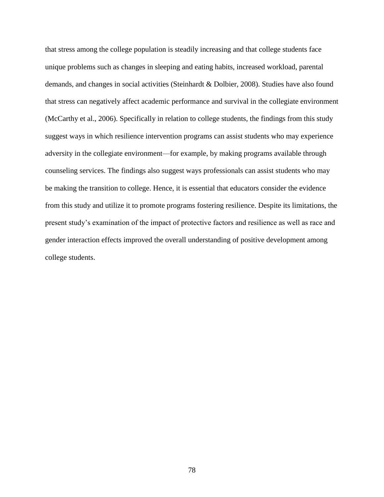that stress among the college population is steadily increasing and that college students face unique problems such as changes in sleeping and eating habits, increased workload, parental demands, and changes in social activities (Steinhardt & Dolbier, 2008). Studies have also found that stress can negatively affect academic performance and survival in the collegiate environment (McCarthy et al., 2006). Specifically in relation to college students, the findings from this study suggest ways in which resilience intervention programs can assist students who may experience adversity in the collegiate environment—for example, by making programs available through counseling services. The findings also suggest ways professionals can assist students who may be making the transition to college. Hence, it is essential that educators consider the evidence from this study and utilize it to promote programs fostering resilience. Despite its limitations, the present study's examination of the impact of protective factors and resilience as well as race and gender interaction effects improved the overall understanding of positive development among college students.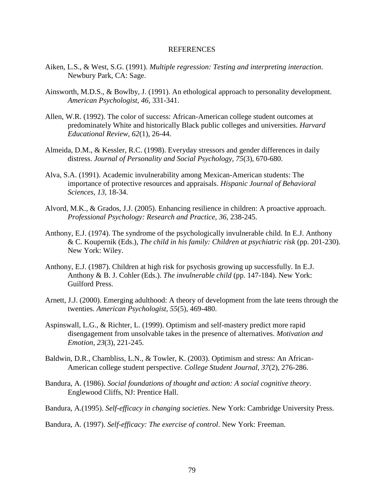#### REFERENCES

- Aiken, L.S., & West, S.G. (1991). *Multiple regression: Testing and interpreting interaction*. Newbury Park, CA: Sage.
- Ainsworth, M.D.S., & Bowlby, J. (1991). An ethological approach to personality development. *American Psychologist, 46*, 331-341.
- Allen, W.R. (1992). The color of success: African-American college student outcomes at predominately White and historically Black public colleges and universities. *Harvard Educational Review, 62*(1), 26-44.
- Almeida, D.M., & Kessler, R.C. (1998). Everyday stressors and gender differences in daily distress. *Journal of Personality and Social Psychology, 75*(3), 670-680.
- Alva, [S.A. \(1991\)](http://www.sciencedirect.com.libdata.lib.ua.edu/science?_ob=ArticleURL&_udi=B6V6G-4N5CSWK-1&_user=446476&_coverDate=02%2F29%2F2008&_rdoc=1&_fmt=high&_orig=search&_sort=d&_docanchor=&view=c&_acct=C000020379&_version=1&_urlVersion=0&_userid=446476&md5=f7444fcdc7c7022b15cbb062996cdd57#bbib2). Academic invulnerability among Mexican-American students: The importance of protective resources and appraisals. *Hispanic Journal of Behavioral Sciences*, *13*, 18-34.
- Alvord, M.K., & Grados, J.J. (2005). Enhancing resilience in children: A proactive approach. *Professional Psychology: Research and Practice, 36,* 238-245.
- Anthony, E.J. (1974). The syndrome of the psychologically invulnerable child. In E.J. Anthony & C. Koupernik (Eds.), *The child in his family: Children at psychiatric risk* (pp. 201-230). New York: Wiley.
- Anthony, E.J. (1987). Children at high risk for psychosis growing up successfully. In E.J. Anthony & B. J. Cohler (Eds.). *The invulnerable child* (pp. 147-184). New York: Guilford Press.
- Arnett, J.J. (2000). Emerging adulthood: A theory of development from the late teens through the twenties. *American Psychologist, 55*(5), 469-480.
- Aspinswall, L.G., & Richter, L. (1999). Optimism and self-mastery predict more rapid disengagement from unsolvable takes in the presence of alternatives. *Motivation and Emotion, 23*(3), 221-245.
- Baldwin, D.R., Chambliss, L.N., & Towler, K. (2003). Optimism and stress: An African-American college student perspective. *College Student Journal, 37*(2), 276-286.
- Bandura, A. (1986). *Social foundations of thought and action: A social cognitive theory*. Englewood Cliffs, NJ: Prentice Hall.
- Bandura, A.(1995). *Self-efficacy in changing societies*. New York: Cambridge University Press.

Bandura, A. (1997). *[Self-efficacy: The exercise of control](http://books.google.com/books?id=mXoYHAAACAAJ)*. New York: Freeman.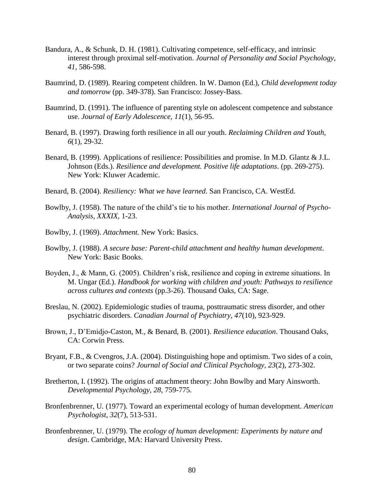- Bandura, A., & Schunk, D. H. (1981). Cultivating competence, self-efficacy, and intrinsic interest through proximal self-motivation. *Journal of Personality and Social Psychology, 41*, 586-598.
- Baumrind, D. (1989). Rearing competent children. In W. Damon (Ed.), *Child development today and tomorrow* (pp. 349-378). San Francisco: Jossey-Bass.
- Baumrind, D. (1991). The influence of parenting style on adolescent competence and substance use. *Journal of Early Adolescence, 11*(1), 56-95.
- Benard, B. (1997). Drawing forth resilience in all our youth. *Reclaiming Children and Youth, 6*(1), 29-32.
- Benard, B. (1999). Applications of resilience: Possibilities and promise. In M.D. Glantz & J.L. Johnson (Eds.). *Resilience and development. Positive life adaptations*. (pp. 269-275). New York: Kluwer Academic.
- Benard, B. (2004). *Resiliency: What we have learned*. San Francisco, CA. WestEd.
- Bowlby, J. (1958). The nature of the child's tie to his mother. *International Journal of Psycho-Analysis, XXXIX,* 1-23.
- Bowlby, J. (1969). *Attachment.* New York: Basics.
- Bowlby, J. (1988). *A secure base: Parent-child attachment and healthy human development*. New York: Basic Books.
- Boyden, J., & Mann, G. (2005). Children's risk, resilience and coping in extreme situations. In M. Ungar (Ed.). *Handbook for working with children and youth: Pathways to resilience across cultures and contexts* (pp.3-26). Thousand Oaks, CA: Sage.
- Breslau, N. (2002). Epidemiologic studies of trauma, posttraumatic stress disorder, and other psychiatric disorders. *Canadian Journal of Psychiatry, 47*(10), 923-929.
- Brown, J., D'Emidjo-Caston, M., & Benard, B. (2001). *Resilience education*. Thousand Oaks, CA: Corwin Press.
- Bryant, F.B., & Cvengros, J.A. (2004). Distinguishing hope and optimism. Two sides of a coin, or two separate coins? *Journal of Social and Clinical Psychology, 23*(2), 273-302.
- Bretherton, I. (1992). The origins of attachment theory: John Bowlby and Mary Ainsworth. *Developmental Psychology, 28*, 759-775.
- Bronfenbrenner, U. (1977). Toward an experimental ecology of human development. *American Psychologist, 32*(7), 513-531.
- Bronfenbrenner, U. (1979). The *ecology of human development: Experiments by nature and design*. Cambridge, MA: Harvard University Press.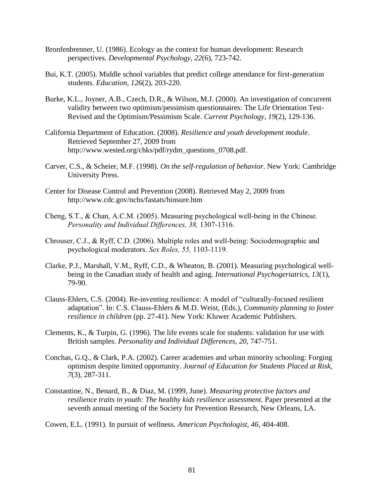- Bronfenbrenner, U. (1986). Ecology as the context for human development: Research perspectives. *Developmental Psychology, 22*(6), 723-742.
- Bui, K.T. (2005). Middle school variables that predict college attendance for first-generation students. *Education, 126*(2), 203-220.
- Burke, K.L., Joyner, A.B., Czech, D.R., & Wilson, M.J. (2000). An investigation of concurrent validity between two optimism/pessimism questionnaires: The Life Orientation Test-Revised and the Optimism/Pessimism Scale. *Current Psychology, 19*(2), 129-136.
- California Department of Education. (2008). *Resilience and youth development module.* Retrieved September 27, 2009 from http://www.wested.org/chks/pdf/rydm\_questions\_0708.pdf.
- Carver, C.S., & Scheier, M.F. (1998). *On the self-regulation of behavior*. New York: Cambridge University Press.
- Center for Disease Control and Prevention (2008). Retrieved May 2, 2009 from http://www.cdc.gov/nchs/fastats/hinsure.htm
- Cheng, S.T., & Chan, A.C.M. (2005). Measuring psychological well-being in the Chinese. *Personality and Individual Differences, 38,* 1307-1316.
- Chrouser, C.J., & Ryff, C.D. (2006). Multiple roles and well-being: Sociodemographic and psychological moderators. *Sex Roles, 55,* 1103-1119.
- Clarke, P.J., Marshall, V.M., Ryff, C.D., & Wheaton, B. (2001). Measuring psychological wellbeing in the Canadian study of health and aging. *International Psychogeriatrics, 13*(1), 79-90.
- Clauss-Ehlers, C.S. (2004). Re-inventing resilience: A model of "culturally-focused resilient adaptation". In: C.S. Clauss-Ehlers & M.D. Weist, (Eds.), *Community planning to foster resilience in children* (pp. 27-41). New York: Kluwer Academic Publishers.
- Clements, K., & Turpin, G. (1996). The life events scale for students: validation for use with British samples. *Personality and Individual Differences, 20*, 747-751.
- Conchas, G.Q., & Clark, P.A. (2002). Career academies and urban minority schooling: Forging optimism despite limited opportunity. *Journal of Education for Students Placed at Risk, 7*(3), 287-311.
- Constantine, N., Benard, B., & Diaz, M. (1999, June). *Measuring protective factors and resilience traits in youth: The healthy kids resilience assessment.* Paper presented at the seventh annual meeting of the Society for Prevention Research, New Orleans, LA.

Cowen, E.L. (1991). In pursuit of wellness. *American Psychologist, 46*, 404-408.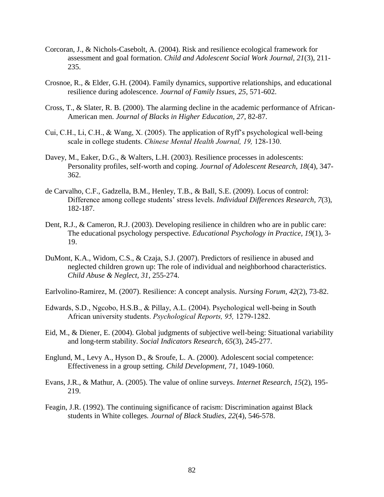- Corcoran, J., & Nichols-Casebolt, A. (2004). Risk and resilience ecological framework for assessment and goal formation. *Child and Adolescent Social Work Journal, 21*(3), 211- 235.
- Crosnoe, R., & Elder, G.H. (2004). Family dynamics, supportive relationships, and educational resilience during adolescence. *Journal of Family Issues, 25,* 571-602.
- Cross, T., & Slater, R. B. (2000). The alarming decline in the academic performance of African-American men. *Journal of Blacks in Higher Education, 27*, 82-87.
- Cui, C.H., Li, C.H., & Wang, X. (2005). The application of Ryff's psychological well-being scale in college students. *Chinese Mental Health Journal, 19,* 128-130.
- Davey, M., Eaker, D.G., & Walters, L.H. (2003). Resilience processes in adolescents: Personality profiles, self-worth and coping. *Journal of Adolescent Research, 18*(4), 347- 362.
- de Carvalho, C.F., Gadzella, B.M., Henley, T.B., & Ball, S.E. (2009). Locus of control: Difference among college students' stress levels. *Individual Differences Research, 7*(3), 182-187.
- Dent, R.J., & Cameron, R.J. (2003). Developing resilience in children who are in public care: The educational psychology perspective. *Educational Psychology in Practice, 19*(1), 3- 19.
- DuMont, K.A., Widom, C.S., & Czaja, S.J. (2007). Predictors of resilience in abused and neglected children grown up: The role of individual and neighborhood characteristics. *Child Abuse & Neglect, 31*, 255-274.
- Earlvolino-Ramirez, M. (2007). Resilience: A concept analysis. *Nursing Forum, 42*(2), 73-82.
- Edwards, S.D., Ngcobo, H.S.B., & Pillay, A.L. (2004). Psychological well-being in South African university students. *Psychological Reports, 95,* 1279-1282.
- Eid, M., & Diener, E. (2004). Global judgments of subjective well-being: Situational variability and long-term stability. *Social Indicators Research, 65*(3), 245-277.
- Englund, M., Levy A., Hyson D., & Sroufe, L. A. (2000). Adolescent social competence: Effectiveness in a group setting. *Child Development, 71*, 1049-1060.
- Evans, J.R., & Mathur, A. (2005). The value of online surveys. *Internet Research, 15*(2), 195- 219.
- Feagin, J.R. (1992). The continuing significance of racism: Discrimination against Black students in White colleges*. Journal of Black Studies, 22*(4), 546-578.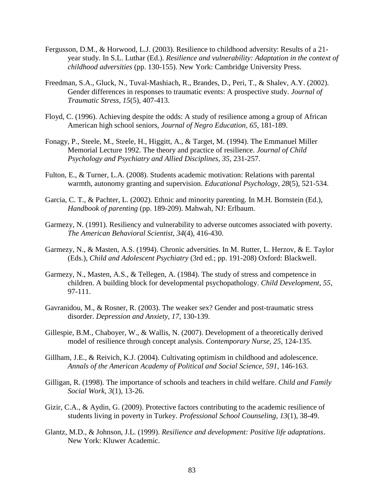- Fergusson, D.M., & Horwood, L.J. (2003). Resilience to childhood adversity: Results of a 21 year study. In S.L. Luthar (Ed.). *Resilience and vulnerability: Adaptation in the context of childhood adversities* (pp. 130-155). New York: Cambridge University Press.
- Freedman, S.A., Gluck, N., Tuval-Mashiach, R., Brandes, D., Peri, T., & Shalev, A.Y. (2002). Gender differences in responses to traumatic events: A prospective study. *Journal of Traumatic Stress, 15*(5), 407-413.
- [Floyd, C. \(1996\)](http://www.sciencedirect.com.libdata.lib.ua.edu/science?_ob=ArticleURL&_udi=B6V6G-4N5CSWK-1&_user=446476&_coverDate=02%2F29%2F2008&_rdoc=1&_fmt=high&_orig=search&_sort=d&_docanchor=&view=c&_acct=C000020379&_version=1&_urlVersion=0&_userid=446476&md5=f7444fcdc7c7022b15cbb062996cdd57#bbib23). Achieving despite the odds: A study of resilience among a group of African American high school seniors, *Journal of Negro Education, 65,* 181-189.
- Fonagy, P., Steele, M., Steele, H., Higgitt, A., & Target, M. (1994). The Emmanuel Miller Memorial Lecture 1992. The theory and practice of resilience. *Journal of Child Psychology and Psychiatry and Allied Disciplines, 35*, 231-257.
- Fulton, E., & Turner, L.A. (2008). Students academic motivation: Relations with parental warmth, autonomy granting and supervision. *Educational Psychology, 28*(5), 521-534.
- Garcia, C. T., & Pachter, L. (2002). Ethnic and minority parenting. In M.H. Bornstein (Ed.), *Handbook of parenting* (pp. 189-209). Mahwah, NJ: Erlbaum.
- Garmezy, N. (1991). Resiliency and vulnerability to adverse outcomes associated with poverty. *The American Behavioral Scientist, 34*(4), 416-430.
- Garmezy, N., & Masten, A.S. (1994). Chronic adversities. In M. Rutter, L. Herzov, & E. Taylor (Eds.), *Child and Adolescent Psychiatry* (3rd ed.; pp. 191-208) Oxford: Blackwell.
- Garmezy, N., Masten, A.S., & Tellegen, A. (1984). The study of stress and competence in children. A building block for developmental psychopathology. *Child Development, 55*, 97-111.
- Gavranidou, M., & Rosner, R. (2003). The weaker sex? Gender and post-traumatic stress disorder. *Depression and Anxiety, 17*, 130-139.
- Gillespie, B.M., Chaboyer, W., & Wallis, N. (2007). Development of a theoretically derived model of resilience through concept analysis. *Contemporary Nurse, 25*, 124-135.
- Gillham, J.E., & Reivich, K.J. (2004). Cultivating optimism in childhood and adolescence. *Annals of the American Academy of Political and Social Science, 591,* 146-163.
- Gilligan, R. (1998). The importance of schools and teachers in child welfare. *Child and Family Social Work, 3*(1), 13-26.
- Gizir, C.A., & Aydin, G. (2009). Protective factors contributing to the academic resilience of students living in poverty in Turkey. *Professional School Counseling, 13*(1), 38-49.
- Glantz, M.D., & Johnson, J.L. (1999). *Resilience and development: Positive life adaptations*. New York: Kluwer Academic.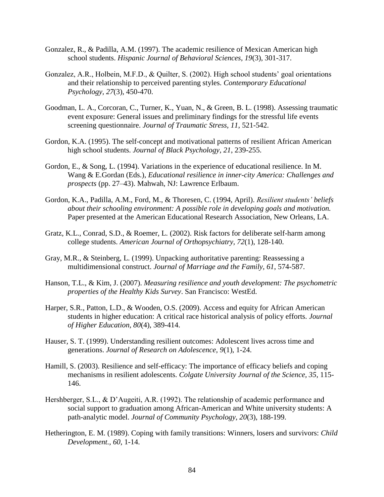- Gonzalez, R., & Padilla, A.M. (1997). The academic resilience of Mexican American high school students. *Hispanic Journal of Behavioral Sciences, 19*(3), 301-317.
- Gonzalez, A.R., Holbein, M.F.D., & Quilter, S. (2002). High school students' goal orientations and their relationship to perceived parenting styles. *Contemporary Educational Psychology, 27*(3), 450-470.
- Goodman, L. A., Corcoran, C., Turner, K., Yuan, N., & Green, B. L. (1998). Assessing traumatic event exposure: General issues and preliminary findings for the stressful life events screening questionnaire. *Journal of Traumatic Stress, 11*, 521-542.
- Gordon, K.A. (1995). The self-concept and motivational patterns of resilient African American high school students. *Journal of Black Psychology, 21*, 239-255.
- Gordon, E., & Song, L. (1994). Variations in the experience of educational resilience. In M. Wang & E.Gordan (Eds.), *Educational resilience in inner-city America: Challenges and prospects* (pp. 27–43). Mahwah, NJ: Lawrence Erlbaum.
- Gordon, K.A., Padilla, A.M., Ford, M., & Thoresen, C. (1994, April). *Resilient students' beliefs about their schooling environment: A possible role in developing goals and motivation.* Paper presented at the American Educational Research Association, New Orleans, LA.
- Gratz, K.L., Conrad, S.D., & Roemer, L. (2002). Risk factors for deliberate self-harm among college students. *American Journal of Orthopsychiatry, 72*(1), 128-140.
- Gray, M.R., & Steinberg, L. (1999). Unpacking authoritative parenting: Reassessing a multidimensional construct. *Journal of Marriage and the Family, 61*, 574-587.
- Hanson, T.L., & Kim, J. (2007). *Measuring resilience and youth development: The psychometric properties of the Healthy Kids Survey*. San Francisco: WestEd.
- Harper, S.R., Patton, L.D., & Wooden, O.S. (2009). Access and equity for African American students in higher education: A critical race historical analysis of policy efforts. *Journal of Higher Education, 80*(4), 389-414.
- Hauser, S. T. (1999). Understanding resilient outcomes: Adolescent lives across time and generations. *Journal of Research on Adolescence*, *9*(1), 1-24.
- Hamill, S. (2003). Resilience and self-efficacy: The importance of efficacy beliefs and coping mechanisms in resilient adolescents. *Colgate University Journal of the Science, 35*, 115- 146.
- Hershberger, S.L., & D'Augeiti, A.R. (1992). The relationship of academic performance and social support to graduation among African-American and White university students: A path-analytic model. *Journal of Community Psychology, 20*(3), 188-199.
- Hetherington, E. M. (1989). Coping with family transitions: Winners, losers and survivors: *Child Development., 60*, 1-14.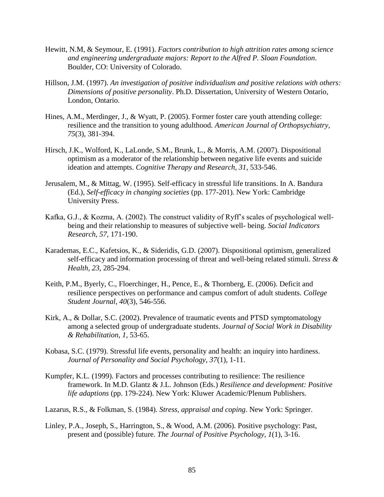- Hewitt, N.M, & Seymour, E. (1991). *Factors contribution to high attrition rates among science and engineering undergraduate majors: Report to the Alfred P. Sloan Foundation*. Boulder, CO: University of Colorado.
- Hillson, J.M. (1997). *An investigation of positive individualism and positive relations with others: Dimensions of positive personality*. Ph.D. Dissertation, University of Western Ontario, London, Ontario.
- Hines, A.M., Merdinger, J., & Wyatt, P. (2005). Former foster care youth attending college: resilience and the transition to young adulthood. *American Journal of Orthopsychiatry, 75*(3), 381-394.
- Hirsch, J.K., Wolford, K., LaLonde, S.M., Brunk, L., & Morris, A.M. (2007). Dispositional optimism as a moderator of the relationship between negative life events and suicide ideation and attempts. *Cognitive Therapy and Research, 31*, 533-546.
- Jerusalem, M., & Mittag, W. (1995). Self-efficacy in stressful life transitions. In A. Bandura (Ed.), *Self-efficacy in changing societies* (pp. 177-201). New York: Cambridge University Press.
- Kafka, G.J., & Kozma, A. (2002). The construct validity of Ryff's scales of psychological wellbeing and their relationship to measures of subjective well- being. *Social Indicators Research, 57*, 171-190.
- Karademas, E.C., Kafetsios, K., & Sideridis, G.D. (2007). Dispositional optimism, generalized self-efficacy and information processing of threat and well-being related stimuli. *Stress & Health, 23*, 285-294.
- Keith, P.M., Byerly, C., Floerchinger, H., Pence, E., & Thornberg, E. (2006). Deficit and resilience perspectives on performance and campus comfort of adult students. *College Student Journal, 40*(3), 546-556.
- Kirk, A., & Dollar, S.C. (2002). Prevalence of traumatic events and PTSD symptomatology among a selected group of undergraduate students. *Journal of Social Work in Disability & Rehabilitation, 1*, 53-65.
- Kobasa, S.C. (1979). Stressful life events, personality and health: an inquiry into hardiness. *Journal of Personality and Social Psychology, 37*(1), 1-11.
- Kumpfer, K.L. (1999). Factors and processes contributing to resilience: The resilience framework. In M.D. Glantz & J.L. Johnson (Eds.) *Resilience and development: Positive life adaptions* (pp. 179-224). New York: Kluwer Academic/Plenum Publishers.
- Lazarus, R.S., & Folkman, S. (1984). *Stress, appraisal and coping*. New York: Springer.
- Linley, P.A., Joseph, S., Harrington, S., & Wood, A.M. (2006). Positive psychology: Past, present and (possible) future. *The Journal of Positive Psychology, 1*(1), 3-16.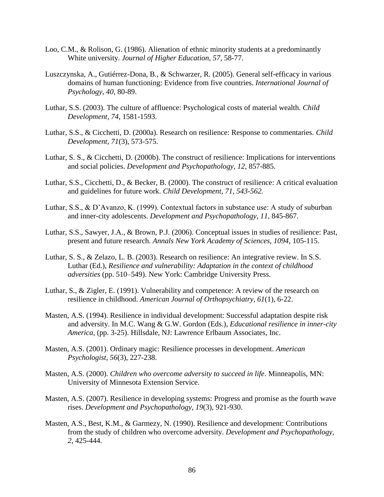- Loo, C.M., & Rolison, G. (1986). Alienation of ethnic minority students at a predominantly White university. *Journal of Higher Education, 57*, 58-77.
- Luszczynska, A., Gutiérrez-Dona, B., & Schwarzer, R. (2005). General self-efficacy in various domains of human functioning: Evidence from five countries. *International Journal of Psychology*, *40*, 80-89.
- Luthar, S.S. (2003). The culture of affluence: Psychological costs of material wealth. *Child Development, 74*, 1581-1593.
- Luthar, S.S., & Cicchetti, D. (2000a). Research on resilience: Response to commentaries. *Child Development, 71*(3), 573-575.
- Luthar, S. S., & Cicchetti, D. (2000b). The construct of resilience: Implications for interventions and social policies. *Development and Psychopathology, 12,* 857-885.
- Luthar, S.S., Cicchetti, D., & Becker, B. (2000). The construct of resilience: A critical evaluation and guidelines for future work. *Child Development, 71, 543-562.*
- Luthar, S.S., & D'Avanzo, K. (1999). Contextual factors in substance use: A study of suburban and inner-city adolescents. *Development and Psychopathology, 11*, 845-867.
- Luthar, S.S., Sawyer, J.A., & Brown, P.J. (2006). Conceptual issues in studies of resilience: Past, present and future research. *Annals New York Academy of Sciences, 1094*, 105-115.
- Luthar, S. S., & Zelazo, L. B. (2003). Research on resilience: An integrative review. In S.S. Luthar (Ed.), *Resilience and vulnerability: Adaptation in the context of childhood adversities* (pp. 510–549). New York: Cambridge University Press.
- Luthar, S., & Zigler, E. (1991). Vulnerability and competence: A review of the research on resilience in childhood. *American Journal of Orthopsychiatry, 61*(1), 6-22.
- Masten, A.S. (1994). Resilience in individual development: Successful adaptation despite risk and adversity. In M.C. Wang & G.W. Gordon (Eds.), *Educational resilience in inner-city America,* (pp. 3-25). Hillsdale, NJ: Lawrence Erlbaum Associates, Inc.
- Masten, A.S. (2001). Ordinary magic: Resilience processes in development. *American Psychologist, 56*(3), 227-238.
- Masten, A.S. (2000). *Children who overcome adversity to succeed in life*. Minneapolis, MN: University of Minnesota Extension Service.
- Masten, A.S. (2007). Resilience in developing systems: Progress and promise as the fourth wave rises. *Development and Psychopathology, 19*(3), 921-930.
- Masten, A.S., Best, K.M., & Garmezy, N. (1990). Resilience and development: Contributions from the study of children who overcome adversity. *Development and Psychopathology, 2,* 425-444.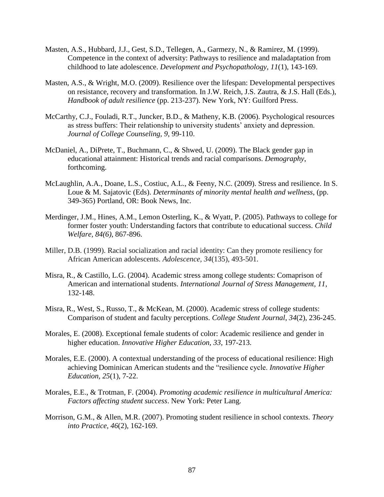- Masten, A.S., Hubbard, J.J., Gest, S.D., Tellegen, A., Garmezy, N., & Ramirez, M. (1999). Competence in the context of adversity: Pathways to resilience and maladaptation from childhood to late adolescence. *Development and Psychopathology, 11*(1), 143-169.
- Masten, A.S., & Wright, M.O. (2009). Resilience over the lifespan: Developmental perspectives on resistance, recovery and transformation. In J.W. Reich, J.S. Zautra, & J.S. Hall (Eds.), *Handbook of adult resilience* (pp. 213-237). New York, NY: Guilford Press.
- McCarthy, C.J., Fouladi, R.T., Juncker, B.D., & Matheny, K.B. (2006). Psychological resources as stress buffers: Their relationship to university students' anxiety and depression. *Journal of College Counseling, 9*, 99-110.
- McDaniel, A., DiPrete, T., Buchmann, C., & Shwed, U. (2009). The Black gender gap in educational attainment: Historical trends and racial comparisons. *Demography*, forthcoming.
- McLaughlin, A.A., Doane, L.S., Costiuc, A.L., & Feeny, N.C. (2009). Stress and resilience. In S. Loue & M. Sajatovic (Eds). *Determinants of minority mental health and wellness*, (pp. 349-365) Portland, OR: Book News, Inc.
- Merdinger, J.M., Hines, A.M., Lemon Osterling, K., & Wyatt, P. (2005). Pathways to college for former foster youth: Understanding factors that contribute to educational success. *Child Welfare, 84(6)*, 867-896.
- Miller, D.B. (1999). Racial socialization and racial identity: Can they promote resiliency for African American adolescents. *Adolescence, 34*(135), 493-501.
- Misra, R., & Castillo, L.G. (2004). Academic stress among college students: Comaprison of American and international students. *International Journal of Stress Management, 11*, 132-148.
- Misra, R., West, S., Russo, T., & McKean, M. (2000). Academic stress of college students: Comparison of student and faculty perceptions. *College Student Journal*, *34*(2), 236-245.
- Morales, E. (2008). Exceptional female students of color: Academic resilience and gender in higher education. *Innovative Higher Education, 33*, 197-213.
- Morales, E.E. (2000). A contextual understanding of the process of educational resilience: High achieving Dominican American students and the "resilience cycle. *Innovative Higher Education, 25*(1), 7-22.
- Morales, E.E., & Trotman, F. (2004). *Promoting academic resilience in multicultural America: Factors affecting student success*. New York: Peter Lang.
- Morrison, G.M., & Allen, M.R. (2007). Promoting student resilience in school contexts. *Theory into Practice, 46*(2), 162-169.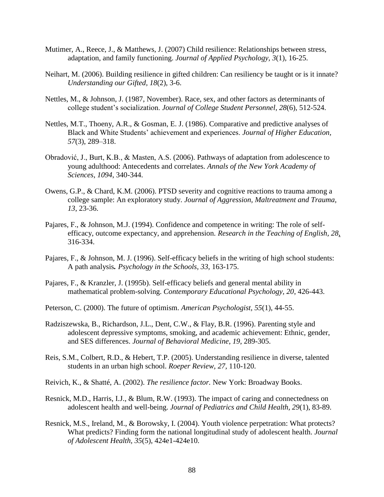- Mutimer, A., Reece, J., & Matthews, J. (2007) Child resilience: Relationships between stress, adaptation, and family functioning. *Journal of Applied Psychology, 3*(1), 16-25.
- Neihart, M. (2006). Building resilience in gifted children: Can resiliency be taught or is it innate? *Understanding our Gifted, 18*(2), 3-6.
- Nettles, M., & Johnson, J. (1987, November). Race, sex, and other factors as determinants of college student's socialization. *Journal of College Student Personnel*, *28*(6), 512-524.
- Nettles, M.T., Thoeny, A.R., & Gosman, E. J. (1986). Comparative and predictive analyses of Black and White Students' achievement and experiences. *Journal of Higher Education, 57*(3), 289–318.
- Obradović, J., Burt, K.B., & Masten, A.S. (2006). Pathways of adaptation from adolescence to young adulthood: Antecedents and correlates. *Annals of the New York Academy of Sciences*, *1094*, 340-344.
- Owens, G.P., & Chard, K.M. (2006). PTSD severity and cognitive reactions to trauma among a college sample: An exploratory study. *Journal of Aggression, Maltreatment and Trauma, 13*, 23-36.
- Pajares, F., & Johnson, M.J. (1994). Confidence and competence in writing: The role of selfefficacy, outcome expectancy, and apprehension. *Research in the Teaching of English, 28*, 316-334.
- Pajares, F., & Johnson, M. J. (1996). Self-efficacy beliefs in the writing of high school students: A path analysis*. Psychology in the Schools, 33*, 163-175.
- Pajares, F., & Kranzler, J. (1995b). Self-efficacy beliefs and general mental ability in mathematical problem-solving. *Contemporary Educational Psychology, 20*, 426-443.
- Peterson, C. (2000). The future of optimism. *American Psychologist, 55*(1), 44-55.
- Radziszewska, B., Richardson, J.L., Dent, C.W., & Flay, B.R. (1996). Parenting style and adolescent depressive symptoms, smoking, and academic achievement: Ethnic, gender, and SES differences. *Journal of Behavioral Medicine*, *19*, 289-305.
- Reis, S.M., Colbert, R.D., & Hebert, T.P. (2005). Understanding resilience in diverse, talented students in an urban high school. *Roeper Review, 27,* 110-120.
- Reivich, K., & Shatté, A. (2002). *The resilience factor.* New York: Broadway Books.
- Resnick, M.D., Harris, I.J., & Blum, R.W. (1993). The impact of caring and connectedness on adolescent health and well-being. *Journal of Pediatrics and Child Health, 29*(1), 83-89.
- Resnick, M.S., Ireland, M., & Borowsky, I. (2004). Youth violence perpetration: What protects? What predicts? Finding form the national longitudinal study of adolescent health. *Journal of Adolescent Health, 35*(5), 424e1-424e10.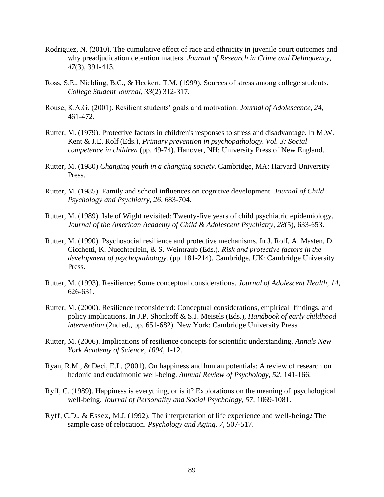- Rodriguez, N. (2010). The cumulative effect of race and ethnicity in juvenile court outcomes and why preadjudication detention matters. *Journal of Research in Crime and Delinquency, 47*(3), 391-413.
- Ross, S.E., Niebling, B.C., & Heckert, T.M. (1999). Sources of stress among college students. *College Student Journal, 33*(2) 312-317.
- Rouse, K.A.G. (2001). Resilient students' goals and motivation. *Journal of Adolescence, 24*, 461-472.
- Rutter, M. (1979). Protective factors in children's responses to stress and disadvantage. In M.W. Kent & J.E. Rolf (Eds.), *Primary prevention in psychopathology. Vol. 3: Social competence in children* (pp. 49-74). Hanover, NH: University Press of New England.
- Rutter, M. (1980) *Changing youth in a changing society*. Cambridge, MA: Harvard University Press.
- Rutter, M. (1985). Family and school influences on cognitive development. *Journal of Child Psychology and Psychiatry, 26*, 683-704.
- Rutter, M. (1989). Isle of Wight revisited: Twenty-five years of child psychiatric epidemiology. *Journal of the American Academy of Child & Adolescent Psychiatry, 28*(5), 633-653.
- Rutter, M. (1990). Psychosocial resilience and protective mechanisms. In J. Rolf, A. Masten, D. Cicchetti, K. Nuechterlein, & S. Weintraub (Eds.). *Risk and protective factors in the development of psychopathology.* (pp. 181-214). Cambridge, UK: Cambridge University Press.
- Rutter, M. (1993). Resilience: Some conceptual considerations. *Journal of Adolescent Health, 14*, 626-631.
- Rutter, M. (2000). Resilience reconsidered: Conceptual considerations, empirical findings, and policy implications. In J.P. Shonkoff & S.J. Meisels (Eds.), *Handbook of early childhood intervention* (2nd ed., pp. 651-682). New York: Cambridge University Press
- Rutter, M. (2006). Implications of resilience concepts for scientific understanding. *Annals New York Academy of Science*, *1094*, 1-12.
- Ryan, R.M., & Deci, E.L. (2001). On happiness and human potentials: A review of research on hedonic and eudaimonic well-being. *Annual Review of Psychology, 52*, 141-166.
- Ryff, C. (1989). Happiness is everything, or is it? Explorations on the meaning of psychological well-being. *Journal of Personality and Social Psychology, 57,* 1069-1081.
- Ryff*,* C.D., & Essex*,* M.J. (1992). The interpretation of life experience and well*-*being*:* The sample case of relocation. *Psychology and Aging, 7,* 507-517.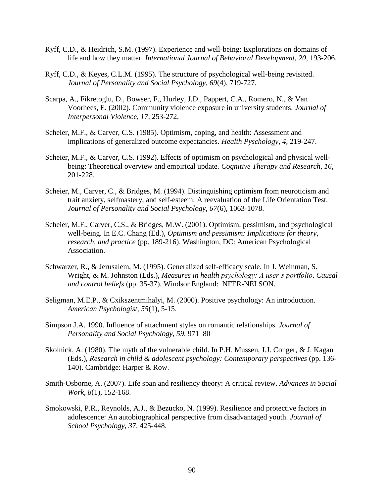- Ryff, C.D., & Heidrich, S.M. (1997). Experience and well-being: Explorations on domains of life and how they matter. *International Journal of Behavioral Development, 20*, 193-206.
- Ryff, C.D., & Keyes, C.L.M. (1995). The structure of psychological well-being revisited. *Journal of Personality and Social Psychology, 69*(4), 719-727.
- Scarpa, A., Fikretoglu, D., Bowser, F., Hurley, J.D., Pappert, C.A., Romero, N., & Van Voorhees, E. (2002). Community violence exposure in university students. *Journal of Interpersonal Violence, 17*, 253-272.
- Scheier, M.F., & Carver, C.S. (1985). Optimism, coping, and health: Assessment and implications of generalized outcome expectancies. *Health Pyschology, 4,* 219-247.
- Scheier, M.F., & Carver, C.S. (1992). Effects of optimism on psychological and physical wellbeing: Theoretical overview and empirical update. *Cognitive Therapy and Research, 16*, 201-228.
- Scheier, M., Carver, C., & Bridges, M. (1994). Distinguishing optimism from neuroticism and trait anxiety, selfmastery, and self-esteem: A reevaluation of the Life Orientation Test. *Journal of Personality and Social Psychology, 67*(6), 1063-1078.
- Scheier, M.F., Carver, C.S., & Bridges, M.W. (2001). Optimism, pessimism, and psychological well-being. In E.C. Chang (Ed.), *Optimism and pessimism: Implications for theory, research, and practice* (pp. 189-216). Washington, DC: American Psychological Association.
- Schwarzer, R., & Jerusalem, M. (1995). Generalized self-efficacy scale. In J. Weinman, S. Wright, & M. Johnston (Eds.), *Measures in health psychology: A user's portfolio*. *Causal and control beliefs* (pp. 35-37). Windsor England: NFER-NELSON.
- Seligman, M.E.P., & Cxikszentmihalyi, M. (2000). Positive psychology: An introduction. *American Psychologist, 55*(1), 5-15.
- Simpson J.A. 1990. Influence of attachment styles on romantic relationships. *Journal of Personality and Social Psychology, 59,* 971–80
- Skolnick, A. (1980). The myth of the vulnerable child. In P.H. Mussen, J.J. Conger, & J. Kagan (Eds.), *Research in child & adolescent psychology: Contemporary perspectives* (pp. 136- 140). Cambridge: Harper & Row.
- Smith-Osborne, A. (2007). Life span and resiliency theory: A critical review. *Advances in Social Work, 8*(1), 152-168.
- Smokowski, P.R., Reynolds, A.J., & Bezucko, N. (1999). Resilience and protective factors in adolescence: An autobiographical perspective from disadvantaged youth. *Journal of School Psychology, 37,* 425-448.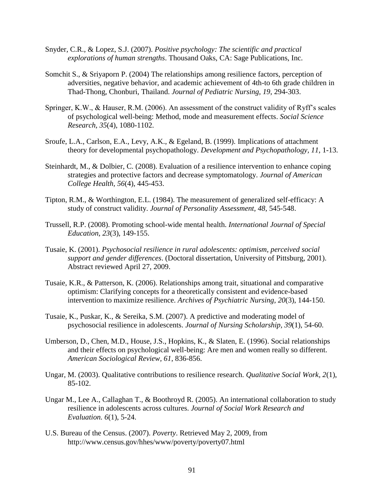- Snyder, C.R., & Lopez, S.J. (2007). *Positive psychology: The scientific and practical explorations of human strengths*. Thousand Oaks, CA: Sage Publications, Inc.
- Somchit S., & Sriyaporn P. (2004) The relationships among resilience factors, perception of adversities, negative behavior, and academic achievement of 4th-to 6th grade children in Thad-Thong, Chonburi, Thailand. *Journal of Pediatric Nursing, 19*, 294-303.
- Springer, K.W., & Hauser, R.M. (2006). An assessment of the construct validity of Ryff's scales of psychological well-being: Method, mode and measurement effects. *Social Science Research, 35*(4), 1080-1102.
- Sroufe, L.A., Carlson, E.A., Levy, A.K., & Egeland, B. (1999). Implications of attachment theory for developmental psychopathology. *Development and Psychopathology, 11*, 1-13.
- Steinhardt, M., & Dolbier, C. (2008). Evaluation of a resilience intervention to enhance coping strategies and protective factors and decrease symptomatology. *Journal of American College Health, 56*(4), 445-453.
- Tipton, R.M., & Worthington, E.L. (1984). The measurement of generalized self-efficacy: A study of construct validity. *Journal of Personality Assessment, 48*, 545-548.
- Trussell, R.P. (2008). Promoting school-wide mental health. *International Journal of Special Education, 23*(3), 149-155.
- Tusaie, K. (2001). *Psychosocial resilience in rural adolescents: optimism, perceived social support and gender differences*. (Doctoral dissertation, University of Pittsburg, 2001). Abstract reviewed April 27, 2009.
- Tusaie, K.R., & Patterson, K. (2006). Relationships among trait, situational and comparative optimism: Clarifying concepts for a theoretically consistent and evidence-based intervention to maximize resilience. *Archives of Psychiatric Nursing, 20*(3), 144-150.
- Tusaie, K., Puskar, K., & Sereika, S.M. (2007). A predictive and moderating model of psychosocial resilience in adolescents. *Journal of Nursing Scholarship, 39*(1), 54-60.
- Umberson, D., Chen, M.D., House, J.S., Hopkins, K., & Slaten, E. (1996). Social relationships and their effects on psychological well-being: Are men and women really so different. *American Sociological Review, 61*, 836-856.
- Ungar, M. (2003). Qualitative contributions to resilience research. *Qualitative Social Work, 2*(1), 85-102.
- Ungar M., Lee A., Callaghan T., & Boothroyd R. (2005). An international collaboration to study resilience in adolescents across cultures. *Journal of Social Work Research and Evaluation. 6*(1), 5-24.
- U.S. Bureau of the Census. (2007). *Poverty*. Retrieved May 2, 2009, from http://www.census.gov/hhes/www/poverty/poverty07.html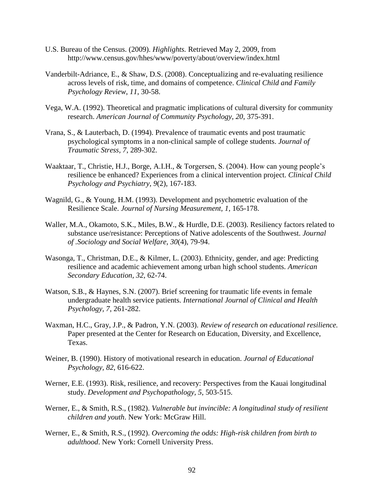- U.S. Bureau of the Census. (2009). *Highlights.* Retrieved May 2, 2009, from http://www.census.gov/hhes/www/poverty/about/overview/index.html
- Vanderbilt-Adriance, E., & Shaw, D.S. (2008). Conceptualizing and re-evaluating resilience across levels of risk, time, and domains of competence. *Clinical Child and Family Psychology Review*, *11*, 30-58.
- Vega, W.A. (1992). Theoretical and pragmatic implications of cultural diversity for community research. *American Journal of Community Psychology, 20*, 375-391.
- Vrana, S., & Lauterbach, D. (1994). Prevalence of traumatic events and post traumatic psychological symptoms in a non-clinical sample of college students. *Journal of Traumatic Stress, 7*, 289-302.
- Waaktaar, T., Christie, H.J., Borge, A.I.H., & Torgersen, S. (2004). How can young people's resilience be enhanced? Experiences from a clinical intervention project. *Clinical Child Psychology and Psychiatry*, *9*(2), 167-183.
- Wagnild, G., & Young, H.M. (1993). Development and psychometric evaluation of the Resilience Scale. *Journal of Nursing Measurement, 1*, 165-178.
- Waller, M.A., Okamoto, S.K., Miles, B.W., & Hurdle, D.E. (2003). Resiliency factors related to substance use/resistance: Perceptions of Native adolescents of the Southwest. *Journal of .Sociology and Social Welfare, 30*(4), 79-94.
- Wasonga, T., Christman, D.E., & Kilmer, L. (2003). Ethnicity, gender, and age: Predicting resilience and academic achievement among urban high school students. *American Secondary Education, 32*, 62-74.
- Watson, S.B., & Haynes, S.N. (2007). Brief screening for traumatic life events in female undergraduate health service patients. *International Journal of Clinical and Health Psychology, 7*, 261-282.
- Waxman, H.C., Gray, J.P., & Padron, Y.N. (2003). *Review of research on educational resilience.* Paper presented at the Center for Research on Education, Diversity, and Excellence, Texas.
- Weiner, B. (1990). History of motivational research in education. *Journal of Educational Psychology, 82*, 616-622.
- Werner, E.E. (1993). Risk, resilience, and recovery: Perspectives from the Kauai longitudinal study. *Development and Psychopathology, 5*, 503-515.
- Werner, E., & Smith, R.S., (1982). *Vulnerable but invincible: A longitudinal study of resilient children and youth*. New York: McGraw Hill.
- Werner, E., & Smith, R.S., (1992). *Overcoming the odds: High-risk children from birth to adulthood*. New York: Cornell University Press.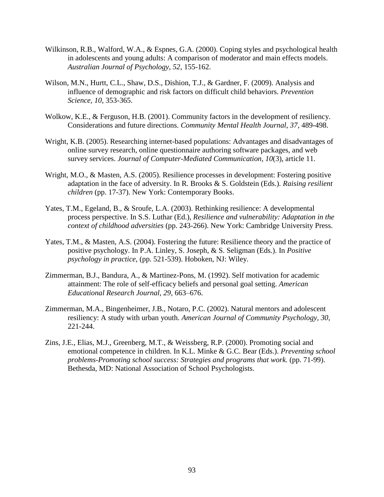- Wilkinson, R.B., Walford, W.A., & Espnes, G.A. (2000). Coping styles and psychological health in adolescents and young adults: A comparison of moderator and main effects models. *Australian Journal of Psychology, 52*, 155-162.
- Wilson, M.N., Hurtt, C.L., Shaw, D.S., Dishion, T.J., & Gardner, F. (2009). Analysis and influence of demographic and risk factors on difficult child behaviors. *Prevention Science, 10*, 353-365.
- Wolkow, K.E., & Ferguson, H.B. (2001). Community factors in the development of resiliency. Considerations and future directions. *Community Mental Health Journal, 37*, 489-498.
- Wright, K.B. (2005). Researching internet-based populations: Advantages and disadvantages of online survey research, online questionnaire authoring software packages, and web survey services. *Journal of Computer-Mediated Communication, 10*(3), article 11.
- Wright, M.O., & Masten, A.S. (2005). Resilience processes in development: Fostering positive adaptation in the face of adversity. In R. Brooks & S. Goldstein (Eds.). *Raising resilient children* (pp. 17-37). New York: Contemporary Books.
- Yates, T.M., Egeland, B., & Sroufe, L.A. (2003). Rethinking resilience: A developmental process perspective. In S.S. Luthar (Ed.), *Resilience and vulnerability: Adaptation in the context of childhood adversities* (pp. 243-266). New York: Cambridge University Press.
- Yates, T.M., & Masten, A.S. (2004). Fostering the future: Resilience theory and the practice of positive psychology. In P.A. Linley, S. Joseph, & S. Seligman (Eds.). In *Positive psychology in practice,* (pp. 521-539). Hoboken, NJ: Wiley.
- Zimmerman, B.J., Bandura, A., & Martinez-Pons, M. (1992). Self motivation for academic attainment: The role of self-efficacy beliefs and personal goal setting. *American Educational Research Journal, 29,* 663–676.
- Zimmerman, M.A., Bingenheimer, J.B., Notaro, P.C. (2002). Natural mentors and adolescent resiliency: A study with urban youth. *American Journal of Community Psychology, 30,* 221-244.
- Zins, J.E., Elias, M.J., Greenberg, M.T., & Weissberg, R.P. (2000). Promoting social and emotional competence in children. In K.L. Minke & G.C. Bear (Eds.). *Preventing school problems-Promoting school success: Strategies and programs that work.* (pp. 71-99). Bethesda, MD: National Association of School Psychologists.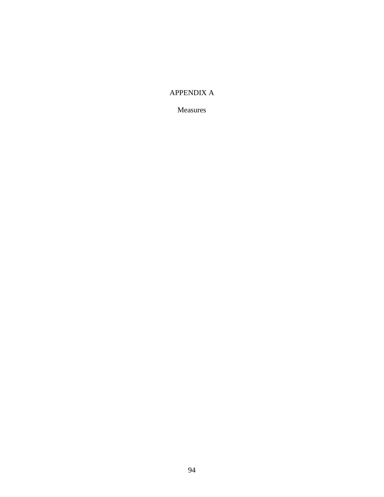# APPENDIX A

Measures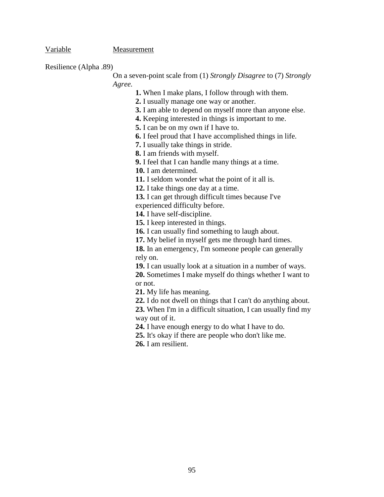Variable Measurement

Resilience (Alpha .89)

On a seven-point scale from (1) *Strongly Disagree* to (7) *Strongly Agree.*

**1.** When I make plans, I follow through with them.

**2.** I usually manage one way or another.

**3.** I am able to depend on myself more than anyone else.

**4.** Keeping interested in things is important to me.

**5.** I can be on my own if I have to.

**6.** I feel proud that I have accomplished things in life.

**7.** I usually take things in stride.

**8.** I am friends with myself.

**9.** I feel that I can handle many things at a time.

**10.** I am determined.

**11.** I seldom wonder what the point of it all is.

**12.** I take things one day at a time.

**13.** I can get through difficult times because I've

experienced difficulty before.

**14.** I have self-discipline.

**15.** I keep interested in things.

**16.** I can usually find something to laugh about.

**17.** My belief in myself gets me through hard times.

**18.** In an emergency, I'm someone people can generally rely on.

**19.** I can usually look at a situation in a number of ways.

**20.** Sometimes I make myself do things whether I want to or not.

**21.** My life has meaning.

**22.** I do not dwell on things that I can't do anything about.

**23.** When I'm in a difficult situation, I can usually find my way out of it.

**24.** I have enough energy to do what I have to do.

**25.** It's okay if there are people who don't like me.

**26.** I am resilient.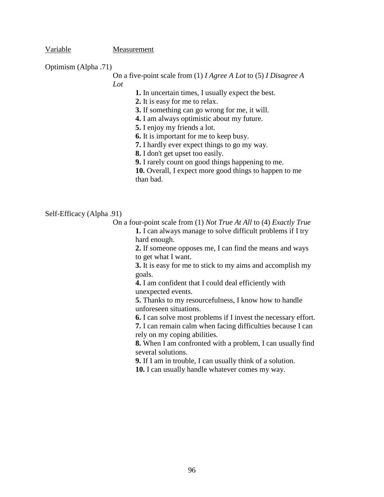Variable Measurement

Optimism (Alpha .71)

On a five-point scale from (1) *I Agree A Lot* to (5) *I Disagree A* 

*Lot*

**1.** In uncertain times, I usually expect the best.

**2.** It is easy for me to relax.

**3.** If something can go wrong for me, it will.

**4.** I am always optimistic about my future.

**5.** I enjoy my friends a lot.

**6.** It is important for me to keep busy.

**7.** I hardly ever expect things to go my way.

**8.** I don't get upset too easily.

**9.** I rarely count on good things happening to me.

**10.** Overall, I expect more good things to happen to me than bad.

Self-Efficacy (Alpha .91)

On a four-point scale from (1) *Not True At All* to (4) *Exactly True* **1.** I can always manage to solve difficult problems if I try hard enough.

> **2.** If someone opposes me, I can find the means and ways to get what I want.

> **3.** It is easy for me to stick to my aims and accomplish my goals.

**4.** I am confident that I could deal efficiently with unexpected events.

**5.** Thanks to my resourcefulness, I know how to handle unforeseen situations.

**6.** I can solve most problems if I invest the necessary effort.

**7.** I can remain calm when facing difficulties because I can rely on my coping abilities.

**8.** When I am confronted with a problem, I can usually find several solutions.

**9.** If I am in trouble, I can usually think of a solution.

**10.** I can usually handle whatever comes my way.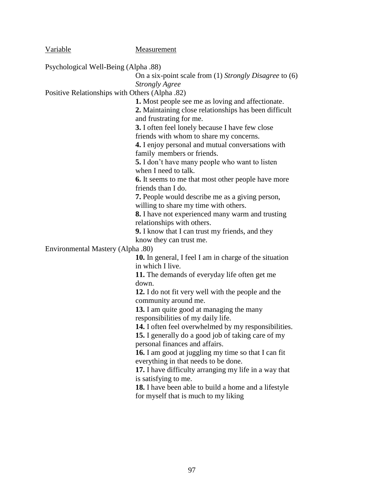| <b>Variable</b>                                | Measurement                                                                                                       |
|------------------------------------------------|-------------------------------------------------------------------------------------------------------------------|
| Psychological Well-Being (Alpha .88)           |                                                                                                                   |
|                                                | On a six-point scale from $(1)$ <i>Strongly Disagree</i> to $(6)$                                                 |
|                                                | <b>Strongly Agree</b>                                                                                             |
| Positive Relationships with Others (Alpha .82) |                                                                                                                   |
|                                                | <b>1.</b> Most people see me as loving and affectionate.                                                          |
|                                                | 2. Maintaining close relationships has been difficult                                                             |
|                                                | and frustrating for me.                                                                                           |
|                                                | 3. I often feel lonely because I have few close                                                                   |
|                                                | friends with whom to share my concerns.                                                                           |
|                                                | 4. I enjoy personal and mutual conversations with                                                                 |
|                                                | family members or friends.                                                                                        |
|                                                | <b>5.</b> I don't have many people who want to listen                                                             |
|                                                | when I need to talk.                                                                                              |
|                                                | <b>6.</b> It seems to me that most other people have more                                                         |
|                                                | friends than I do.                                                                                                |
|                                                | 7. People would describe me as a giving person,                                                                   |
|                                                | willing to share my time with others.                                                                             |
|                                                | 8. I have not experienced many warm and trusting                                                                  |
|                                                | relationships with others.                                                                                        |
|                                                | 9. I know that I can trust my friends, and they                                                                   |
|                                                | know they can trust me.                                                                                           |
| Environmental Mastery (Alpha .80)              |                                                                                                                   |
|                                                | <b>10.</b> In general, I feel I am in charge of the situation                                                     |
|                                                | in which I live.                                                                                                  |
|                                                | 11. The demands of everyday life often get me                                                                     |
|                                                | down.                                                                                                             |
|                                                | 12. I do not fit very well with the people and the                                                                |
|                                                | community around me.                                                                                              |
|                                                | 13. I am quite good at managing the many<br>responsibilities of my daily life.                                    |
|                                                |                                                                                                                   |
|                                                | <b>14.</b> I often feel overwhelmed by my responsibilities.<br>15. I generally do a good job of taking care of my |
|                                                | personal finances and affairs.                                                                                    |
|                                                | 16. I am good at juggling my time so that I can fit                                                               |
|                                                | everything in that needs to be done.                                                                              |
|                                                | 17. I have difficulty arranging my life in a way that                                                             |
|                                                | is satisfying to me.                                                                                              |
|                                                | 18. I have been able to build a home and a lifestyle                                                              |
|                                                | for myself that is much to my liking                                                                              |
|                                                |                                                                                                                   |
|                                                |                                                                                                                   |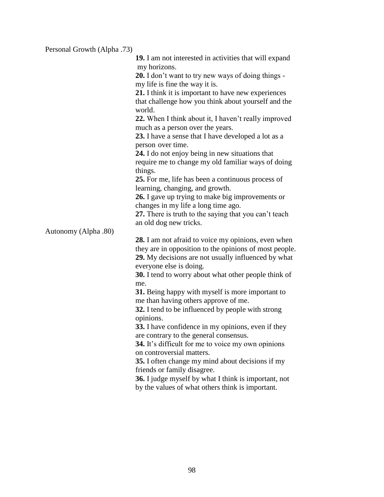| Personal Growth (Alpha .73) |                                                                                                                                          |
|-----------------------------|------------------------------------------------------------------------------------------------------------------------------------------|
|                             | <b>19.</b> I am not interested in activities that will expand                                                                            |
|                             | my horizons.                                                                                                                             |
|                             | <b>20.</b> I don't want to try new ways of doing things -                                                                                |
|                             | my life is fine the way it is.                                                                                                           |
|                             | 21. I think it is important to have new experiences                                                                                      |
|                             | that challenge how you think about yourself and the<br>world.                                                                            |
|                             | 22. When I think about it, I haven't really improved<br>much as a person over the years.                                                 |
|                             | 23. I have a sense that I have developed a lot as a<br>person over time.                                                                 |
|                             | 24. I do not enjoy being in new situations that                                                                                          |
|                             | require me to change my old familiar ways of doing<br>things.                                                                            |
|                             | 25. For me, life has been a continuous process of<br>learning, changing, and growth.                                                     |
|                             | 26. I gave up trying to make big improvements or                                                                                         |
|                             | changes in my life a long time ago.                                                                                                      |
|                             | 27. There is truth to the saying that you can't teach                                                                                    |
|                             | an old dog new tricks.                                                                                                                   |
| Autonomy (Alpha .80)        |                                                                                                                                          |
|                             | 28. I am not afraid to voice my opinions, even when                                                                                      |
|                             | they are in opposition to the opinions of most people.<br>29. My decisions are not usually influenced by what<br>everyone else is doing. |
|                             | 30. I tend to worry about what other people think of<br>me.                                                                              |
|                             | 31. Being happy with myself is more important to<br>me than having others approve of me.                                                 |
|                             | 32. I tend to be influenced by people with strong<br>opinions.                                                                           |
|                             | 33. I have confidence in my opinions, even if they                                                                                       |
|                             | are contrary to the general consensus.                                                                                                   |
|                             | 34. It's difficult for me to voice my own opinions                                                                                       |
|                             | on controversial matters.                                                                                                                |
|                             | 35. I often change my mind about decisions if my                                                                                         |
|                             | friends or family disagree.                                                                                                              |
|                             | 36. I judge myself by what I think is important, not<br>by the values of what others think is important.                                 |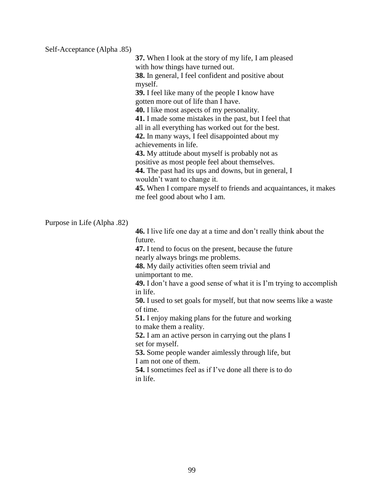#### Self-Acceptance (Alpha .85)

**37.** When I look at the story of my life, I am pleased with how things have turned out.

**38.** In general, I feel confident and positive about myself.

**39.** I feel like many of the people I know have gotten more out of life than I have.

**40.** I like most aspects of my personality.

**41.** I made some mistakes in the past, but I feel that

all in all everything has worked out for the best.

**42.** In many ways, I feel disappointed about my achievements in life.

**43.** My attitude about myself is probably not as

positive as most people feel about themselves.

**44.** The past had its ups and downs, but in general, I wouldn't want to change it.

**45.** When I compare myself to friends and acquaintances, it makes me feel good about who I am.

### Purpose in Life (Alpha .82)

**46.** I live life one day at a time and don't really think about the future.

**47.** I tend to focus on the present, because the future nearly always brings me problems.

**48.** My daily activities often seem trivial and unimportant to me.

**49.** I don't have a good sense of what it is I'm trying to accomplish in life.

**50.** I used to set goals for myself, but that now seems like a waste of time.

**51.** I enjoy making plans for the future and working to make them a reality.

**52.** I am an active person in carrying out the plans I set for myself.

**53.** Some people wander aimlessly through life, but I am not one of them.

**54.** I sometimes feel as if I've done all there is to do in life.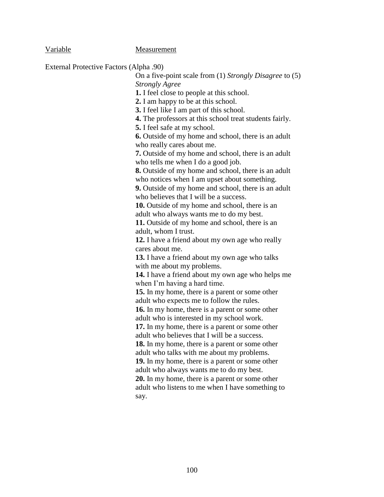## Variable Measurement

External Protective Factors (Alpha .90)

On a five-point scale from (1) *Strongly Disagree* to (5) *Strongly Agree* **1.** I feel close to people at this school. **2.** I am happy to be at this school. **3.** I feel like I am part of this school. **4.** The professors at this school treat students fairly. **5.** I feel safe at my school. **6.** Outside of my home and school, there is an adult who really cares about me. **7.** Outside of my home and school, there is an adult who tells me when I do a good job. **8.** Outside of my home and school, there is an adult who notices when I am upset about something. **9.** Outside of my home and school, there is an adult who believes that I will be a success. **10.** Outside of my home and school, there is an adult who always wants me to do my best. **11.** Outside of my home and school, there is an adult, whom I trust. **12.** I have a friend about my own age who really cares about me. **13.** I have a friend about my own age who talks with me about my problems. **14.** I have a friend about my own age who helps me when I'm having a hard time. **15.** In my home, there is a parent or some other adult who expects me to follow the rules. **16.** In my home, there is a parent or some other adult who is interested in my school work. **17.** In my home, there is a parent or some other adult who believes that I will be a success. **18.** In my home, there is a parent or some other adult who talks with me about my problems. **19.** In my home, there is a parent or some other adult who always wants me to do my best. **20.** In my home, there is a parent or some other adult who listens to me when I have something to say.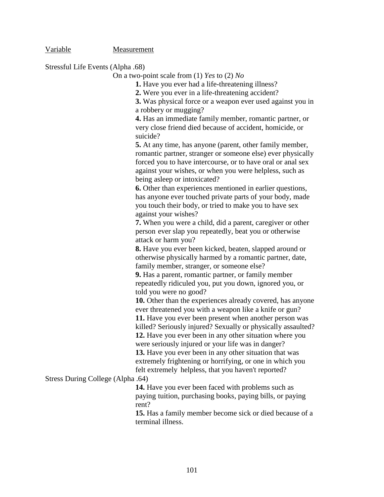Variable Measurement

Stressful Life Events (Alpha .68)

On a two-point scale from (1) *Yes* to (2) *No*

**1.** Have you ever had a life-threatening illness?

**2.** Were you ever in a life-threatening accident?

**3.** Was physical force or a weapon ever used against you in a robbery or mugging?

**4.** Has an immediate family member, romantic partner, or very close friend died because of accident, homicide, or suicide?

**5.** At any time, has anyone (parent, other family member, romantic partner, stranger or someone else) ever physically forced you to have intercourse, or to have oral or anal sex against your wishes, or when you were helpless, such as being asleep or intoxicated?

**6.** Other than experiences mentioned in earlier questions, has anyone ever touched private parts of your body, made you touch their body, or tried to make you to have sex against your wishes?

**7.** When you were a child, did a parent, caregiver or other person ever slap you repeatedly, beat you or otherwise attack or harm you?

**8.** Have you ever been kicked, beaten, slapped around or otherwise physically harmed by a romantic partner, date, family member, stranger, or someone else?

**9.** Has a parent, romantic partner, or family member repeatedly ridiculed you, put you down, ignored you, or told you were no good?

**10.** Other than the experiences already covered, has anyone ever threatened you with a weapon like a knife or gun? **11.** Have you ever been present when another person was

killed? Seriously injured? Sexually or physically assaulted?

**12.** Have you ever been in any other situation where you were seriously injured or your life was in danger?

**13.** Have you ever been in any other situation that was extremely frightening or horrifying, or one in which you felt extremely helpless, that you haven't reported?

Stress During College (Alpha .64)

**14.** Have you ever been faced with problems such as paying tuition, purchasing books, paying bills, or paying rent?

**15.** Has a family member become sick or died because of a terminal illness.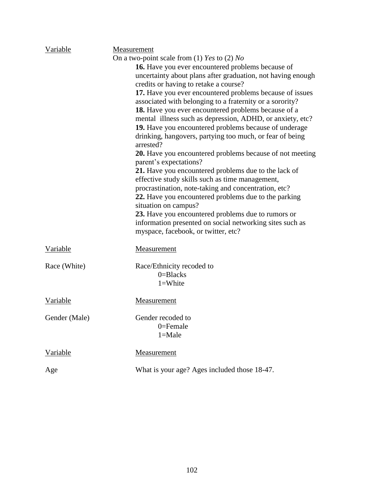| Variable      | Measurement                                                                               |  |
|---------------|-------------------------------------------------------------------------------------------|--|
|               | On a two-point scale from (1) Yes to (2) No                                               |  |
|               | 16. Have you ever encountered problems because of                                         |  |
|               | uncertainty about plans after graduation, not having enough                               |  |
|               | credits or having to retake a course?                                                     |  |
|               | 17. Have you ever encountered problems because of issues                                  |  |
|               | associated with belonging to a fraternity or a sorority?                                  |  |
|               | 18. Have you ever encountered problems because of a                                       |  |
|               | mental illness such as depression, ADHD, or anxiety, etc?                                 |  |
|               | 19. Have you encountered problems because of underage                                     |  |
|               | drinking, hangovers, partying too much, or fear of being<br>arrested?                     |  |
|               | <b>20.</b> Have you encountered problems because of not meeting<br>parent's expectations? |  |
|               | 21. Have you encountered problems due to the lack of                                      |  |
|               | effective study skills such as time management,                                           |  |
|               | procrastination, note-taking and concentration, etc?                                      |  |
|               | 22. Have you encountered problems due to the parking                                      |  |
|               | situation on campus?                                                                      |  |
|               | 23. Have you encountered problems due to rumors or                                        |  |
|               | information presented on social networking sites such as                                  |  |
|               | myspace, facebook, or twitter, etc?                                                       |  |
|               |                                                                                           |  |
| Variable      | Measurement                                                                               |  |
| Race (White)  | Race/Ethnicity recoded to                                                                 |  |
|               | $0 = Blacks$                                                                              |  |
|               | $1 =$ White                                                                               |  |
|               |                                                                                           |  |
| Variable      | Measurement                                                                               |  |
|               |                                                                                           |  |
| Gender (Male) | Gender recoded to                                                                         |  |
|               | $0$ =Female                                                                               |  |
|               | $1 = Male$                                                                                |  |
| Variable      | Measurement                                                                               |  |
|               |                                                                                           |  |
| Age           | What is your age? Ages included those 18-47.                                              |  |